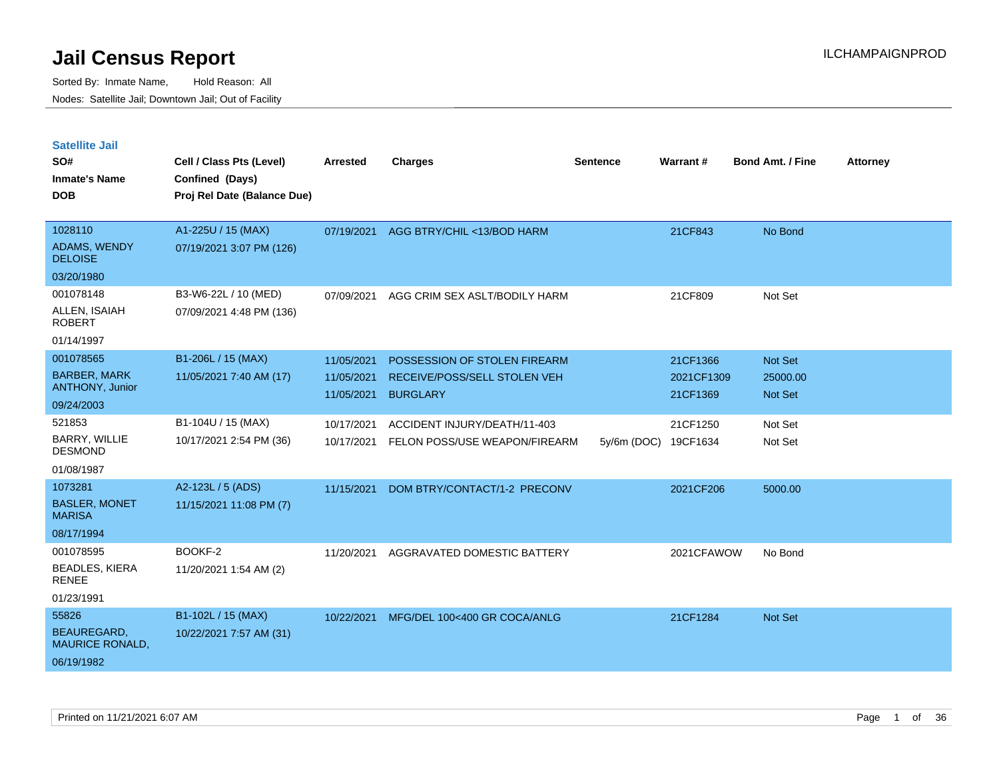| <b>Satellite Jail</b>                        |                             |            |                               |                 |                 |                         |                 |
|----------------------------------------------|-----------------------------|------------|-------------------------------|-----------------|-----------------|-------------------------|-----------------|
| SO#                                          | Cell / Class Pts (Level)    | Arrested   | <b>Charges</b>                | <b>Sentence</b> | <b>Warrant#</b> | <b>Bond Amt. / Fine</b> | <b>Attorney</b> |
| <b>Inmate's Name</b>                         | Confined (Days)             |            |                               |                 |                 |                         |                 |
| <b>DOB</b>                                   | Proj Rel Date (Balance Due) |            |                               |                 |                 |                         |                 |
| 1028110                                      | A1-225U / 15 (MAX)          | 07/19/2021 | AGG BTRY/CHIL <13/BOD HARM    |                 | 21CF843         | No Bond                 |                 |
| <b>ADAMS, WENDY</b><br><b>DELOISE</b>        | 07/19/2021 3:07 PM (126)    |            |                               |                 |                 |                         |                 |
| 03/20/1980                                   |                             |            |                               |                 |                 |                         |                 |
| 001078148                                    | B3-W6-22L / 10 (MED)        | 07/09/2021 | AGG CRIM SEX ASLT/BODILY HARM |                 | 21CF809         | Not Set                 |                 |
| ALLEN, ISAIAH<br><b>ROBERT</b>               | 07/09/2021 4:48 PM (136)    |            |                               |                 |                 |                         |                 |
| 01/14/1997                                   |                             |            |                               |                 |                 |                         |                 |
| 001078565                                    | B1-206L / 15 (MAX)          | 11/05/2021 | POSSESSION OF STOLEN FIREARM  |                 | 21CF1366        | <b>Not Set</b>          |                 |
| <b>BARBER, MARK</b>                          | 11/05/2021 7:40 AM (17)     | 11/05/2021 | RECEIVE/POSS/SELL STOLEN VEH  |                 | 2021CF1309      | 25000.00                |                 |
| <b>ANTHONY, Junior</b>                       |                             | 11/05/2021 | <b>BURGLARY</b>               |                 | 21CF1369        | <b>Not Set</b>          |                 |
| 09/24/2003<br>521853                         | B1-104U / 15 (MAX)          |            |                               |                 |                 |                         |                 |
| <b>BARRY, WILLIE</b>                         | 10/17/2021 2:54 PM (36)     | 10/17/2021 | ACCIDENT INJURY/DEATH/11-403  |                 | 21CF1250        | Not Set                 |                 |
| DESMOND                                      |                             | 10/17/2021 | FELON POSS/USE WEAPON/FIREARM | 5y/6m (DOC)     | 19CF1634        | Not Set                 |                 |
| 01/08/1987                                   |                             |            |                               |                 |                 |                         |                 |
| 1073281                                      | A2-123L / 5 (ADS)           | 11/15/2021 | DOM BTRY/CONTACT/1-2 PRECONV  |                 | 2021CF206       | 5000.00                 |                 |
| <b>BASLER, MONET</b><br><b>MARISA</b>        | 11/15/2021 11:08 PM (7)     |            |                               |                 |                 |                         |                 |
| 08/17/1994                                   |                             |            |                               |                 |                 |                         |                 |
| 001078595                                    | BOOKF-2                     | 11/20/2021 | AGGRAVATED DOMESTIC BATTERY   |                 | 2021CFAWOW      | No Bond                 |                 |
| <b>BEADLES, KIERA</b><br><b>RENEE</b>        | 11/20/2021 1:54 AM (2)      |            |                               |                 |                 |                         |                 |
| 01/23/1991                                   |                             |            |                               |                 |                 |                         |                 |
| 55826                                        | B1-102L / 15 (MAX)          | 10/22/2021 | MFG/DEL 100<400 GR COCA/ANLG  |                 | 21CF1284        | Not Set                 |                 |
| <b>BEAUREGARD,</b><br><b>MAURICE RONALD,</b> | 10/22/2021 7:57 AM (31)     |            |                               |                 |                 |                         |                 |
| 06/19/1982                                   |                             |            |                               |                 |                 |                         |                 |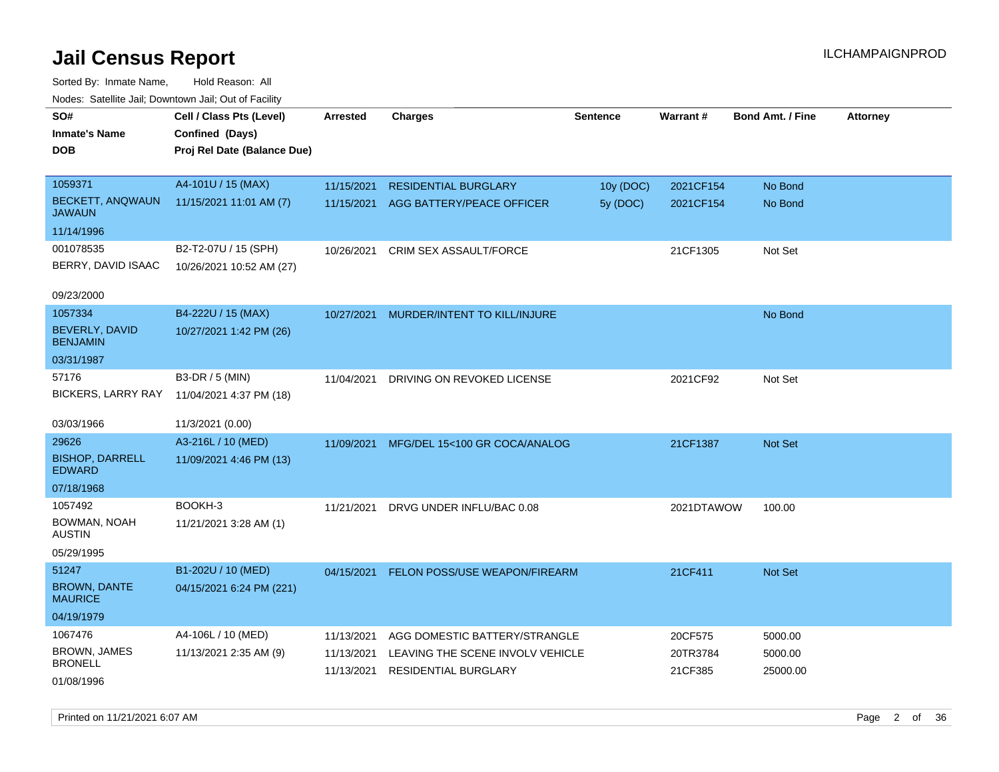Sorted By: Inmate Name, Hold Reason: All Nodes: Satellite Jail; Downtown Jail; Out of Facility

| roaco. Catolino cali, Downtown cali, Out of Facility |                             |                 |                                  |                 |            |                         |                 |
|------------------------------------------------------|-----------------------------|-----------------|----------------------------------|-----------------|------------|-------------------------|-----------------|
| SO#                                                  | Cell / Class Pts (Level)    | <b>Arrested</b> | <b>Charges</b>                   | <b>Sentence</b> | Warrant#   | <b>Bond Amt. / Fine</b> | <b>Attorney</b> |
| <b>Inmate's Name</b>                                 | Confined (Days)             |                 |                                  |                 |            |                         |                 |
| <b>DOB</b>                                           | Proj Rel Date (Balance Due) |                 |                                  |                 |            |                         |                 |
|                                                      |                             |                 |                                  |                 |            |                         |                 |
| 1059371                                              | A4-101U / 15 (MAX)          | 11/15/2021      | <b>RESIDENTIAL BURGLARY</b>      | 10y (DOC)       | 2021CF154  | No Bond                 |                 |
| <b>BECKETT, ANQWAUN</b><br><b>JAWAUN</b>             | 11/15/2021 11:01 AM (7)     | 11/15/2021      | AGG BATTERY/PEACE OFFICER        | 5y (DOC)        | 2021CF154  | No Bond                 |                 |
| 11/14/1996                                           |                             |                 |                                  |                 |            |                         |                 |
| 001078535                                            | B2-T2-07U / 15 (SPH)        | 10/26/2021      | CRIM SEX ASSAULT/FORCE           |                 | 21CF1305   | Not Set                 |                 |
| BERRY, DAVID ISAAC                                   | 10/26/2021 10:52 AM (27)    |                 |                                  |                 |            |                         |                 |
|                                                      |                             |                 |                                  |                 |            |                         |                 |
| 09/23/2000                                           |                             |                 |                                  |                 |            |                         |                 |
| 1057334                                              | B4-222U / 15 (MAX)          | 10/27/2021      | MURDER/INTENT TO KILL/INJURE     |                 |            | No Bond                 |                 |
| <b>BEVERLY, DAVID</b><br><b>BENJAMIN</b>             | 10/27/2021 1:42 PM (26)     |                 |                                  |                 |            |                         |                 |
| 03/31/1987                                           |                             |                 |                                  |                 |            |                         |                 |
| 57176                                                | B3-DR / 5 (MIN)             | 11/04/2021      | DRIVING ON REVOKED LICENSE       |                 | 2021CF92   | Not Set                 |                 |
| <b>BICKERS, LARRY RAY</b>                            | 11/04/2021 4:37 PM (18)     |                 |                                  |                 |            |                         |                 |
|                                                      |                             |                 |                                  |                 |            |                         |                 |
| 03/03/1966                                           | 11/3/2021 (0.00)            |                 |                                  |                 |            |                         |                 |
| 29626                                                | A3-216L / 10 (MED)          | 11/09/2021      | MFG/DEL 15<100 GR COCA/ANALOG    |                 | 21CF1387   | Not Set                 |                 |
| <b>BISHOP, DARRELL</b><br><b>EDWARD</b>              | 11/09/2021 4:46 PM (13)     |                 |                                  |                 |            |                         |                 |
| 07/18/1968                                           |                             |                 |                                  |                 |            |                         |                 |
| 1057492                                              | BOOKH-3                     | 11/21/2021      | DRVG UNDER INFLU/BAC 0.08        |                 | 2021DTAWOW | 100.00                  |                 |
| BOWMAN, NOAH<br>AUSTIN                               | 11/21/2021 3:28 AM (1)      |                 |                                  |                 |            |                         |                 |
| 05/29/1995                                           |                             |                 |                                  |                 |            |                         |                 |
| 51247                                                | B1-202U / 10 (MED)          | 04/15/2021      | FELON POSS/USE WEAPON/FIREARM    |                 | 21CF411    | <b>Not Set</b>          |                 |
| <b>BROWN, DANTE</b><br><b>MAURICE</b>                | 04/15/2021 6:24 PM (221)    |                 |                                  |                 |            |                         |                 |
| 04/19/1979                                           |                             |                 |                                  |                 |            |                         |                 |
| 1067476                                              | A4-106L / 10 (MED)          | 11/13/2021      | AGG DOMESTIC BATTERY/STRANGLE    |                 | 20CF575    | 5000.00                 |                 |
| <b>BROWN, JAMES</b>                                  | 11/13/2021 2:35 AM (9)      | 11/13/2021      | LEAVING THE SCENE INVOLV VEHICLE |                 | 20TR3784   | 5000.00                 |                 |
| <b>BRONELL</b>                                       |                             | 11/13/2021      | <b>RESIDENTIAL BURGLARY</b>      |                 | 21CF385    | 25000.00                |                 |
| 01/08/1996                                           |                             |                 |                                  |                 |            |                         |                 |

Printed on 11/21/2021 6:07 AM Page 2 of 36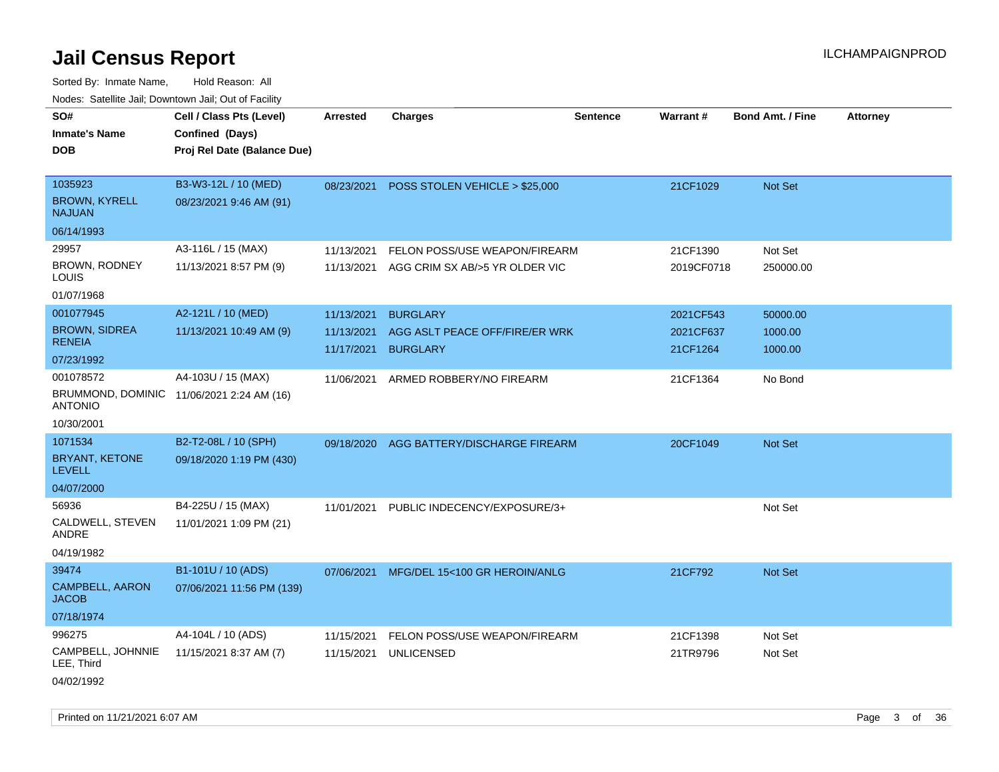| ivoues. Salellite Jali, Downtown Jali, Out of Facility |                                           |            |                                |                 |            |                         |                 |
|--------------------------------------------------------|-------------------------------------------|------------|--------------------------------|-----------------|------------|-------------------------|-----------------|
| SO#                                                    | Cell / Class Pts (Level)                  | Arrested   | <b>Charges</b>                 | <b>Sentence</b> | Warrant#   | <b>Bond Amt. / Fine</b> | <b>Attorney</b> |
| <b>Inmate's Name</b>                                   | Confined (Days)                           |            |                                |                 |            |                         |                 |
| <b>DOB</b>                                             | Proj Rel Date (Balance Due)               |            |                                |                 |            |                         |                 |
|                                                        |                                           |            |                                |                 |            |                         |                 |
| 1035923                                                | B3-W3-12L / 10 (MED)                      | 08/23/2021 | POSS STOLEN VEHICLE > \$25,000 |                 | 21CF1029   | Not Set                 |                 |
| <b>BROWN, KYRELL</b><br><b>NAJUAN</b>                  | 08/23/2021 9:46 AM (91)                   |            |                                |                 |            |                         |                 |
| 06/14/1993                                             |                                           |            |                                |                 |            |                         |                 |
| 29957                                                  | A3-116L / 15 (MAX)                        | 11/13/2021 | FELON POSS/USE WEAPON/FIREARM  |                 | 21CF1390   | Not Set                 |                 |
| BROWN, RODNEY<br>LOUIS                                 | 11/13/2021 8:57 PM (9)                    | 11/13/2021 | AGG CRIM SX AB/>5 YR OLDER VIC |                 | 2019CF0718 | 250000.00               |                 |
| 01/07/1968                                             |                                           |            |                                |                 |            |                         |                 |
| 001077945                                              | A2-121L / 10 (MED)                        | 11/13/2021 | <b>BURGLARY</b>                |                 | 2021CF543  | 50000.00                |                 |
| <b>BROWN, SIDREA</b>                                   | 11/13/2021 10:49 AM (9)                   | 11/13/2021 | AGG ASLT PEACE OFF/FIRE/ER WRK |                 | 2021CF637  | 1000.00                 |                 |
| <b>RENEIA</b>                                          |                                           | 11/17/2021 | <b>BURGLARY</b>                |                 | 21CF1264   | 1000.00                 |                 |
| 07/23/1992                                             |                                           |            |                                |                 |            |                         |                 |
| 001078572                                              | A4-103U / 15 (MAX)                        | 11/06/2021 | ARMED ROBBERY/NO FIREARM       |                 | 21CF1364   | No Bond                 |                 |
| <b>ANTONIO</b>                                         | BRUMMOND, DOMINIC 11/06/2021 2:24 AM (16) |            |                                |                 |            |                         |                 |
| 10/30/2001                                             |                                           |            |                                |                 |            |                         |                 |
| 1071534                                                | B2-T2-08L / 10 (SPH)                      | 09/18/2020 | AGG BATTERY/DISCHARGE FIREARM  |                 | 20CF1049   | <b>Not Set</b>          |                 |
| BRYANT, KETONE<br><b>LEVELL</b>                        | 09/18/2020 1:19 PM (430)                  |            |                                |                 |            |                         |                 |
| 04/07/2000                                             |                                           |            |                                |                 |            |                         |                 |
| 56936                                                  | B4-225U / 15 (MAX)                        | 11/01/2021 | PUBLIC INDECENCY/EXPOSURE/3+   |                 |            | Not Set                 |                 |
| CALDWELL, STEVEN<br>ANDRE                              | 11/01/2021 1:09 PM (21)                   |            |                                |                 |            |                         |                 |
| 04/19/1982                                             |                                           |            |                                |                 |            |                         |                 |
| 39474                                                  | B1-101U / 10 (ADS)                        | 07/06/2021 | MFG/DEL 15<100 GR HEROIN/ANLG  |                 | 21CF792    | <b>Not Set</b>          |                 |
| CAMPBELL, AARON<br><b>JACOB</b>                        | 07/06/2021 11:56 PM (139)                 |            |                                |                 |            |                         |                 |
| 07/18/1974                                             |                                           |            |                                |                 |            |                         |                 |
| 996275                                                 | A4-104L / 10 (ADS)                        | 11/15/2021 | FELON POSS/USE WEAPON/FIREARM  |                 | 21CF1398   | Not Set                 |                 |
| CAMPBELL, JOHNNIE<br>LEE, Third                        | 11/15/2021 8:37 AM (7)                    | 11/15/2021 | <b>UNLICENSED</b>              |                 | 21TR9796   | Not Set                 |                 |
| 04/02/1992                                             |                                           |            |                                |                 |            |                         |                 |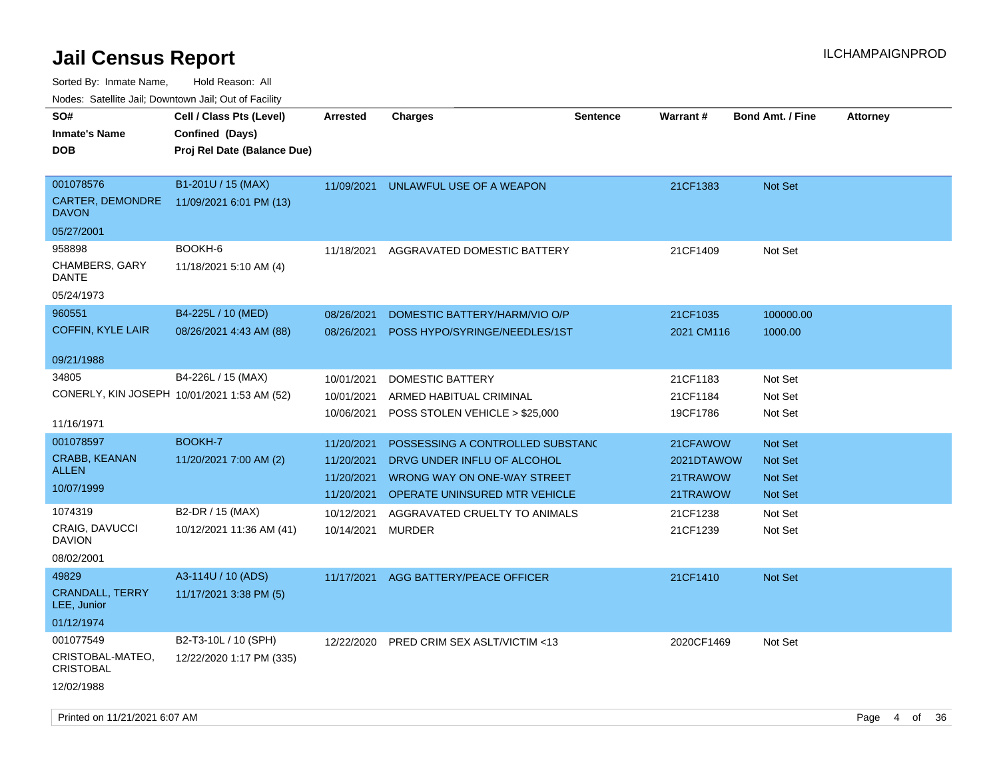Sorted By: Inmate Name, Hold Reason: All

Nodes: Satellite Jail; Downtown Jail; Out of Facility

| roacs. Catellite Jall, Downtown Jall, Out of Facility |                                             |                 |                                  |                 |            |                         |                 |
|-------------------------------------------------------|---------------------------------------------|-----------------|----------------------------------|-----------------|------------|-------------------------|-----------------|
| SO#<br><b>Inmate's Name</b>                           | Cell / Class Pts (Level)<br>Confined (Days) | <b>Arrested</b> | <b>Charges</b>                   | <b>Sentence</b> | Warrant#   | <b>Bond Amt. / Fine</b> | <b>Attorney</b> |
| <b>DOB</b>                                            | Proj Rel Date (Balance Due)                 |                 |                                  |                 |            |                         |                 |
| 001078576                                             | B1-201U / 15 (MAX)                          | 11/09/2021      | UNLAWFUL USE OF A WEAPON         |                 | 21CF1383   | <b>Not Set</b>          |                 |
| CARTER, DEMONDRE<br><b>DAVON</b>                      | 11/09/2021 6:01 PM (13)                     |                 |                                  |                 |            |                         |                 |
| 05/27/2001                                            |                                             |                 |                                  |                 |            |                         |                 |
| 958898                                                | BOOKH-6                                     | 11/18/2021      | AGGRAVATED DOMESTIC BATTERY      |                 | 21CF1409   | Not Set                 |                 |
| <b>CHAMBERS, GARY</b><br>DANTE                        | 11/18/2021 5:10 AM (4)                      |                 |                                  |                 |            |                         |                 |
| 05/24/1973                                            |                                             |                 |                                  |                 |            |                         |                 |
| 960551                                                | B4-225L / 10 (MED)                          | 08/26/2021      | DOMESTIC BATTERY/HARM/VIO O/P    |                 | 21CF1035   | 100000.00               |                 |
| <b>COFFIN, KYLE LAIR</b>                              | 08/26/2021 4:43 AM (88)                     | 08/26/2021      | POSS HYPO/SYRINGE/NEEDLES/1ST    |                 | 2021 CM116 | 1000.00                 |                 |
| 09/21/1988                                            |                                             |                 |                                  |                 |            |                         |                 |
| 34805                                                 | B4-226L / 15 (MAX)                          | 10/01/2021      | <b>DOMESTIC BATTERY</b>          |                 | 21CF1183   | Not Set                 |                 |
| CONERLY, KIN JOSEPH 10/01/2021 1:53 AM (52)           |                                             | 10/01/2021      | ARMED HABITUAL CRIMINAL          |                 | 21CF1184   | Not Set                 |                 |
|                                                       |                                             | 10/06/2021      | POSS STOLEN VEHICLE > \$25,000   |                 | 19CF1786   | Not Set                 |                 |
| 11/16/1971                                            |                                             |                 |                                  |                 |            |                         |                 |
| 001078597                                             | BOOKH-7                                     | 11/20/2021      | POSSESSING A CONTROLLED SUBSTANC |                 | 21CFAWOW   | <b>Not Set</b>          |                 |
| CRABB, KEANAN<br><b>ALLEN</b>                         | 11/20/2021 7:00 AM (2)                      | 11/20/2021      | DRVG UNDER INFLU OF ALCOHOL      |                 | 2021DTAWOW | <b>Not Set</b>          |                 |
| 10/07/1999                                            |                                             | 11/20/2021      | WRONG WAY ON ONE-WAY STREET      |                 | 21TRAWOW   | Not Set                 |                 |
|                                                       |                                             | 11/20/2021      | OPERATE UNINSURED MTR VEHICLE    |                 | 21TRAWOW   | Not Set                 |                 |
| 1074319                                               | B2-DR / 15 (MAX)                            | 10/12/2021      | AGGRAVATED CRUELTY TO ANIMALS    |                 | 21CF1238   | Not Set                 |                 |
| CRAIG, DAVUCCI<br><b>DAVION</b>                       | 10/12/2021 11:36 AM (41)                    | 10/14/2021      | MURDER                           |                 | 21CF1239   | Not Set                 |                 |
| 08/02/2001                                            |                                             |                 |                                  |                 |            |                         |                 |
| 49829                                                 | A3-114U / 10 (ADS)                          | 11/17/2021      | AGG BATTERY/PEACE OFFICER        |                 | 21CF1410   | <b>Not Set</b>          |                 |
| CRANDALL, TERRY<br>LEE, Junior                        | 11/17/2021 3:38 PM (5)                      |                 |                                  |                 |            |                         |                 |
| 01/12/1974                                            |                                             |                 |                                  |                 |            |                         |                 |
| 001077549                                             | B2-T3-10L / 10 (SPH)                        | 12/22/2020      | PRED CRIM SEX ASLT/VICTIM <13    |                 | 2020CF1469 | Not Set                 |                 |
| CRISTOBAL-MATEO,<br><b>CRISTOBAL</b>                  | 12/22/2020 1:17 PM (335)                    |                 |                                  |                 |            |                         |                 |
| 12/02/1988                                            |                                             |                 |                                  |                 |            |                         |                 |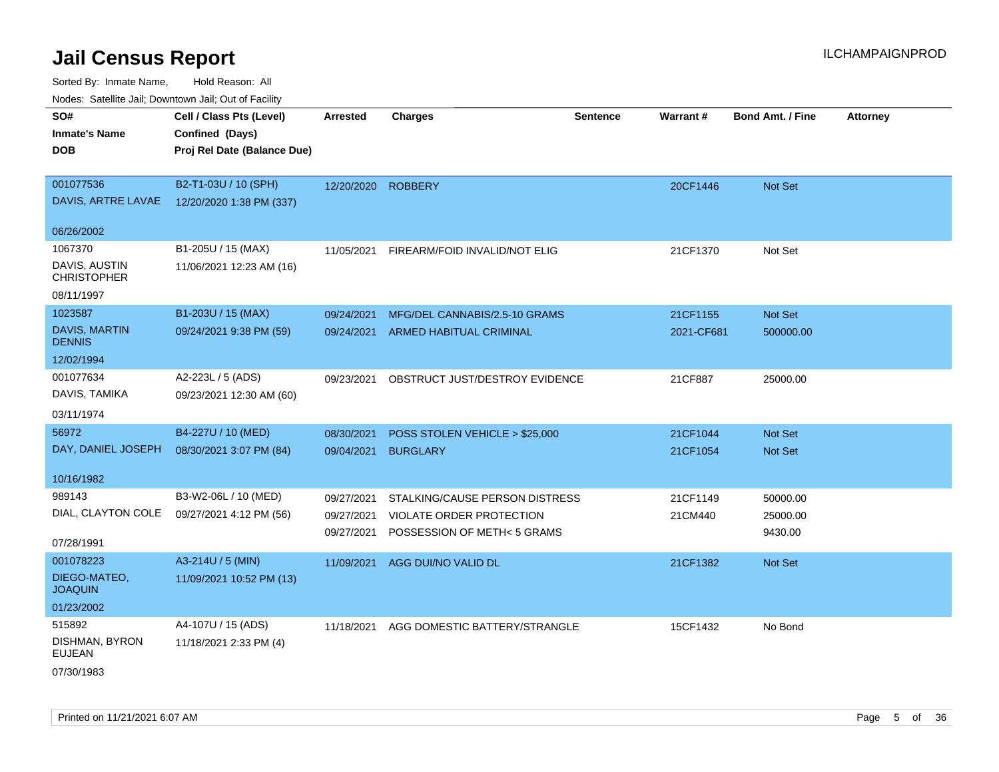| rouce. Calcinic Jan, Downtown Jan, Out or Facility |                             |                    |                                |                 |            |                         |                 |
|----------------------------------------------------|-----------------------------|--------------------|--------------------------------|-----------------|------------|-------------------------|-----------------|
| SO#                                                | Cell / Class Pts (Level)    | Arrested           | <b>Charges</b>                 | <b>Sentence</b> | Warrant#   | <b>Bond Amt. / Fine</b> | <b>Attorney</b> |
| <b>Inmate's Name</b>                               | Confined (Days)             |                    |                                |                 |            |                         |                 |
| <b>DOB</b>                                         | Proj Rel Date (Balance Due) |                    |                                |                 |            |                         |                 |
|                                                    |                             |                    |                                |                 |            |                         |                 |
| 001077536                                          | B2-T1-03U / 10 (SPH)        | 12/20/2020 ROBBERY |                                |                 | 20CF1446   | Not Set                 |                 |
| DAVIS, ARTRE LAVAE                                 | 12/20/2020 1:38 PM (337)    |                    |                                |                 |            |                         |                 |
| 06/26/2002                                         |                             |                    |                                |                 |            |                         |                 |
| 1067370                                            | B1-205U / 15 (MAX)          | 11/05/2021         | FIREARM/FOID INVALID/NOT ELIG  |                 | 21CF1370   | Not Set                 |                 |
| DAVIS, AUSTIN<br><b>CHRISTOPHER</b>                | 11/06/2021 12:23 AM (16)    |                    |                                |                 |            |                         |                 |
| 08/11/1997                                         |                             |                    |                                |                 |            |                         |                 |
| 1023587                                            | B1-203U / 15 (MAX)          | 09/24/2021         | MFG/DEL CANNABIS/2.5-10 GRAMS  |                 | 21CF1155   | Not Set                 |                 |
| <b>DAVIS, MARTIN</b><br><b>DENNIS</b>              | 09/24/2021 9:38 PM (59)     | 09/24/2021         | ARMED HABITUAL CRIMINAL        |                 | 2021-CF681 | 500000.00               |                 |
| 12/02/1994                                         |                             |                    |                                |                 |            |                         |                 |
| 001077634                                          | A2-223L / 5 (ADS)           | 09/23/2021         | OBSTRUCT JUST/DESTROY EVIDENCE |                 | 21CF887    | 25000.00                |                 |
| DAVIS, TAMIKA                                      | 09/23/2021 12:30 AM (60)    |                    |                                |                 |            |                         |                 |
| 03/11/1974                                         |                             |                    |                                |                 |            |                         |                 |
| 56972                                              | B4-227U / 10 (MED)          | 08/30/2021         | POSS STOLEN VEHICLE > \$25,000 |                 | 21CF1044   | Not Set                 |                 |
| DAY, DANIEL JOSEPH                                 | 08/30/2021 3:07 PM (84)     | 09/04/2021         | <b>BURGLARY</b>                |                 | 21CF1054   | Not Set                 |                 |
| 10/16/1982                                         |                             |                    |                                |                 |            |                         |                 |
| 989143                                             | B3-W2-06L / 10 (MED)        | 09/27/2021         | STALKING/CAUSE PERSON DISTRESS |                 | 21CF1149   | 50000.00                |                 |
| DIAL, CLAYTON COLE                                 | 09/27/2021 4:12 PM (56)     | 09/27/2021         | VIOLATE ORDER PROTECTION       |                 | 21CM440    | 25000.00                |                 |
|                                                    |                             | 09/27/2021         | POSSESSION OF METH< 5 GRAMS    |                 |            | 9430.00                 |                 |
| 07/28/1991                                         |                             |                    |                                |                 |            |                         |                 |
| 001078223                                          | A3-214U / 5 (MIN)           | 11/09/2021         | AGG DUI/NO VALID DL            |                 | 21CF1382   | Not Set                 |                 |
| DIEGO-MATEO,<br><b>JOAQUIN</b>                     | 11/09/2021 10:52 PM (13)    |                    |                                |                 |            |                         |                 |
| 01/23/2002                                         |                             |                    |                                |                 |            |                         |                 |
| 515892                                             | A4-107U / 15 (ADS)          | 11/18/2021         | AGG DOMESTIC BATTERY/STRANGLE  |                 | 15CF1432   | No Bond                 |                 |
| DISHMAN, BYRON<br><b>EUJEAN</b>                    | 11/18/2021 2:33 PM (4)      |                    |                                |                 |            |                         |                 |
| 07/30/1983                                         |                             |                    |                                |                 |            |                         |                 |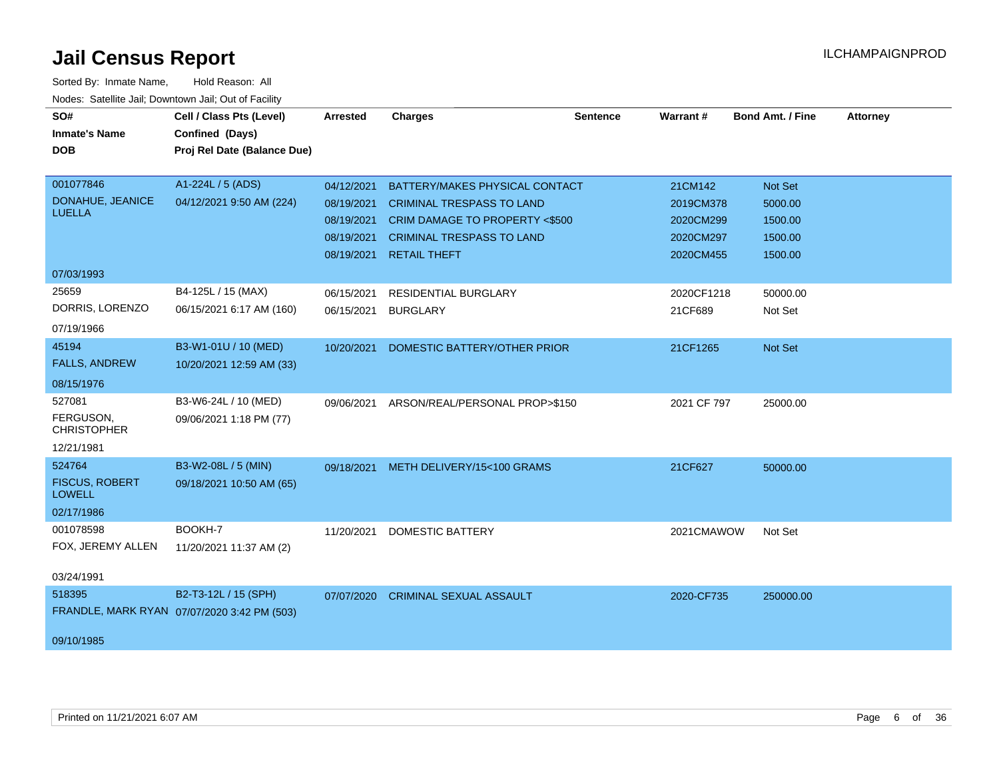| SO#<br><b>Inmate's Name</b><br><b>DOB</b>                      | Cell / Class Pts (Level)<br>Confined (Days)<br>Proj Rel Date (Balance Due) | <b>Arrested</b>                                                    | <b>Charges</b>                                                                                                                                                  | <b>Sentence</b> | Warrant#                                                    | Bond Amt. / Fine                                    | <b>Attorney</b> |
|----------------------------------------------------------------|----------------------------------------------------------------------------|--------------------------------------------------------------------|-----------------------------------------------------------------------------------------------------------------------------------------------------------------|-----------------|-------------------------------------------------------------|-----------------------------------------------------|-----------------|
| 001077846<br>DONAHUE, JEANICE<br><b>LUELLA</b>                 | A1-224L / 5 (ADS)<br>04/12/2021 9:50 AM (224)                              | 04/12/2021<br>08/19/2021<br>08/19/2021<br>08/19/2021<br>08/19/2021 | BATTERY/MAKES PHYSICAL CONTACT<br><b>CRIMINAL TRESPASS TO LAND</b><br>CRIM DAMAGE TO PROPERTY <\$500<br><b>CRIMINAL TRESPASS TO LAND</b><br><b>RETAIL THEFT</b> |                 | 21CM142<br>2019CM378<br>2020CM299<br>2020CM297<br>2020CM455 | Not Set<br>5000.00<br>1500.00<br>1500.00<br>1500.00 |                 |
| 07/03/1993                                                     |                                                                            |                                                                    |                                                                                                                                                                 |                 |                                                             |                                                     |                 |
| 25659<br>DORRIS, LORENZO<br>07/19/1966                         | B4-125L / 15 (MAX)<br>06/15/2021 6:17 AM (160)                             | 06/15/2021<br>06/15/2021                                           | <b>RESIDENTIAL BURGLARY</b><br><b>BURGLARY</b>                                                                                                                  |                 | 2020CF1218<br>21CF689                                       | 50000.00<br>Not Set                                 |                 |
| 45194<br><b>FALLS, ANDREW</b>                                  | B3-W1-01U / 10 (MED)<br>10/20/2021 12:59 AM (33)                           | 10/20/2021                                                         | DOMESTIC BATTERY/OTHER PRIOR                                                                                                                                    |                 | 21CF1265                                                    | <b>Not Set</b>                                      |                 |
| 08/15/1976                                                     |                                                                            |                                                                    |                                                                                                                                                                 |                 |                                                             |                                                     |                 |
| 527081<br>FERGUSON,<br><b>CHRISTOPHER</b><br>12/21/1981        | B3-W6-24L / 10 (MED)<br>09/06/2021 1:18 PM (77)                            | 09/06/2021                                                         | ARSON/REAL/PERSONAL PROP>\$150                                                                                                                                  |                 | 2021 CF 797                                                 | 25000.00                                            |                 |
| 524764<br><b>FISCUS, ROBERT</b><br><b>LOWELL</b><br>02/17/1986 | B3-W2-08L / 5 (MIN)<br>09/18/2021 10:50 AM (65)                            |                                                                    | 09/18/2021 METH DELIVERY/15<100 GRAMS                                                                                                                           |                 | 21CF627                                                     | 50000.00                                            |                 |
| 001078598<br>FOX, JEREMY ALLEN                                 | BOOKH-7<br>11/20/2021 11:37 AM (2)                                         | 11/20/2021                                                         | <b>DOMESTIC BATTERY</b>                                                                                                                                         |                 | 2021CMAWOW                                                  | Not Set                                             |                 |
| 03/24/1991<br>518395<br>09/10/1985                             | B2-T3-12L / 15 (SPH)<br>FRANDLE, MARK RYAN 07/07/2020 3:42 PM (503)        | 07/07/2020                                                         | <b>CRIMINAL SEXUAL ASSAULT</b>                                                                                                                                  |                 | 2020-CF735                                                  | 250000.00                                           |                 |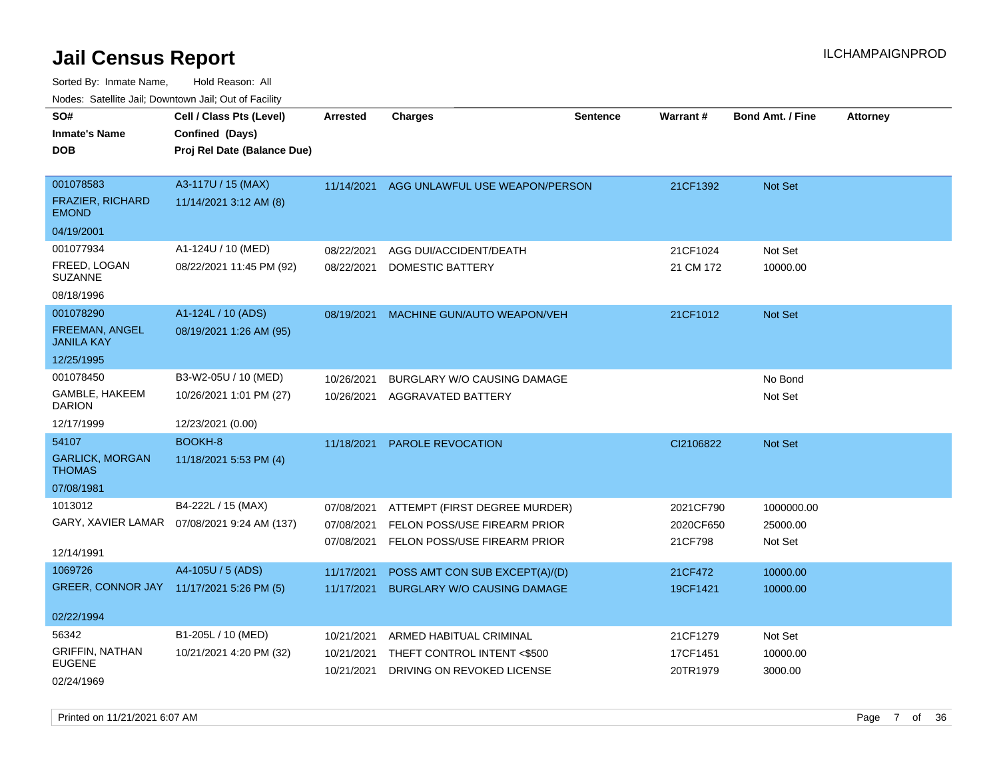| roaco. Calcinio dan, Domntomn dan, Out or Fabilit |                                              |                 |                                    |                 |           |                         |                 |
|---------------------------------------------------|----------------------------------------------|-----------------|------------------------------------|-----------------|-----------|-------------------------|-----------------|
| SO#                                               | Cell / Class Pts (Level)                     | <b>Arrested</b> | <b>Charges</b>                     | <b>Sentence</b> | Warrant#  | <b>Bond Amt. / Fine</b> | <b>Attorney</b> |
| <b>Inmate's Name</b>                              | Confined (Days)                              |                 |                                    |                 |           |                         |                 |
| <b>DOB</b>                                        | Proj Rel Date (Balance Due)                  |                 |                                    |                 |           |                         |                 |
|                                                   |                                              |                 |                                    |                 |           |                         |                 |
| 001078583                                         | A3-117U / 15 (MAX)                           | 11/14/2021      | AGG UNLAWFUL USE WEAPON/PERSON     |                 | 21CF1392  | Not Set                 |                 |
| FRAZIER, RICHARD<br><b>EMOND</b>                  | 11/14/2021 3:12 AM (8)                       |                 |                                    |                 |           |                         |                 |
| 04/19/2001                                        |                                              |                 |                                    |                 |           |                         |                 |
| 001077934                                         | A1-124U / 10 (MED)                           | 08/22/2021      | AGG DUI/ACCIDENT/DEATH             |                 | 21CF1024  | Not Set                 |                 |
| FREED, LOGAN<br><b>SUZANNE</b>                    | 08/22/2021 11:45 PM (92)                     | 08/22/2021      | DOMESTIC BATTERY                   |                 | 21 CM 172 | 10000.00                |                 |
| 08/18/1996                                        |                                              |                 |                                    |                 |           |                         |                 |
| 001078290                                         | A1-124L / 10 (ADS)                           | 08/19/2021      | MACHINE GUN/AUTO WEAPON/VEH        |                 | 21CF1012  | Not Set                 |                 |
| <b>FREEMAN, ANGEL</b><br><b>JANILA KAY</b>        | 08/19/2021 1:26 AM (95)                      |                 |                                    |                 |           |                         |                 |
| 12/25/1995                                        |                                              |                 |                                    |                 |           |                         |                 |
| 001078450                                         | B3-W2-05U / 10 (MED)                         | 10/26/2021      | BURGLARY W/O CAUSING DAMAGE        |                 |           | No Bond                 |                 |
| GAMBLE, HAKEEM<br><b>DARION</b>                   | 10/26/2021 1:01 PM (27)                      | 10/26/2021      | AGGRAVATED BATTERY                 |                 |           | Not Set                 |                 |
| 12/17/1999                                        | 12/23/2021 (0.00)                            |                 |                                    |                 |           |                         |                 |
| 54107                                             | BOOKH-8                                      | 11/18/2021      | <b>PAROLE REVOCATION</b>           |                 | CI2106822 | Not Set                 |                 |
| <b>GARLICK, MORGAN</b><br><b>THOMAS</b>           | 11/18/2021 5:53 PM (4)                       |                 |                                    |                 |           |                         |                 |
| 07/08/1981                                        |                                              |                 |                                    |                 |           |                         |                 |
| 1013012                                           | B4-222L / 15 (MAX)                           | 07/08/2021      | ATTEMPT (FIRST DEGREE MURDER)      |                 | 2021CF790 | 1000000.00              |                 |
|                                                   | GARY, XAVIER LAMAR  07/08/2021 9:24 AM (137) | 07/08/2021      | FELON POSS/USE FIREARM PRIOR       |                 | 2020CF650 | 25000.00                |                 |
|                                                   |                                              | 07/08/2021      | FELON POSS/USE FIREARM PRIOR       |                 | 21CF798   | Not Set                 |                 |
| 12/14/1991                                        |                                              |                 |                                    |                 |           |                         |                 |
| 1069726                                           | A4-105U / 5 (ADS)                            | 11/17/2021      | POSS AMT CON SUB EXCEPT(A)/(D)     |                 | 21CF472   | 10000.00                |                 |
| GREER, CONNOR JAY 11/17/2021 5:26 PM (5)          |                                              | 11/17/2021      | <b>BURGLARY W/O CAUSING DAMAGE</b> |                 | 19CF1421  | 10000.00                |                 |
| 02/22/1994                                        |                                              |                 |                                    |                 |           |                         |                 |
| 56342                                             | B1-205L / 10 (MED)                           | 10/21/2021      | ARMED HABITUAL CRIMINAL            |                 | 21CF1279  | Not Set                 |                 |
| <b>GRIFFIN, NATHAN</b><br><b>EUGENE</b>           | 10/21/2021 4:20 PM (32)                      | 10/21/2021      | THEFT CONTROL INTENT <\$500        |                 | 17CF1451  | 10000.00                |                 |
| 02/24/1969                                        |                                              | 10/21/2021      | DRIVING ON REVOKED LICENSE         |                 | 20TR1979  | 3000.00                 |                 |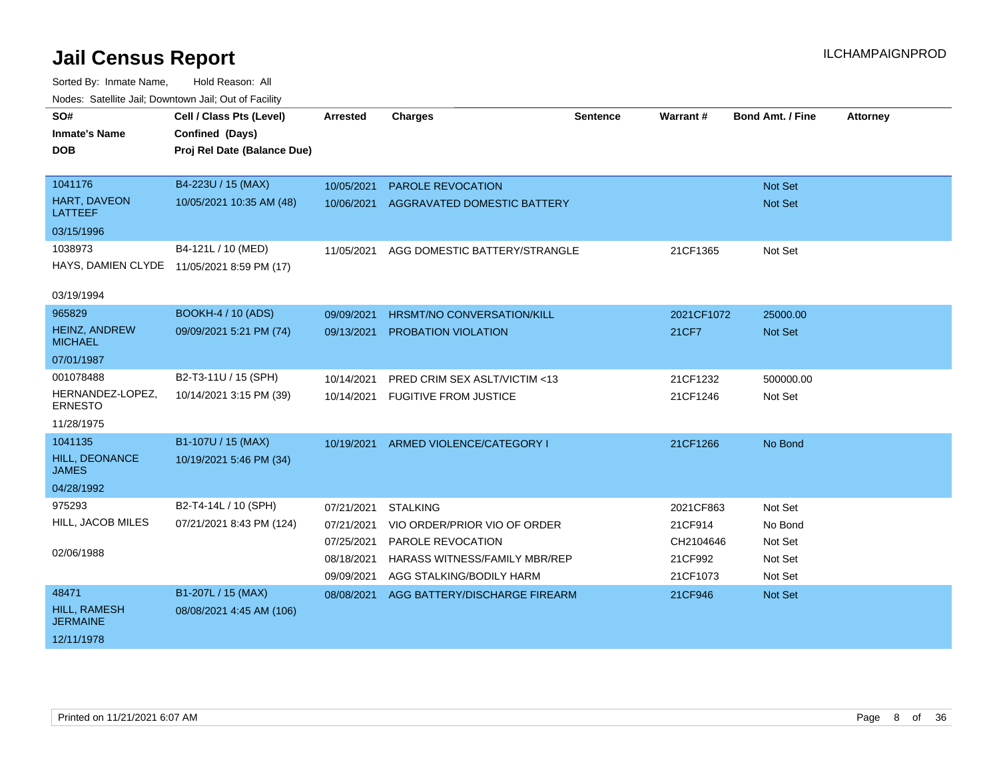| SO#                                    | Cell / Class Pts (Level)                   | <b>Arrested</b> | <b>Charges</b>                       | <b>Sentence</b> | <b>Warrant#</b> | <b>Bond Amt. / Fine</b> | <b>Attorney</b> |
|----------------------------------------|--------------------------------------------|-----------------|--------------------------------------|-----------------|-----------------|-------------------------|-----------------|
| <b>Inmate's Name</b>                   | Confined (Days)                            |                 |                                      |                 |                 |                         |                 |
| <b>DOB</b>                             | Proj Rel Date (Balance Due)                |                 |                                      |                 |                 |                         |                 |
|                                        |                                            |                 |                                      |                 |                 |                         |                 |
| 1041176                                | B4-223U / 15 (MAX)                         | 10/05/2021      | <b>PAROLE REVOCATION</b>             |                 |                 | Not Set                 |                 |
| HART, DAVEON<br>LATTEEF                | 10/05/2021 10:35 AM (48)                   | 10/06/2021      | AGGRAVATED DOMESTIC BATTERY          |                 |                 | Not Set                 |                 |
| 03/15/1996                             |                                            |                 |                                      |                 |                 |                         |                 |
| 1038973                                | B4-121L / 10 (MED)                         | 11/05/2021      | AGG DOMESTIC BATTERY/STRANGLE        |                 | 21CF1365        | Not Set                 |                 |
|                                        | HAYS, DAMIEN CLYDE 11/05/2021 8:59 PM (17) |                 |                                      |                 |                 |                         |                 |
| 03/19/1994                             |                                            |                 |                                      |                 |                 |                         |                 |
| 965829                                 | BOOKH-4 / 10 (ADS)                         | 09/09/2021      | <b>HRSMT/NO CONVERSATION/KILL</b>    |                 | 2021CF1072      | 25000.00                |                 |
| HEINZ, ANDREW<br><b>MICHAEL</b>        | 09/09/2021 5:21 PM (74)                    | 09/13/2021      | PROBATION VIOLATION                  |                 | 21CF7           | Not Set                 |                 |
| 07/01/1987                             |                                            |                 |                                      |                 |                 |                         |                 |
| 001078488                              | B2-T3-11U / 15 (SPH)                       | 10/14/2021      | PRED CRIM SEX ASLT/VICTIM <13        |                 | 21CF1232        | 500000.00               |                 |
| HERNANDEZ-LOPEZ,<br><b>ERNESTO</b>     | 10/14/2021 3:15 PM (39)                    | 10/14/2021      | <b>FUGITIVE FROM JUSTICE</b>         |                 | 21CF1246        | Not Set                 |                 |
| 11/28/1975                             |                                            |                 |                                      |                 |                 |                         |                 |
| 1041135                                | B1-107U / 15 (MAX)                         | 10/19/2021      | ARMED VIOLENCE/CATEGORY I            |                 | 21CF1266        | No Bond                 |                 |
| <b>HILL, DEONANCE</b><br><b>JAMES</b>  | 10/19/2021 5:46 PM (34)                    |                 |                                      |                 |                 |                         |                 |
| 04/28/1992                             |                                            |                 |                                      |                 |                 |                         |                 |
| 975293                                 | B2-T4-14L / 10 (SPH)                       | 07/21/2021      | <b>STALKING</b>                      |                 | 2021CF863       | Not Set                 |                 |
| HILL, JACOB MILES                      | 07/21/2021 8:43 PM (124)                   | 07/21/2021      | VIO ORDER/PRIOR VIO OF ORDER         |                 | 21CF914         | No Bond                 |                 |
|                                        |                                            | 07/25/2021      | PAROLE REVOCATION                    |                 | CH2104646       | Not Set                 |                 |
| 02/06/1988                             |                                            | 08/18/2021      | <b>HARASS WITNESS/FAMILY MBR/REP</b> |                 | 21CF992         | Not Set                 |                 |
|                                        |                                            | 09/09/2021      | AGG STALKING/BODILY HARM             |                 | 21CF1073        | Not Set                 |                 |
| 48471                                  | B1-207L / 15 (MAX)                         | 08/08/2021      | AGG BATTERY/DISCHARGE FIREARM        |                 | 21CF946         | <b>Not Set</b>          |                 |
| <b>HILL, RAMESH</b><br><b>JERMAINE</b> | 08/08/2021 4:45 AM (106)                   |                 |                                      |                 |                 |                         |                 |
| 12/11/1978                             |                                            |                 |                                      |                 |                 |                         |                 |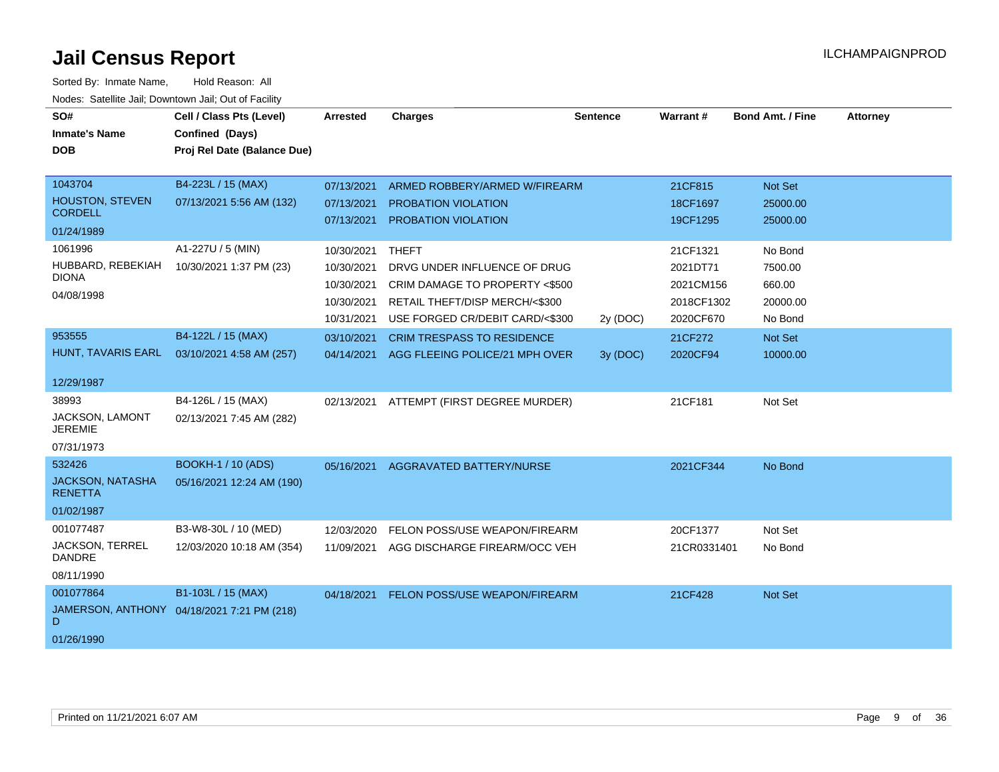| SO#<br><b>Inmate's Name</b><br><b>DOB</b>                                                                                       | Cell / Class Pts (Level)<br>Confined (Days)<br>Proj Rel Date (Balance Due)                     | <b>Arrested</b>                                                                                              | <b>Charges</b>                                                                                                                                                                                                                            | <b>Sentence</b>      | Warrant#                                                                                        | Bond Amt. / Fine                                                                       | <b>Attorney</b> |
|---------------------------------------------------------------------------------------------------------------------------------|------------------------------------------------------------------------------------------------|--------------------------------------------------------------------------------------------------------------|-------------------------------------------------------------------------------------------------------------------------------------------------------------------------------------------------------------------------------------------|----------------------|-------------------------------------------------------------------------------------------------|----------------------------------------------------------------------------------------|-----------------|
| 1043704<br><b>HOUSTON, STEVEN</b><br><b>CORDELL</b><br>01/24/1989<br>1061996<br>HUBBARD, REBEKIAH<br><b>DIONA</b><br>04/08/1998 | B4-223L / 15 (MAX)<br>07/13/2021 5:56 AM (132)<br>A1-227U / 5 (MIN)<br>10/30/2021 1:37 PM (23) | 07/13/2021<br>07/13/2021<br>07/13/2021<br>10/30/2021<br>10/30/2021<br>10/30/2021<br>10/30/2021<br>10/31/2021 | ARMED ROBBERY/ARMED W/FIREARM<br>PROBATION VIOLATION<br><b>PROBATION VIOLATION</b><br><b>THEFT</b><br>DRVG UNDER INFLUENCE OF DRUG<br>CRIM DAMAGE TO PROPERTY <\$500<br>RETAIL THEFT/DISP MERCH/<\$300<br>USE FORGED CR/DEBIT CARD/<\$300 |                      | 21CF815<br>18CF1697<br>19CF1295<br>21CF1321<br>2021DT71<br>2021CM156<br>2018CF1302<br>2020CF670 | Not Set<br>25000.00<br>25000.00<br>No Bond<br>7500.00<br>660.00<br>20000.00<br>No Bond |                 |
| 953555<br>HUNT, TAVARIS EARL<br>12/29/1987                                                                                      | B4-122L / 15 (MAX)<br>03/10/2021 4:58 AM (257)                                                 | 03/10/2021<br>04/14/2021                                                                                     | <b>CRIM TRESPASS TO RESIDENCE</b><br>AGG FLEEING POLICE/21 MPH OVER                                                                                                                                                                       | 2y (DOC)<br>3y (DOC) | 21CF272<br>2020CF94                                                                             | Not Set<br>10000.00                                                                    |                 |
| 38993<br>JACKSON, LAMONT<br><b>JEREMIE</b><br>07/31/1973                                                                        | B4-126L / 15 (MAX)<br>02/13/2021 7:45 AM (282)                                                 | 02/13/2021                                                                                                   | ATTEMPT (FIRST DEGREE MURDER)                                                                                                                                                                                                             |                      | 21CF181                                                                                         | Not Set                                                                                |                 |
| 532426<br><b>JACKSON, NATASHA</b><br><b>RENETTA</b><br>01/02/1987                                                               | <b>BOOKH-1 / 10 (ADS)</b><br>05/16/2021 12:24 AM (190)                                         | 05/16/2021                                                                                                   | AGGRAVATED BATTERY/NURSE                                                                                                                                                                                                                  |                      | 2021CF344                                                                                       | No Bond                                                                                |                 |
| 001077487<br><b>JACKSON, TERREL</b><br><b>DANDRE</b><br>08/11/1990                                                              | B3-W8-30L / 10 (MED)<br>12/03/2020 10:18 AM (354)                                              | 12/03/2020<br>11/09/2021                                                                                     | FELON POSS/USE WEAPON/FIREARM<br>AGG DISCHARGE FIREARM/OCC VEH                                                                                                                                                                            |                      | 20CF1377<br>21CR0331401                                                                         | Not Set<br>No Bond                                                                     |                 |
| 001077864<br>D<br>01/26/1990                                                                                                    | B1-103L / 15 (MAX)<br>JAMERSON, ANTHONY 04/18/2021 7:21 PM (218)                               | 04/18/2021                                                                                                   | <b>FELON POSS/USE WEAPON/FIREARM</b>                                                                                                                                                                                                      |                      | 21CF428                                                                                         | <b>Not Set</b>                                                                         |                 |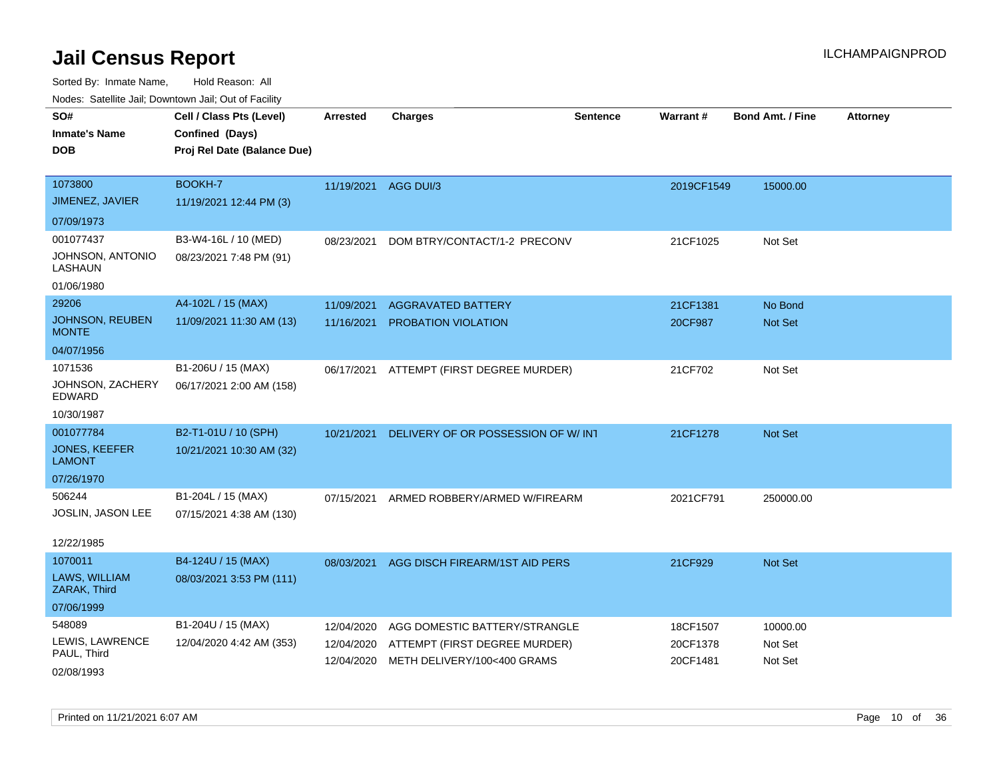| Noues. Satellite Jali, Downtown Jali, Out of Facility |                             |                      |                                    |                 |                 |                         |                 |
|-------------------------------------------------------|-----------------------------|----------------------|------------------------------------|-----------------|-----------------|-------------------------|-----------------|
| SO#                                                   | Cell / Class Pts (Level)    | <b>Arrested</b>      | Charges                            | <b>Sentence</b> | <b>Warrant#</b> | <b>Bond Amt. / Fine</b> | <b>Attorney</b> |
| <b>Inmate's Name</b>                                  | Confined (Days)             |                      |                                    |                 |                 |                         |                 |
| <b>DOB</b>                                            | Proj Rel Date (Balance Due) |                      |                                    |                 |                 |                         |                 |
|                                                       |                             |                      |                                    |                 |                 |                         |                 |
| 1073800                                               | BOOKH-7                     | 11/19/2021 AGG DUI/3 |                                    |                 | 2019CF1549      | 15000.00                |                 |
| JIMENEZ, JAVIER                                       | 11/19/2021 12:44 PM (3)     |                      |                                    |                 |                 |                         |                 |
| 07/09/1973                                            |                             |                      |                                    |                 |                 |                         |                 |
| 001077437                                             | B3-W4-16L / 10 (MED)        | 08/23/2021           | DOM BTRY/CONTACT/1-2 PRECONV       |                 | 21CF1025        | Not Set                 |                 |
| JOHNSON, ANTONIO<br>LASHAUN                           | 08/23/2021 7:48 PM (91)     |                      |                                    |                 |                 |                         |                 |
| 01/06/1980                                            |                             |                      |                                    |                 |                 |                         |                 |
| 29206                                                 | A4-102L / 15 (MAX)          | 11/09/2021           | <b>AGGRAVATED BATTERY</b>          |                 | 21CF1381        | No Bond                 |                 |
| JOHNSON, REUBEN<br><b>MONTE</b>                       | 11/09/2021 11:30 AM (13)    | 11/16/2021           | <b>PROBATION VIOLATION</b>         |                 | 20CF987         | <b>Not Set</b>          |                 |
| 04/07/1956                                            |                             |                      |                                    |                 |                 |                         |                 |
| 1071536                                               | B1-206U / 15 (MAX)          | 06/17/2021           | ATTEMPT (FIRST DEGREE MURDER)      |                 | 21CF702         | Not Set                 |                 |
| JOHNSON, ZACHERY<br>EDWARD                            | 06/17/2021 2:00 AM (158)    |                      |                                    |                 |                 |                         |                 |
| 10/30/1987                                            |                             |                      |                                    |                 |                 |                         |                 |
| 001077784                                             | B2-T1-01U / 10 (SPH)        | 10/21/2021           | DELIVERY OF OR POSSESSION OF W/INT |                 | 21CF1278        | <b>Not Set</b>          |                 |
| <b>JONES, KEEFER</b><br><b>LAMONT</b>                 | 10/21/2021 10:30 AM (32)    |                      |                                    |                 |                 |                         |                 |
| 07/26/1970                                            |                             |                      |                                    |                 |                 |                         |                 |
| 506244                                                | B1-204L / 15 (MAX)          | 07/15/2021           | ARMED ROBBERY/ARMED W/FIREARM      |                 | 2021CF791       | 250000.00               |                 |
| JOSLIN, JASON LEE                                     | 07/15/2021 4:38 AM (130)    |                      |                                    |                 |                 |                         |                 |
|                                                       |                             |                      |                                    |                 |                 |                         |                 |
| 12/22/1985                                            |                             |                      |                                    |                 |                 |                         |                 |
| 1070011                                               | B4-124U / 15 (MAX)          | 08/03/2021           | AGG DISCH FIREARM/1ST AID PERS     |                 | 21CF929         | <b>Not Set</b>          |                 |
| LAWS, WILLIAM<br>ZARAK, Third                         | 08/03/2021 3:53 PM (111)    |                      |                                    |                 |                 |                         |                 |
| 07/06/1999                                            |                             |                      |                                    |                 |                 |                         |                 |
| 548089                                                | B1-204U / 15 (MAX)          | 12/04/2020           | AGG DOMESTIC BATTERY/STRANGLE      |                 | 18CF1507        | 10000.00                |                 |
| LEWIS, LAWRENCE                                       | 12/04/2020 4:42 AM (353)    | 12/04/2020           | ATTEMPT (FIRST DEGREE MURDER)      |                 | 20CF1378        | Not Set                 |                 |
| PAUL, Third                                           |                             | 12/04/2020           | METH DELIVERY/100<400 GRAMS        |                 | 20CF1481        | Not Set                 |                 |
| 02/08/1993                                            |                             |                      |                                    |                 |                 |                         |                 |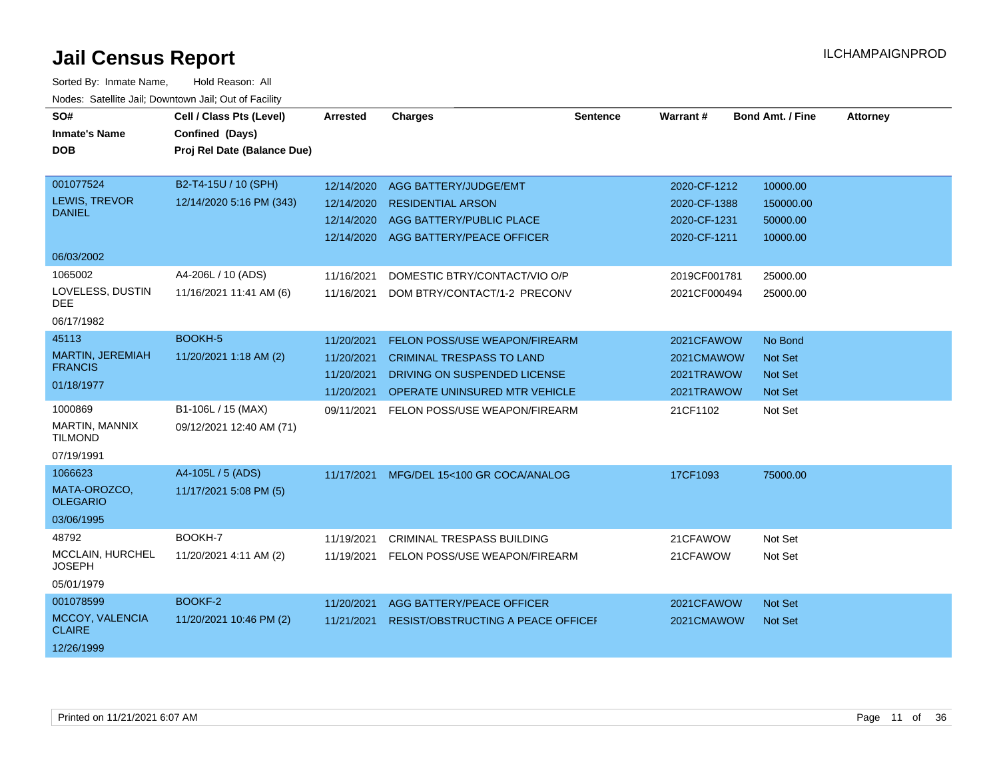| SO#                               | Cell / Class Pts (Level)    | Arrested   | <b>Charges</b>                       | <b>Sentence</b> | <b>Warrant#</b> | <b>Bond Amt. / Fine</b> | <b>Attorney</b> |
|-----------------------------------|-----------------------------|------------|--------------------------------------|-----------------|-----------------|-------------------------|-----------------|
| <b>Inmate's Name</b>              | Confined (Days)             |            |                                      |                 |                 |                         |                 |
| <b>DOB</b>                        | Proj Rel Date (Balance Due) |            |                                      |                 |                 |                         |                 |
|                                   |                             |            |                                      |                 |                 |                         |                 |
| 001077524                         | B2-T4-15U / 10 (SPH)        | 12/14/2020 | AGG BATTERY/JUDGE/EMT                |                 | 2020-CF-1212    | 10000.00                |                 |
| LEWIS, TREVOR<br><b>DANIEL</b>    | 12/14/2020 5:16 PM (343)    | 12/14/2020 | <b>RESIDENTIAL ARSON</b>             |                 | 2020-CF-1388    | 150000.00               |                 |
|                                   |                             | 12/14/2020 | AGG BATTERY/PUBLIC PLACE             |                 | 2020-CF-1231    | 50000.00                |                 |
|                                   |                             |            | 12/14/2020 AGG BATTERY/PEACE OFFICER |                 | 2020-CF-1211    | 10000.00                |                 |
| 06/03/2002                        |                             |            |                                      |                 |                 |                         |                 |
| 1065002                           | A4-206L / 10 (ADS)          | 11/16/2021 | DOMESTIC BTRY/CONTACT/VIO O/P        |                 | 2019CF001781    | 25000.00                |                 |
| LOVELESS, DUSTIN<br>DEE.          | 11/16/2021 11:41 AM (6)     | 11/16/2021 | DOM BTRY/CONTACT/1-2 PRECONV         |                 | 2021CF000494    | 25000.00                |                 |
| 06/17/1982                        |                             |            |                                      |                 |                 |                         |                 |
| 45113                             | BOOKH-5                     | 11/20/2021 | FELON POSS/USE WEAPON/FIREARM        |                 | 2021CFAWOW      | No Bond                 |                 |
| MARTIN, JEREMIAH                  | 11/20/2021 1:18 AM (2)      | 11/20/2021 | <b>CRIMINAL TRESPASS TO LAND</b>     |                 | 2021CMAWOW      | <b>Not Set</b>          |                 |
| <b>FRANCIS</b>                    |                             | 11/20/2021 | DRIVING ON SUSPENDED LICENSE         |                 | 2021TRAWOW      | Not Set                 |                 |
| 01/18/1977                        |                             | 11/20/2021 | OPERATE UNINSURED MTR VEHICLE        |                 | 2021TRAWOW      | <b>Not Set</b>          |                 |
| 1000869                           | B1-106L / 15 (MAX)          | 09/11/2021 | FELON POSS/USE WEAPON/FIREARM        |                 | 21CF1102        | Not Set                 |                 |
| MARTIN, MANNIX<br><b>TILMOND</b>  | 09/12/2021 12:40 AM (71)    |            |                                      |                 |                 |                         |                 |
| 07/19/1991                        |                             |            |                                      |                 |                 |                         |                 |
| 1066623                           | A4-105L / 5 (ADS)           | 11/17/2021 | MFG/DEL 15<100 GR COCA/ANALOG        |                 | 17CF1093        | 75000.00                |                 |
| MATA-OROZCO,<br><b>OLEGARIO</b>   | 11/17/2021 5:08 PM (5)      |            |                                      |                 |                 |                         |                 |
| 03/06/1995                        |                             |            |                                      |                 |                 |                         |                 |
| 48792                             | BOOKH-7                     | 11/19/2021 | <b>CRIMINAL TRESPASS BUILDING</b>    |                 | 21CFAWOW        | Not Set                 |                 |
| MCCLAIN, HURCHEL<br><b>JOSEPH</b> | 11/20/2021 4:11 AM (2)      | 11/19/2021 | FELON POSS/USE WEAPON/FIREARM        |                 | 21CFAWOW        | Not Set                 |                 |
| 05/01/1979                        |                             |            |                                      |                 |                 |                         |                 |
| 001078599                         | BOOKF-2                     | 11/20/2021 | AGG BATTERY/PEACE OFFICER            |                 | 2021CFAWOW      | <b>Not Set</b>          |                 |
| MCCOY, VALENCIA<br><b>CLAIRE</b>  | 11/20/2021 10:46 PM (2)     | 11/21/2021 | RESIST/OBSTRUCTING A PEACE OFFICEF   |                 | 2021CMAWOW      | <b>Not Set</b>          |                 |
| 12/26/1999                        |                             |            |                                      |                 |                 |                         |                 |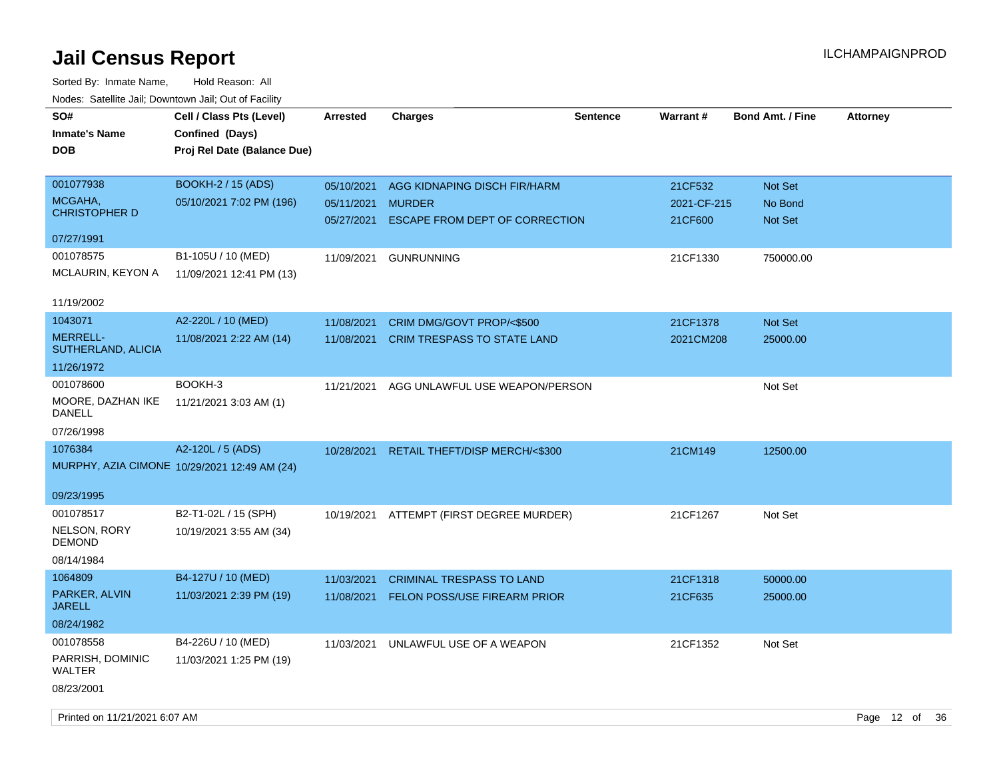| SO#<br><b>Inmate's Name</b><br><b>DOB</b>                            | Cell / Class Pts (Level)<br>Confined (Days)<br>Proj Rel Date (Balance Due) | <b>Arrested</b>                        | <b>Charges</b>                                                                  | <b>Sentence</b> | Warrant#                          | <b>Bond Amt. / Fine</b>       | <b>Attorney</b> |
|----------------------------------------------------------------------|----------------------------------------------------------------------------|----------------------------------------|---------------------------------------------------------------------------------|-----------------|-----------------------------------|-------------------------------|-----------------|
| 001077938<br>MCGAHA,<br><b>CHRISTOPHER D</b>                         | <b>BOOKH-2 / 15 (ADS)</b><br>05/10/2021 7:02 PM (196)                      | 05/10/2021<br>05/11/2021<br>05/27/2021 | AGG KIDNAPING DISCH FIR/HARM<br><b>MURDER</b><br>ESCAPE FROM DEPT OF CORRECTION |                 | 21CF532<br>2021-CF-215<br>21CF600 | Not Set<br>No Bond<br>Not Set |                 |
| 07/27/1991<br>001078575<br>MCLAURIN, KEYON A                         | B1-105U / 10 (MED)<br>11/09/2021 12:41 PM (13)                             | 11/09/2021                             | <b>GUNRUNNING</b>                                                               |                 | 21CF1330                          | 750000.00                     |                 |
| 11/19/2002<br>1043071<br><b>MERRELL-</b><br>SUTHERLAND, ALICIA       | A2-220L / 10 (MED)<br>11/08/2021 2:22 AM (14)                              | 11/08/2021<br>11/08/2021               | CRIM DMG/GOVT PROP/<\$500<br><b>CRIM TRESPASS TO STATE LAND</b>                 |                 | 21CF1378<br>2021CM208             | Not Set<br>25000.00           |                 |
| 11/26/1972<br>001078600<br>MOORE, DAZHAN IKE<br>DANELL<br>07/26/1998 | BOOKH-3<br>11/21/2021 3:03 AM (1)                                          | 11/21/2021                             | AGG UNLAWFUL USE WEAPON/PERSON                                                  |                 |                                   | Not Set                       |                 |
| 1076384<br>09/23/1995                                                | A2-120L / 5 (ADS)<br>MURPHY, AZIA CIMONE 10/29/2021 12:49 AM (24)          | 10/28/2021                             | RETAIL THEFT/DISP MERCH/<\$300                                                  |                 | 21CM149                           | 12500.00                      |                 |
| 001078517<br>NELSON, RORY<br>DEMOND<br>08/14/1984                    | B2-T1-02L / 15 (SPH)<br>10/19/2021 3:55 AM (34)                            | 10/19/2021                             | ATTEMPT (FIRST DEGREE MURDER)                                                   |                 | 21CF1267                          | Not Set                       |                 |
| 1064809<br>PARKER, ALVIN<br><b>JARELL</b><br>08/24/1982              | B4-127U / 10 (MED)<br>11/03/2021 2:39 PM (19)                              | 11/03/2021<br>11/08/2021               | <b>CRIMINAL TRESPASS TO LAND</b><br><b>FELON POSS/USE FIREARM PRIOR</b>         |                 | 21CF1318<br>21CF635               | 50000.00<br>25000.00          |                 |
| 001078558<br>PARRISH, DOMINIC<br>WALTER<br>08/23/2001                | B4-226U / 10 (MED)<br>11/03/2021 1:25 PM (19)                              | 11/03/2021                             | UNLAWFUL USE OF A WEAPON                                                        |                 | 21CF1352                          | Not Set                       |                 |
|                                                                      |                                                                            |                                        |                                                                                 |                 |                                   |                               |                 |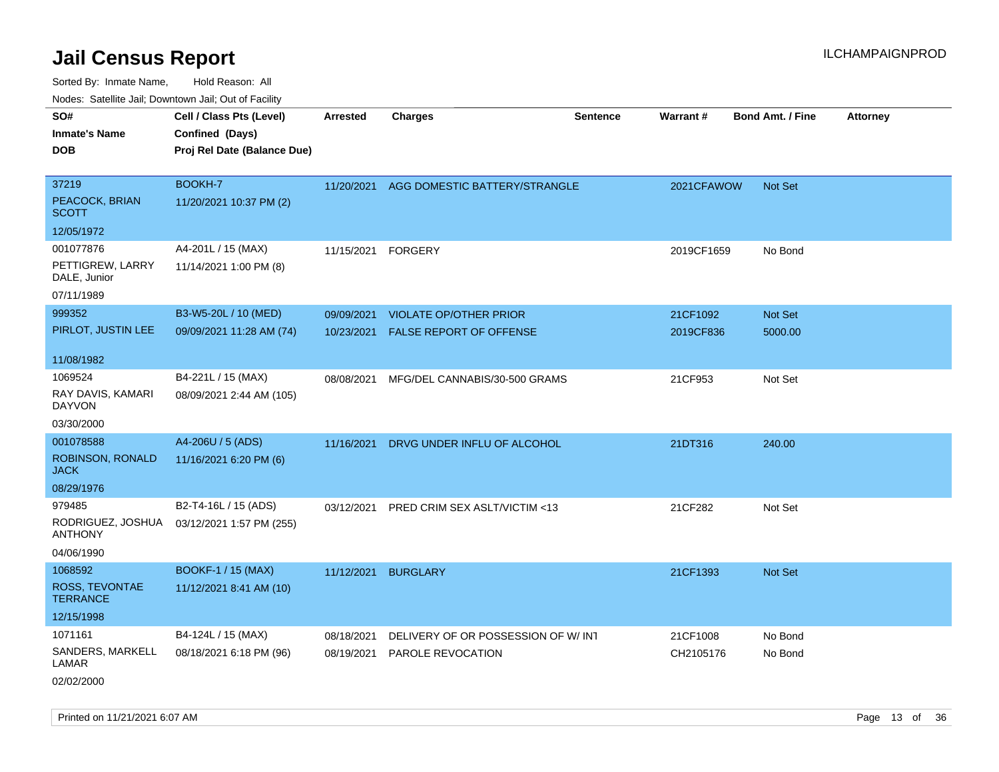Sorted By: Inmate Name, Hold Reason: All Nodes: Satellite Jail; Downtown Jail; Out of Facility

| rouco. Calcillo Jali, Downtown Jali, Out of Facility |                             |                 |                                    |                 |            |                         |                 |
|------------------------------------------------------|-----------------------------|-----------------|------------------------------------|-----------------|------------|-------------------------|-----------------|
| SO#                                                  | Cell / Class Pts (Level)    | <b>Arrested</b> | <b>Charges</b>                     | <b>Sentence</b> | Warrant#   | <b>Bond Amt. / Fine</b> | <b>Attorney</b> |
| <b>Inmate's Name</b>                                 | Confined (Days)             |                 |                                    |                 |            |                         |                 |
| <b>DOB</b>                                           | Proj Rel Date (Balance Due) |                 |                                    |                 |            |                         |                 |
|                                                      |                             |                 |                                    |                 |            |                         |                 |
| 37219                                                | BOOKH-7                     | 11/20/2021      | AGG DOMESTIC BATTERY/STRANGLE      |                 | 2021CFAWOW | Not Set                 |                 |
| PEACOCK, BRIAN<br><b>SCOTT</b>                       | 11/20/2021 10:37 PM (2)     |                 |                                    |                 |            |                         |                 |
| 12/05/1972                                           |                             |                 |                                    |                 |            |                         |                 |
| 001077876                                            | A4-201L / 15 (MAX)          | 11/15/2021      | <b>FORGERY</b>                     |                 | 2019CF1659 | No Bond                 |                 |
| PETTIGREW, LARRY<br>DALE, Junior                     | 11/14/2021 1:00 PM (8)      |                 |                                    |                 |            |                         |                 |
| 07/11/1989                                           |                             |                 |                                    |                 |            |                         |                 |
| 999352                                               | B3-W5-20L / 10 (MED)        | 09/09/2021      | <b>VIOLATE OP/OTHER PRIOR</b>      |                 | 21CF1092   | Not Set                 |                 |
| PIRLOT, JUSTIN LEE                                   | 09/09/2021 11:28 AM (74)    | 10/23/2021      | FALSE REPORT OF OFFENSE            |                 | 2019CF836  | 5000.00                 |                 |
|                                                      |                             |                 |                                    |                 |            |                         |                 |
| 11/08/1982                                           |                             |                 |                                    |                 |            |                         |                 |
| 1069524                                              | B4-221L / 15 (MAX)          | 08/08/2021      | MFG/DEL CANNABIS/30-500 GRAMS      |                 | 21CF953    | Not Set                 |                 |
| RAY DAVIS, KAMARI<br>DAYVON                          | 08/09/2021 2:44 AM (105)    |                 |                                    |                 |            |                         |                 |
| 03/30/2000                                           |                             |                 |                                    |                 |            |                         |                 |
| 001078588                                            | A4-206U / 5 (ADS)           | 11/16/2021      | DRVG UNDER INFLU OF ALCOHOL        |                 | 21DT316    | 240.00                  |                 |
| ROBINSON, RONALD<br>JACK                             | 11/16/2021 6:20 PM (6)      |                 |                                    |                 |            |                         |                 |
| 08/29/1976                                           |                             |                 |                                    |                 |            |                         |                 |
| 979485                                               | B2-T4-16L / 15 (ADS)        | 03/12/2021      | PRED CRIM SEX ASLT/VICTIM <13      |                 | 21CF282    | Not Set                 |                 |
| RODRIGUEZ, JOSHUA<br><b>ANTHONY</b>                  | 03/12/2021 1:57 PM (255)    |                 |                                    |                 |            |                         |                 |
| 04/06/1990                                           |                             |                 |                                    |                 |            |                         |                 |
| 1068592                                              | <b>BOOKF-1 / 15 (MAX)</b>   | 11/12/2021      | <b>BURGLARY</b>                    |                 | 21CF1393   | Not Set                 |                 |
| ROSS, TEVONTAE<br><b>TERRANCE</b>                    | 11/12/2021 8:41 AM (10)     |                 |                                    |                 |            |                         |                 |
| 12/15/1998                                           |                             |                 |                                    |                 |            |                         |                 |
| 1071161                                              | B4-124L / 15 (MAX)          | 08/18/2021      | DELIVERY OF OR POSSESSION OF W/INT |                 | 21CF1008   | No Bond                 |                 |
| SANDERS, MARKELL<br>LAMAR                            | 08/18/2021 6:18 PM (96)     | 08/19/2021      | <b>PAROLE REVOCATION</b>           |                 | CH2105176  | No Bond                 |                 |
| 02/02/2000                                           |                             |                 |                                    |                 |            |                         |                 |

Printed on 11/21/2021 6:07 AM Page 13 of 36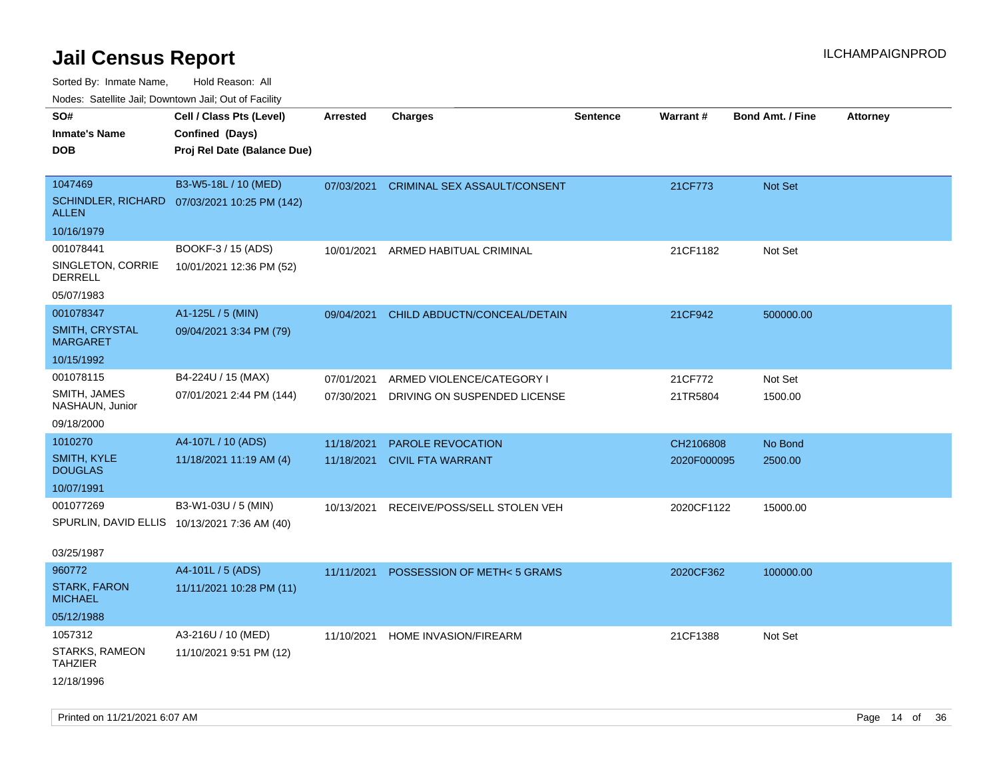Sorted By: Inmate Name, Hold Reason: All

Nodes: Satellite Jail; Downtown Jail; Out of Facility

| SO#<br><b>Inmate's Name</b><br><b>DOB</b>                                    | Cell / Class Pts (Level)<br>Confined (Days)<br>Proj Rel Date (Balance Due) | <b>Arrested</b>          | <b>Charges</b>                                            | <b>Sentence</b> | Warrant#                 | <b>Bond Amt. / Fine</b> | <b>Attorney</b> |
|------------------------------------------------------------------------------|----------------------------------------------------------------------------|--------------------------|-----------------------------------------------------------|-----------------|--------------------------|-------------------------|-----------------|
| 1047469<br><b>ALLEN</b>                                                      | B3-W5-18L / 10 (MED)<br>SCHINDLER, RICHARD 07/03/2021 10:25 PM (142)       | 07/03/2021               | CRIMINAL SEX ASSAULT/CONSENT                              |                 | 21CF773                  | Not Set                 |                 |
| 10/16/1979<br>001078441<br>SINGLETON, CORRIE<br><b>DERRELL</b><br>05/07/1983 | BOOKF-3 / 15 (ADS)<br>10/01/2021 12:36 PM (52)                             | 10/01/2021               | ARMED HABITUAL CRIMINAL                                   |                 | 21CF1182                 | Not Set                 |                 |
| 001078347<br>SMITH, CRYSTAL<br><b>MARGARET</b><br>10/15/1992                 | A1-125L / 5 (MIN)<br>09/04/2021 3:34 PM (79)                               | 09/04/2021               | CHILD ABDUCTN/CONCEAL/DETAIN                              |                 | 21CF942                  | 500000.00               |                 |
| 001078115<br>SMITH, JAMES<br>NASHAUN, Junior<br>09/18/2000                   | B4-224U / 15 (MAX)<br>07/01/2021 2:44 PM (144)                             | 07/01/2021<br>07/30/2021 | ARMED VIOLENCE/CATEGORY I<br>DRIVING ON SUSPENDED LICENSE |                 | 21CF772<br>21TR5804      | Not Set<br>1500.00      |                 |
| 1010270<br>SMITH, KYLE<br><b>DOUGLAS</b><br>10/07/1991                       | A4-107L / 10 (ADS)<br>11/18/2021 11:19 AM (4)                              | 11/18/2021<br>11/18/2021 | PAROLE REVOCATION<br><b>CIVIL FTA WARRANT</b>             |                 | CH2106808<br>2020F000095 | No Bond<br>2500.00      |                 |
| 001077269<br>SPURLIN, DAVID ELLIS 10/13/2021 7:36 AM (40)<br>03/25/1987      | B3-W1-03U / 5 (MIN)                                                        | 10/13/2021               | RECEIVE/POSS/SELL STOLEN VEH                              |                 | 2020CF1122               | 15000.00                |                 |
| 960772<br><b>STARK, FARON</b><br><b>MICHAEL</b><br>05/12/1988                | A4-101L / 5 (ADS)<br>11/11/2021 10:28 PM (11)                              | 11/11/2021               | POSSESSION OF METH<5 GRAMS                                |                 | 2020CF362                | 100000.00               |                 |
| 1057312<br>STARKS, RAMEON<br><b>TAHZIER</b><br>12/18/1996                    | A3-216U / 10 (MED)<br>11/10/2021 9:51 PM (12)                              | 11/10/2021               | HOME INVASION/FIREARM                                     |                 | 21CF1388                 | Not Set                 |                 |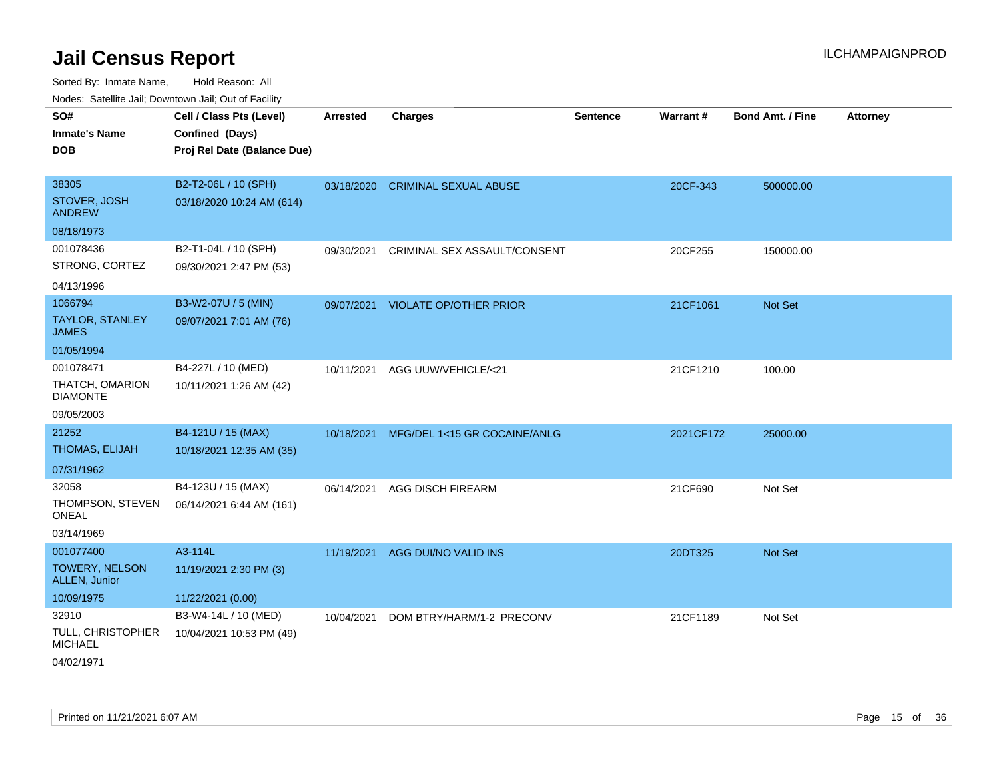| Noues. Salemie Jan, Downtown Jan, Out of Facility |                             |                 |                               |                 |                 |                         |                 |
|---------------------------------------------------|-----------------------------|-----------------|-------------------------------|-----------------|-----------------|-------------------------|-----------------|
| SO#                                               | Cell / Class Pts (Level)    | <b>Arrested</b> | <b>Charges</b>                | <b>Sentence</b> | <b>Warrant#</b> | <b>Bond Amt. / Fine</b> | <b>Attorney</b> |
| <b>Inmate's Name</b>                              | Confined (Days)             |                 |                               |                 |                 |                         |                 |
| <b>DOB</b>                                        | Proj Rel Date (Balance Due) |                 |                               |                 |                 |                         |                 |
|                                                   |                             |                 |                               |                 |                 |                         |                 |
| 38305                                             | B2-T2-06L / 10 (SPH)        | 03/18/2020      | <b>CRIMINAL SEXUAL ABUSE</b>  |                 | 20CF-343        | 500000.00               |                 |
| STOVER, JOSH<br><b>ANDREW</b>                     | 03/18/2020 10:24 AM (614)   |                 |                               |                 |                 |                         |                 |
| 08/18/1973                                        |                             |                 |                               |                 |                 |                         |                 |
| 001078436                                         | B2-T1-04L / 10 (SPH)        | 09/30/2021      | CRIMINAL SEX ASSAULT/CONSENT  |                 | 20CF255         | 150000.00               |                 |
| STRONG, CORTEZ                                    | 09/30/2021 2:47 PM (53)     |                 |                               |                 |                 |                         |                 |
| 04/13/1996                                        |                             |                 |                               |                 |                 |                         |                 |
| 1066794                                           | B3-W2-07U / 5 (MIN)         | 09/07/2021      | <b>VIOLATE OP/OTHER PRIOR</b> |                 | 21CF1061        | <b>Not Set</b>          |                 |
| <b>TAYLOR, STANLEY</b><br><b>JAMES</b>            | 09/07/2021 7:01 AM (76)     |                 |                               |                 |                 |                         |                 |
| 01/05/1994                                        |                             |                 |                               |                 |                 |                         |                 |
| 001078471                                         | B4-227L / 10 (MED)          | 10/11/2021      | AGG UUW/VEHICLE/<21           |                 | 21CF1210        | 100.00                  |                 |
| THATCH, OMARION<br><b>DIAMONTE</b>                | 10/11/2021 1:26 AM (42)     |                 |                               |                 |                 |                         |                 |
| 09/05/2003                                        |                             |                 |                               |                 |                 |                         |                 |
| 21252                                             | B4-121U / 15 (MAX)          | 10/18/2021      | MFG/DEL 1<15 GR COCAINE/ANLG  |                 | 2021CF172       | 25000.00                |                 |
| <b>THOMAS, ELIJAH</b>                             | 10/18/2021 12:35 AM (35)    |                 |                               |                 |                 |                         |                 |
| 07/31/1962                                        |                             |                 |                               |                 |                 |                         |                 |
| 32058                                             | B4-123U / 15 (MAX)          | 06/14/2021      | <b>AGG DISCH FIREARM</b>      |                 | 21CF690         | Not Set                 |                 |
| THOMPSON, STEVEN<br>ONEAL                         | 06/14/2021 6:44 AM (161)    |                 |                               |                 |                 |                         |                 |
| 03/14/1969                                        |                             |                 |                               |                 |                 |                         |                 |
| 001077400                                         | A3-114L                     | 11/19/2021      | AGG DUI/NO VALID INS          |                 | 20DT325         | Not Set                 |                 |
| <b>TOWERY, NELSON</b><br>ALLEN, Junior            | 11/19/2021 2:30 PM (3)      |                 |                               |                 |                 |                         |                 |
| 10/09/1975                                        | 11/22/2021 (0.00)           |                 |                               |                 |                 |                         |                 |
| 32910                                             | B3-W4-14L / 10 (MED)        | 10/04/2021      | DOM BTRY/HARM/1-2 PRECONV     |                 | 21CF1189        | Not Set                 |                 |
| TULL, CHRISTOPHER<br><b>MICHAEL</b>               | 10/04/2021 10:53 PM (49)    |                 |                               |                 |                 |                         |                 |
| 04/02/1971                                        |                             |                 |                               |                 |                 |                         |                 |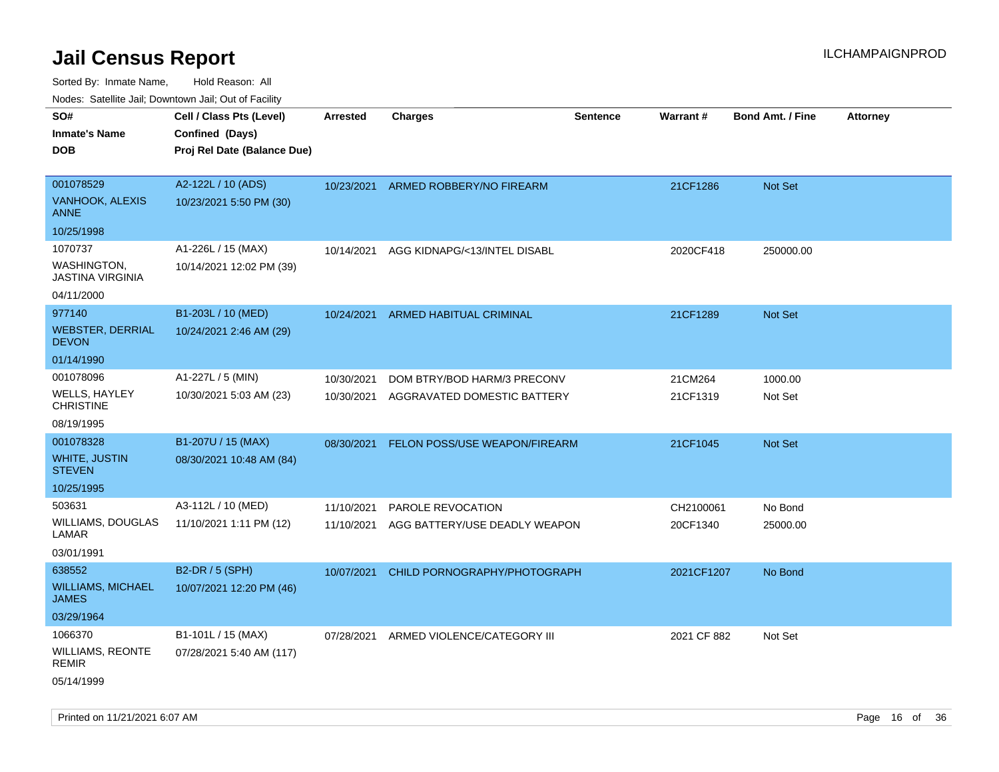| Nodes: Satellite Jali, Downtown Jali, Out of Facility |                             |                 |                               |                 |                 |                         |                 |
|-------------------------------------------------------|-----------------------------|-----------------|-------------------------------|-----------------|-----------------|-------------------------|-----------------|
| SO#                                                   | Cell / Class Pts (Level)    | <b>Arrested</b> | <b>Charges</b>                | <b>Sentence</b> | <b>Warrant#</b> | <b>Bond Amt. / Fine</b> | <b>Attorney</b> |
| <b>Inmate's Name</b>                                  | Confined (Days)             |                 |                               |                 |                 |                         |                 |
| <b>DOB</b>                                            | Proj Rel Date (Balance Due) |                 |                               |                 |                 |                         |                 |
|                                                       |                             |                 |                               |                 |                 |                         |                 |
| 001078529                                             | A2-122L / 10 (ADS)          | 10/23/2021      | ARMED ROBBERY/NO FIREARM      |                 | 21CF1286        | <b>Not Set</b>          |                 |
| VANHOOK, ALEXIS<br><b>ANNE</b>                        | 10/23/2021 5:50 PM (30)     |                 |                               |                 |                 |                         |                 |
| 10/25/1998                                            |                             |                 |                               |                 |                 |                         |                 |
| 1070737                                               | A1-226L / 15 (MAX)          | 10/14/2021      | AGG KIDNAPG/<13/INTEL DISABL  |                 | 2020CF418       | 250000.00               |                 |
| <b>WASHINGTON,</b><br><b>JASTINA VIRGINIA</b>         | 10/14/2021 12:02 PM (39)    |                 |                               |                 |                 |                         |                 |
| 04/11/2000                                            |                             |                 |                               |                 |                 |                         |                 |
| 977140                                                | B1-203L / 10 (MED)          | 10/24/2021      | ARMED HABITUAL CRIMINAL       |                 | 21CF1289        | Not Set                 |                 |
| <b>WEBSTER, DERRIAL</b><br><b>DEVON</b>               | 10/24/2021 2:46 AM (29)     |                 |                               |                 |                 |                         |                 |
| 01/14/1990                                            |                             |                 |                               |                 |                 |                         |                 |
| 001078096                                             | A1-227L / 5 (MIN)           | 10/30/2021      | DOM BTRY/BOD HARM/3 PRECONV   |                 | 21CM264         | 1000.00                 |                 |
| <b>WELLS, HAYLEY</b><br><b>CHRISTINE</b>              | 10/30/2021 5:03 AM (23)     | 10/30/2021      | AGGRAVATED DOMESTIC BATTERY   |                 | 21CF1319        | Not Set                 |                 |
| 08/19/1995                                            |                             |                 |                               |                 |                 |                         |                 |
| 001078328                                             | B1-207U / 15 (MAX)          | 08/30/2021      | FELON POSS/USE WEAPON/FIREARM |                 | 21CF1045        | <b>Not Set</b>          |                 |
| <b>WHITE, JUSTIN</b><br><b>STEVEN</b>                 | 08/30/2021 10:48 AM (84)    |                 |                               |                 |                 |                         |                 |
| 10/25/1995                                            |                             |                 |                               |                 |                 |                         |                 |
| 503631                                                | A3-112L / 10 (MED)          | 11/10/2021      | PAROLE REVOCATION             |                 | CH2100061       | No Bond                 |                 |
| WILLIAMS, DOUGLAS<br>LAMAR                            | 11/10/2021 1:11 PM (12)     | 11/10/2021      | AGG BATTERY/USE DEADLY WEAPON |                 | 20CF1340        | 25000.00                |                 |
| 03/01/1991                                            |                             |                 |                               |                 |                 |                         |                 |
| 638552                                                | B2-DR / 5 (SPH)             | 10/07/2021      | CHILD PORNOGRAPHY/PHOTOGRAPH  |                 | 2021CF1207      | No Bond                 |                 |
| <b>WILLIAMS, MICHAEL</b><br><b>JAMES</b>              | 10/07/2021 12:20 PM (46)    |                 |                               |                 |                 |                         |                 |
| 03/29/1964                                            |                             |                 |                               |                 |                 |                         |                 |
| 1066370                                               | B1-101L / 15 (MAX)          | 07/28/2021      | ARMED VIOLENCE/CATEGORY III   |                 | 2021 CF 882     | Not Set                 |                 |
| <b>WILLIAMS, REONTE</b><br><b>REMIR</b>               | 07/28/2021 5:40 AM (117)    |                 |                               |                 |                 |                         |                 |
| 05/14/1999                                            |                             |                 |                               |                 |                 |                         |                 |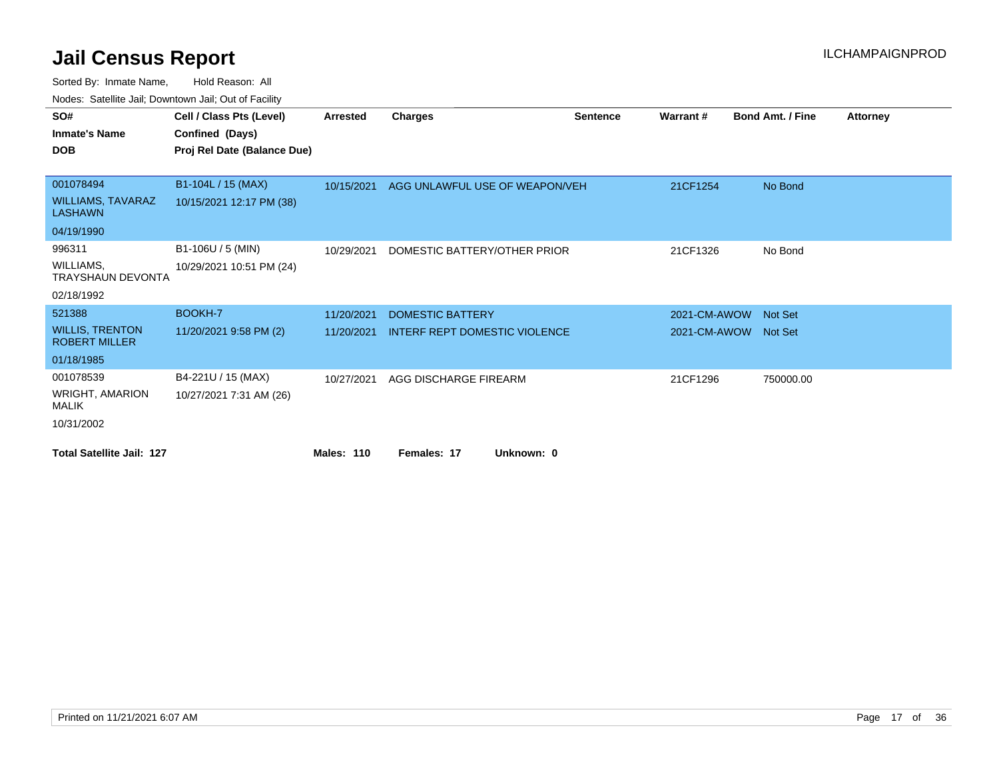| ivuutta. Saltiillit Jall, Duwilluwii Jall, Oul of Facility |                             |                   |                                      |                 |                      |                         |                 |
|------------------------------------------------------------|-----------------------------|-------------------|--------------------------------------|-----------------|----------------------|-------------------------|-----------------|
| SO#                                                        | Cell / Class Pts (Level)    | <b>Arrested</b>   | Charges                              | <b>Sentence</b> | Warrant#             | <b>Bond Amt. / Fine</b> | <b>Attorney</b> |
| <b>Inmate's Name</b>                                       | Confined (Days)             |                   |                                      |                 |                      |                         |                 |
| <b>DOB</b>                                                 | Proj Rel Date (Balance Due) |                   |                                      |                 |                      |                         |                 |
| 001078494                                                  | B1-104L / 15 (MAX)          |                   |                                      |                 |                      |                         |                 |
|                                                            |                             | 10/15/2021        | AGG UNLAWFUL USE OF WEAPON/VEH       |                 | 21CF1254             | No Bond                 |                 |
| <b>WILLIAMS, TAVARAZ</b><br><b>LASHAWN</b>                 | 10/15/2021 12:17 PM (38)    |                   |                                      |                 |                      |                         |                 |
| 04/19/1990                                                 |                             |                   |                                      |                 |                      |                         |                 |
| 996311                                                     | B1-106U / 5 (MIN)           | 10/29/2021        | DOMESTIC BATTERY/OTHER PRIOR         |                 | 21CF1326             | No Bond                 |                 |
| WILLIAMS,<br><b>TRAYSHAUN DEVONTA</b>                      | 10/29/2021 10:51 PM (24)    |                   |                                      |                 |                      |                         |                 |
| 02/18/1992                                                 |                             |                   |                                      |                 |                      |                         |                 |
| 521388                                                     | BOOKH-7                     | 11/20/2021        | <b>DOMESTIC BATTERY</b>              |                 | 2021-CM-AWOW         | <b>Not Set</b>          |                 |
| <b>WILLIS, TRENTON</b><br><b>ROBERT MILLER</b>             | 11/20/2021 9:58 PM (2)      | 11/20/2021        | <b>INTERF REPT DOMESTIC VIOLENCE</b> |                 | 2021-CM-AWOW Not Set |                         |                 |
| 01/18/1985                                                 |                             |                   |                                      |                 |                      |                         |                 |
| 001078539                                                  | B4-221U / 15 (MAX)          | 10/27/2021        | AGG DISCHARGE FIREARM                |                 | 21CF1296             | 750000.00               |                 |
| <b>WRIGHT, AMARION</b><br><b>MALIK</b>                     | 10/27/2021 7:31 AM (26)     |                   |                                      |                 |                      |                         |                 |
| 10/31/2002                                                 |                             |                   |                                      |                 |                      |                         |                 |
| <b>Total Satellite Jail: 127</b>                           |                             | <b>Males: 110</b> | Unknown: 0<br>Females: 17            |                 |                      |                         |                 |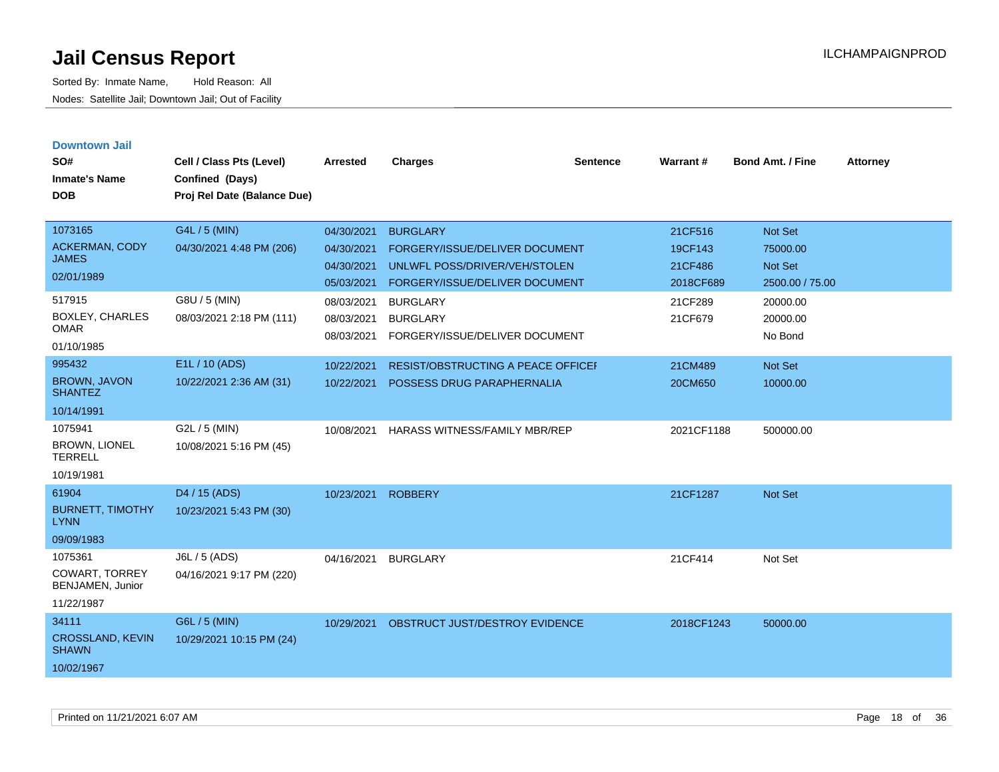| <b>Downtown Jail</b><br>SO#<br><b>Inmate's Name</b><br><b>DOB</b> | Cell / Class Pts (Level)<br>Confined (Days)<br>Proj Rel Date (Balance Due) | <b>Arrested</b>                                      | <b>Charges</b>                                                                                                       | <b>Sentence</b> | Warrant#                                   | <b>Bond Amt. / Fine</b>                           | <b>Attorney</b> |
|-------------------------------------------------------------------|----------------------------------------------------------------------------|------------------------------------------------------|----------------------------------------------------------------------------------------------------------------------|-----------------|--------------------------------------------|---------------------------------------------------|-----------------|
| 1073165<br>ACKERMAN, CODY<br><b>JAMES</b><br>02/01/1989           | G4L / 5 (MIN)<br>04/30/2021 4:48 PM (206)                                  | 04/30/2021<br>04/30/2021<br>04/30/2021<br>05/03/2021 | <b>BURGLARY</b><br>FORGERY/ISSUE/DELIVER DOCUMENT<br>UNLWFL POSS/DRIVER/VEH/STOLEN<br>FORGERY/ISSUE/DELIVER DOCUMENT |                 | 21CF516<br>19CF143<br>21CF486<br>2018CF689 | Not Set<br>75000.00<br>Not Set<br>2500.00 / 75.00 |                 |
| 517915<br><b>BOXLEY, CHARLES</b><br><b>OMAR</b><br>01/10/1985     | G8U / 5 (MIN)<br>08/03/2021 2:18 PM (111)                                  | 08/03/2021<br>08/03/2021<br>08/03/2021               | <b>BURGLARY</b><br><b>BURGLARY</b><br>FORGERY/ISSUE/DELIVER DOCUMENT                                                 |                 | 21CF289<br>21CF679                         | 20000.00<br>20000.00<br>No Bond                   |                 |
| 995432<br><b>BROWN, JAVON</b><br><b>SHANTEZ</b><br>10/14/1991     | E1L / 10 (ADS)<br>10/22/2021 2:36 AM (31)                                  | 10/22/2021<br>10/22/2021                             | <b>RESIST/OBSTRUCTING A PEACE OFFICEF</b><br>POSSESS DRUG PARAPHERNALIA                                              |                 | 21CM489<br>20CM650                         | Not Set<br>10000.00                               |                 |
| 1075941<br><b>BROWN, LIONEL</b><br><b>TERRELL</b><br>10/19/1981   | G2L / 5 (MIN)<br>10/08/2021 5:16 PM (45)                                   | 10/08/2021                                           | <b>HARASS WITNESS/FAMILY MBR/REP</b>                                                                                 |                 | 2021CF1188                                 | 500000.00                                         |                 |
| 61904<br><b>BURNETT, TIMOTHY</b><br><b>LYNN</b><br>09/09/1983     | D4 / 15 (ADS)<br>10/23/2021 5:43 PM (30)                                   | 10/23/2021                                           | <b>ROBBERY</b>                                                                                                       |                 | 21CF1287                                   | Not Set                                           |                 |
| 1075361<br>COWART, TORREY<br>BENJAMEN, Junior<br>11/22/1987       | J6L / 5 (ADS)<br>04/16/2021 9:17 PM (220)                                  | 04/16/2021                                           | <b>BURGLARY</b>                                                                                                      |                 | 21CF414                                    | Not Set                                           |                 |
| 34111<br><b>CROSSLAND, KEVIN</b><br><b>SHAWN</b><br>10/02/1967    | G6L / 5 (MIN)<br>10/29/2021 10:15 PM (24)                                  | 10/29/2021                                           | OBSTRUCT JUST/DESTROY EVIDENCE                                                                                       |                 | 2018CF1243                                 | 50000.00                                          |                 |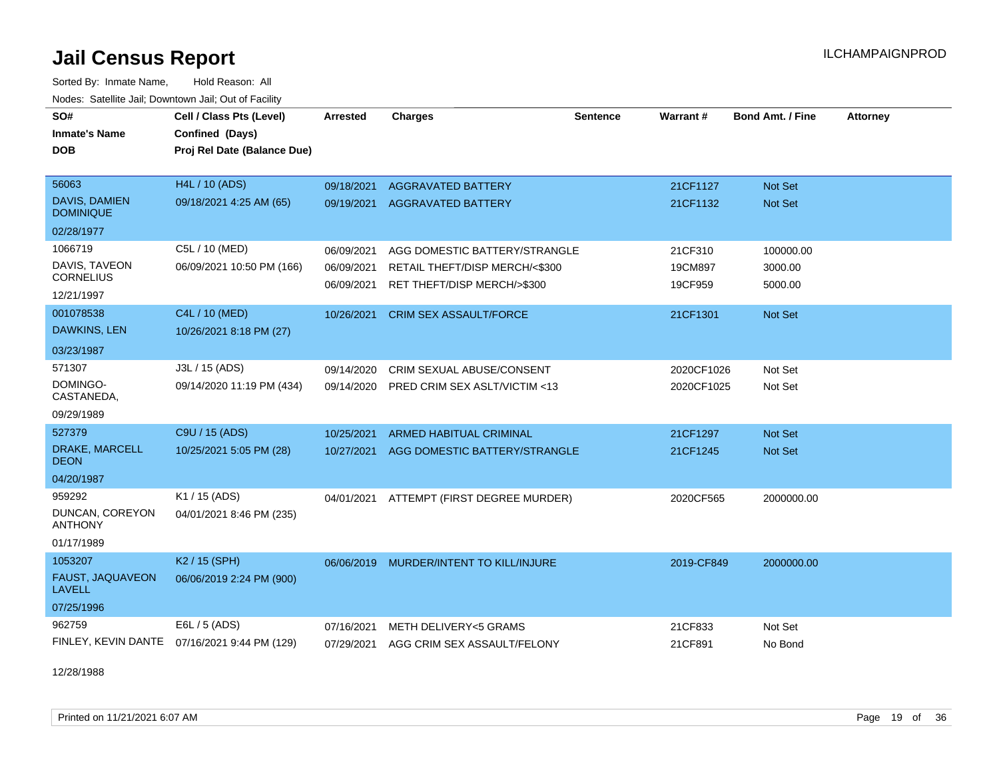Sorted By: Inmate Name, Hold Reason: All Nodes: Satellite Jail; Downtown Jail; Out of Facility

| SO#<br><b>Inmate's Name</b><br>DOB                         | Cell / Class Pts (Level)<br>Confined (Days)<br>Proj Rel Date (Balance Due) | <b>Arrested</b>                        | <b>Charges</b>                                                                                 | <b>Sentence</b> | Warrant#                      | Bond Amt. / Fine                 | <b>Attorney</b> |
|------------------------------------------------------------|----------------------------------------------------------------------------|----------------------------------------|------------------------------------------------------------------------------------------------|-----------------|-------------------------------|----------------------------------|-----------------|
| 56063<br>DAVIS, DAMIEN<br><b>DOMINIQUE</b>                 | <b>H4L / 10 (ADS)</b><br>09/18/2021 4:25 AM (65)                           | 09/18/2021<br>09/19/2021               | <b>AGGRAVATED BATTERY</b><br><b>AGGRAVATED BATTERY</b>                                         |                 | 21CF1127<br>21CF1132          | Not Set<br><b>Not Set</b>        |                 |
| 02/28/1977                                                 |                                                                            |                                        |                                                                                                |                 |                               |                                  |                 |
| 1066719<br>DAVIS, TAVEON<br><b>CORNELIUS</b><br>12/21/1997 | C5L / 10 (MED)<br>06/09/2021 10:50 PM (166)                                | 06/09/2021<br>06/09/2021<br>06/09/2021 | AGG DOMESTIC BATTERY/STRANGLE<br>RETAIL THEFT/DISP MERCH/<\$300<br>RET THEFT/DISP MERCH/>\$300 |                 | 21CF310<br>19CM897<br>19CF959 | 100000.00<br>3000.00<br>5000.00  |                 |
| 001078538<br>DAWKINS, LEN<br>03/23/1987                    | C4L / 10 (MED)<br>10/26/2021 8:18 PM (27)                                  | 10/26/2021                             | <b>CRIM SEX ASSAULT/FORCE</b>                                                                  |                 | 21CF1301                      | <b>Not Set</b>                   |                 |
| 571307<br>DOMINGO-<br>CASTANEDA,<br>09/29/1989             | J3L / 15 (ADS)<br>09/14/2020 11:19 PM (434)                                | 09/14/2020<br>09/14/2020               | CRIM SEXUAL ABUSE/CONSENT<br>PRED CRIM SEX ASLT/VICTIM <13                                     |                 | 2020CF1026<br>2020CF1025      | Not Set<br>Not Set               |                 |
| 527379<br><b>DRAKE, MARCELL</b><br>DEON<br>04/20/1987      | C9U / 15 (ADS)<br>10/25/2021 5:05 PM (28)                                  | 10/25/2021<br>10/27/2021               | <b>ARMED HABITUAL CRIMINAL</b><br>AGG DOMESTIC BATTERY/STRANGLE                                |                 | 21CF1297<br>21CF1245          | <b>Not Set</b><br><b>Not Set</b> |                 |
| 959292<br>DUNCAN, COREYON<br><b>ANTHONY</b><br>01/17/1989  | K1 / 15 (ADS)<br>04/01/2021 8:46 PM (235)                                  | 04/01/2021                             | ATTEMPT (FIRST DEGREE MURDER)                                                                  |                 | 2020CF565                     | 2000000.00                       |                 |
| 1053207<br>FAUST, JAQUAVEON<br><b>LAVELL</b><br>07/25/1996 | K <sub>2</sub> / 15 (SPH)<br>06/06/2019 2:24 PM (900)                      | 06/06/2019                             | MURDER/INTENT TO KILL/INJURE                                                                   |                 | 2019-CF849                    | 2000000.00                       |                 |
| 962759                                                     | E6L / 5 (ADS)<br>FINLEY, KEVIN DANTE 07/16/2021 9:44 PM (129)              | 07/16/2021<br>07/29/2021               | <b>METH DELIVERY&lt;5 GRAMS</b><br>AGG CRIM SEX ASSAULT/FELONY                                 |                 | 21CF833<br>21CF891            | Not Set<br>No Bond               |                 |

12/28/1988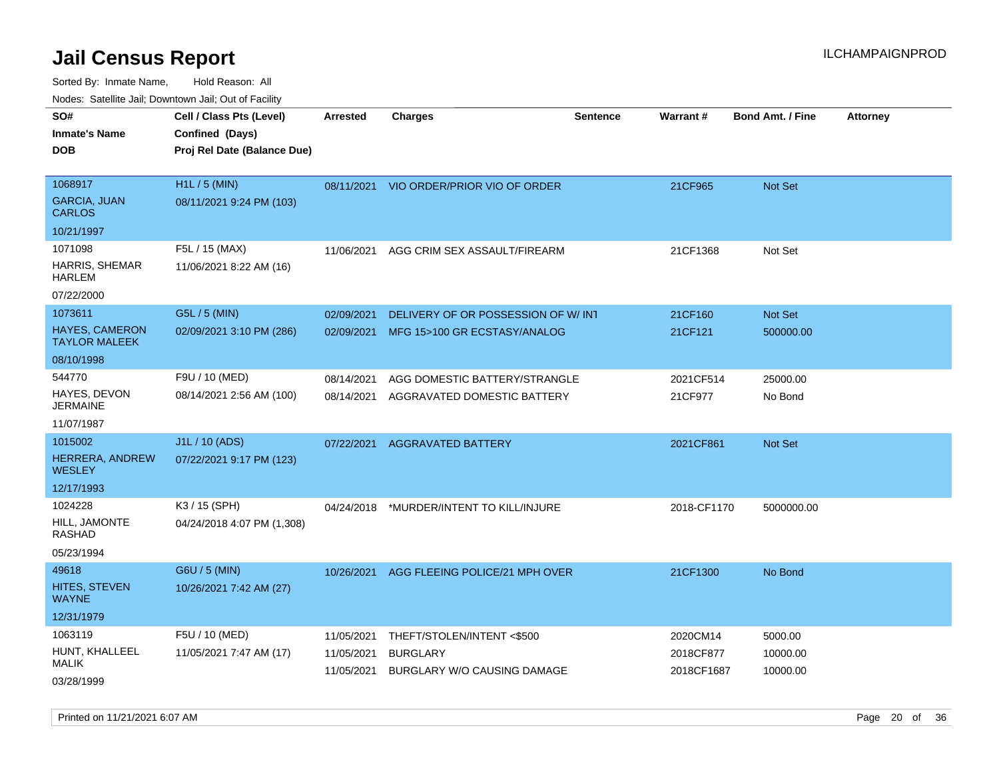Sorted By: Inmate Name, Hold Reason: All Nodes: Satellite Jail; Downtown Jail; Out of Facility

| rouco. Calcinic Jan, Downtown Jan, Out of Facility                     |                                                                            |                                        |                                                                             |                 |                                     |                                 |                 |
|------------------------------------------------------------------------|----------------------------------------------------------------------------|----------------------------------------|-----------------------------------------------------------------------------|-----------------|-------------------------------------|---------------------------------|-----------------|
| SO#<br>Inmate's Name<br><b>DOB</b>                                     | Cell / Class Pts (Level)<br>Confined (Days)<br>Proj Rel Date (Balance Due) | <b>Arrested</b>                        | <b>Charges</b>                                                              | <b>Sentence</b> | <b>Warrant#</b>                     | <b>Bond Amt. / Fine</b>         | <b>Attorney</b> |
| 1068917<br><b>GARCIA, JUAN</b><br>CARLOS                               | H1L / 5 (MIN)<br>08/11/2021 9:24 PM (103)                                  |                                        | 08/11/2021 VIO ORDER/PRIOR VIO OF ORDER                                     |                 | 21CF965                             | <b>Not Set</b>                  |                 |
| 10/21/1997<br>1071098<br><b>HARRIS, SHEMAR</b><br>HARLEM<br>07/22/2000 | F5L / 15 (MAX)<br>11/06/2021 8:22 AM (16)                                  | 11/06/2021                             | AGG CRIM SEX ASSAULT/FIREARM                                                |                 | 21CF1368                            | Not Set                         |                 |
| 1073611<br><b>HAYES, CAMERON</b><br>TAYLOR MALEEK<br>08/10/1998        | G5L / 5 (MIN)<br>02/09/2021 3:10 PM (286)                                  | 02/09/2021<br>02/09/2021               | DELIVERY OF OR POSSESSION OF W/INT<br>MFG 15>100 GR ECSTASY/ANALOG          |                 | 21CF160<br>21CF121                  | <b>Not Set</b><br>500000.00     |                 |
| 544770<br>HAYES, DEVON<br>JERMAINE<br>11/07/1987                       | F9U / 10 (MED)<br>08/14/2021 2:56 AM (100)                                 | 08/14/2021<br>08/14/2021               | AGG DOMESTIC BATTERY/STRANGLE<br>AGGRAVATED DOMESTIC BATTERY                |                 | 2021CF514<br>21CF977                | 25000.00<br>No Bond             |                 |
| 1015002<br><b>HERRERA, ANDREW</b><br>WESLEY<br>12/17/1993              | J1L / 10 (ADS)<br>07/22/2021 9:17 PM (123)                                 | 07/22/2021                             | AGGRAVATED BATTERY                                                          |                 | 2021CF861                           | Not Set                         |                 |
| 1024228<br>HILL, JAMONTE<br>RASHAD<br>05/23/1994                       | K3 / 15 (SPH)<br>04/24/2018 4:07 PM (1,308)                                | 04/24/2018                             | *MURDER/INTENT TO KILL/INJURE                                               |                 | 2018-CF1170                         | 5000000.00                      |                 |
| 49618<br>HITES, STEVEN<br>WAYNE<br>12/31/1979                          | G6U / 5 (MIN)<br>10/26/2021 7:42 AM (27)                                   | 10/26/2021                             | AGG FLEEING POLICE/21 MPH OVER                                              |                 | 21CF1300                            | No Bond                         |                 |
| 1063119<br>HUNT, KHALLEEL<br>MALIK<br>03/28/1999                       | F5U / 10 (MED)<br>11/05/2021 7:47 AM (17)                                  | 11/05/2021<br>11/05/2021<br>11/05/2021 | THEFT/STOLEN/INTENT<\$500<br><b>BURGLARY</b><br>BURGLARY W/O CAUSING DAMAGE |                 | 2020CM14<br>2018CF877<br>2018CF1687 | 5000.00<br>10000.00<br>10000.00 |                 |

Printed on 11/21/2021 6:07 AM Page 20 of 36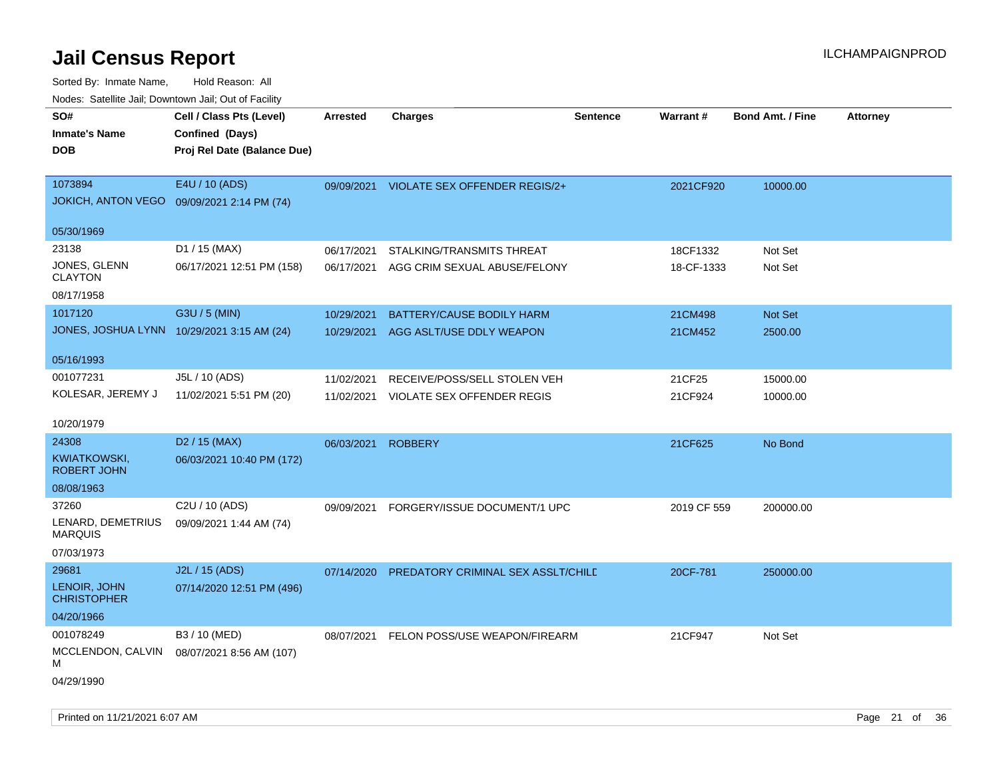| SO#<br><b>Inmate's Name</b><br><b>DOB</b>  | Cell / Class Pts (Level)<br>Confined (Days)<br>Proj Rel Date (Balance Due) | Arrested   | <b>Charges</b>                       | <b>Sentence</b> | <b>Warrant#</b> | <b>Bond Amt. / Fine</b> | <b>Attorney</b> |
|--------------------------------------------|----------------------------------------------------------------------------|------------|--------------------------------------|-----------------|-----------------|-------------------------|-----------------|
| 1073894<br><b>JOKICH, ANTON VEGO</b>       | E4U / 10 (ADS)<br>09/09/2021 2:14 PM (74)                                  | 09/09/2021 | <b>VIOLATE SEX OFFENDER REGIS/2+</b> |                 | 2021CF920       | 10000.00                |                 |
| 05/30/1969                                 |                                                                            |            |                                      |                 |                 |                         |                 |
| 23138                                      | D1 / 15 (MAX)                                                              | 06/17/2021 | STALKING/TRANSMITS THREAT            |                 | 18CF1332        | Not Set                 |                 |
| JONES, GLENN<br><b>CLAYTON</b>             | 06/17/2021 12:51 PM (158)                                                  | 06/17/2021 | AGG CRIM SEXUAL ABUSE/FELONY         |                 | 18-CF-1333      | Not Set                 |                 |
| 08/17/1958                                 |                                                                            |            |                                      |                 |                 |                         |                 |
| 1017120                                    | G3U / 5 (MIN)                                                              | 10/29/2021 | BATTERY/CAUSE BODILY HARM            |                 | 21CM498         | Not Set                 |                 |
| JONES, JOSHUA LYNN 10/29/2021 3:15 AM (24) |                                                                            | 10/29/2021 | AGG ASLT/USE DDLY WEAPON             |                 | 21CM452         | 2500.00                 |                 |
| 05/16/1993                                 |                                                                            |            |                                      |                 |                 |                         |                 |
| 001077231                                  | J5L / 10 (ADS)                                                             | 11/02/2021 | RECEIVE/POSS/SELL STOLEN VEH         |                 | 21CF25          | 15000.00                |                 |
| KOLESAR, JEREMY J                          | 11/02/2021 5:51 PM (20)                                                    | 11/02/2021 | VIOLATE SEX OFFENDER REGIS           |                 | 21CF924         | 10000.00                |                 |
| 10/20/1979                                 |                                                                            |            |                                      |                 |                 |                         |                 |
| 24308                                      | D <sub>2</sub> / 15 (MAX)                                                  | 06/03/2021 | <b>ROBBERY</b>                       |                 | 21CF625         | No Bond                 |                 |
| KWIATKOWSKI,<br><b>ROBERT JOHN</b>         | 06/03/2021 10:40 PM (172)                                                  |            |                                      |                 |                 |                         |                 |
| 08/08/1963                                 |                                                                            |            |                                      |                 |                 |                         |                 |
| 37260                                      | C <sub>2</sub> U / 10 (ADS)                                                | 09/09/2021 | FORGERY/ISSUE DOCUMENT/1 UPC         |                 | 2019 CF 559     | 200000.00               |                 |
| LENARD, DEMETRIUS<br><b>MARQUIS</b>        | 09/09/2021 1:44 AM (74)                                                    |            |                                      |                 |                 |                         |                 |
| 07/03/1973                                 |                                                                            |            |                                      |                 |                 |                         |                 |
| 29681                                      | J2L / 15 (ADS)                                                             | 07/14/2020 | PREDATORY CRIMINAL SEX ASSLT/CHILD   |                 | 20CF-781        | 250000.00               |                 |
| LENOIR, JOHN<br><b>CHRISTOPHER</b>         | 07/14/2020 12:51 PM (496)                                                  |            |                                      |                 |                 |                         |                 |
| 04/20/1966                                 |                                                                            |            |                                      |                 |                 |                         |                 |
| 001078249                                  | B3 / 10 (MED)                                                              | 08/07/2021 | FELON POSS/USE WEAPON/FIREARM        |                 | 21CF947         | Not Set                 |                 |
| MCCLENDON, CALVIN<br>м                     | 08/07/2021 8:56 AM (107)                                                   |            |                                      |                 |                 |                         |                 |
| 04/29/1990                                 |                                                                            |            |                                      |                 |                 |                         |                 |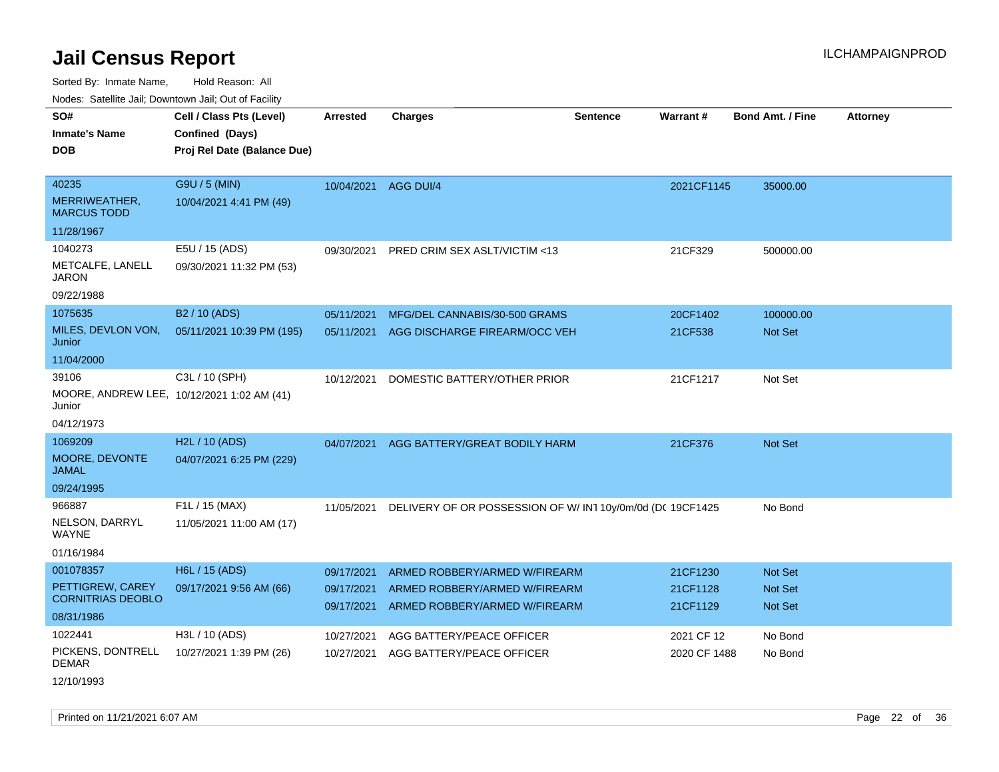Sorted By: Inmate Name, Hold Reason: All

Nodes: Satellite Jail; Downtown Jail; Out of Facility

| SO#                                 | Cell / Class Pts (Level)                   | <b>Arrested</b>      | <b>Charges</b>                                           | <b>Sentence</b> | <b>Warrant#</b> | <b>Bond Amt. / Fine</b> | <b>Attorney</b> |
|-------------------------------------|--------------------------------------------|----------------------|----------------------------------------------------------|-----------------|-----------------|-------------------------|-----------------|
| <b>Inmate's Name</b>                | Confined (Days)                            |                      |                                                          |                 |                 |                         |                 |
| <b>DOB</b>                          | Proj Rel Date (Balance Due)                |                      |                                                          |                 |                 |                         |                 |
|                                     |                                            |                      |                                                          |                 |                 |                         |                 |
| 40235                               | G9U / 5 (MIN)                              | 10/04/2021 AGG DUI/4 |                                                          |                 | 2021CF1145      | 35000.00                |                 |
| MERRIWEATHER,<br><b>MARCUS TODD</b> | 10/04/2021 4:41 PM (49)                    |                      |                                                          |                 |                 |                         |                 |
| 11/28/1967                          |                                            |                      |                                                          |                 |                 |                         |                 |
| 1040273                             | E5U / 15 (ADS)                             | 09/30/2021           | PRED CRIM SEX ASLT/VICTIM <13                            |                 | 21CF329         | 500000.00               |                 |
| METCALFE, LANELL<br><b>JARON</b>    | 09/30/2021 11:32 PM (53)                   |                      |                                                          |                 |                 |                         |                 |
| 09/22/1988                          |                                            |                      |                                                          |                 |                 |                         |                 |
| 1075635                             | B <sub>2</sub> / 10 (ADS)                  | 05/11/2021           | MFG/DEL CANNABIS/30-500 GRAMS                            |                 | 20CF1402        | 100000.00               |                 |
| MILES, DEVLON VON,<br>Junior        | 05/11/2021 10:39 PM (195)                  | 05/11/2021           | AGG DISCHARGE FIREARM/OCC VEH                            |                 | 21CF538         | <b>Not Set</b>          |                 |
| 11/04/2000                          |                                            |                      |                                                          |                 |                 |                         |                 |
| 39106                               | C3L / 10 (SPH)                             | 10/12/2021           | DOMESTIC BATTERY/OTHER PRIOR                             |                 | 21CF1217        | Not Set                 |                 |
| Junior                              | MOORE, ANDREW LEE, 10/12/2021 1:02 AM (41) |                      |                                                          |                 |                 |                         |                 |
| 04/12/1973                          |                                            |                      |                                                          |                 |                 |                         |                 |
| 1069209                             | H2L / 10 (ADS)                             | 04/07/2021           | AGG BATTERY/GREAT BODILY HARM                            |                 | 21CF376         | <b>Not Set</b>          |                 |
| MOORE, DEVONTE<br><b>JAMAL</b>      | 04/07/2021 6:25 PM (229)                   |                      |                                                          |                 |                 |                         |                 |
| 09/24/1995                          |                                            |                      |                                                          |                 |                 |                         |                 |
| 966887                              | F1L / 15 (MAX)                             | 11/05/2021           | DELIVERY OF OR POSSESSION OF W/IN110y/0m/0d (DC 19CF1425 |                 |                 | No Bond                 |                 |
| NELSON, DARRYL<br><b>WAYNE</b>      | 11/05/2021 11:00 AM (17)                   |                      |                                                          |                 |                 |                         |                 |
| 01/16/1984                          |                                            |                      |                                                          |                 |                 |                         |                 |
| 001078357                           | H6L / 15 (ADS)                             | 09/17/2021           | ARMED ROBBERY/ARMED W/FIREARM                            |                 | 21CF1230        | <b>Not Set</b>          |                 |
| PETTIGREW, CAREY                    | 09/17/2021 9:56 AM (66)                    | 09/17/2021           | ARMED ROBBERY/ARMED W/FIREARM                            |                 | 21CF1128        | Not Set                 |                 |
| <b>CORNITRIAS DEOBLO</b>            |                                            | 09/17/2021           | ARMED ROBBERY/ARMED W/FIREARM                            |                 | 21CF1129        | Not Set                 |                 |
| 08/31/1986                          |                                            |                      |                                                          |                 |                 |                         |                 |
| 1022441                             | H3L / 10 (ADS)                             | 10/27/2021           | AGG BATTERY/PEACE OFFICER                                |                 | 2021 CF 12      | No Bond                 |                 |
| PICKENS, DONTRELL<br><b>DEMAR</b>   | 10/27/2021 1:39 PM (26)                    | 10/27/2021           | AGG BATTERY/PEACE OFFICER                                |                 | 2020 CF 1488    | No Bond                 |                 |
| 12/10/1993                          |                                            |                      |                                                          |                 |                 |                         |                 |

Printed on 11/21/2021 6:07 AM Page 22 of 36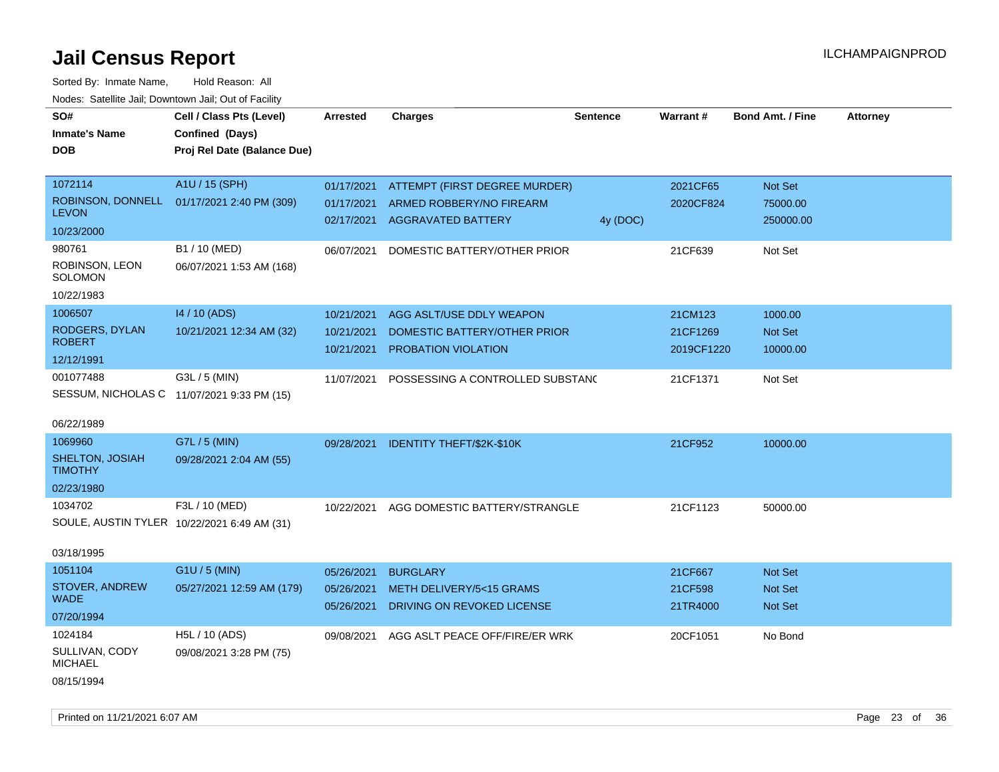| Cell / Class Pts (Level)<br>Confined (Days)<br>Proj Rel Date (Balance Due) | <b>Arrested</b>                                                                                        | <b>Charges</b> | Sentence                                                                                                                                                                                                                                                                                            | Warrant#                                                                                                                             | <b>Bond Amt. / Fine</b> | <b>Attorney</b>        |
|----------------------------------------------------------------------------|--------------------------------------------------------------------------------------------------------|----------------|-----------------------------------------------------------------------------------------------------------------------------------------------------------------------------------------------------------------------------------------------------------------------------------------------------|--------------------------------------------------------------------------------------------------------------------------------------|-------------------------|------------------------|
|                                                                            |                                                                                                        |                |                                                                                                                                                                                                                                                                                                     |                                                                                                                                      |                         |                        |
| A1U / 15 (SPH)                                                             | 01/17/2021                                                                                             |                |                                                                                                                                                                                                                                                                                                     | 2021CF65                                                                                                                             | Not Set                 |                        |
| 01/17/2021 2:40 PM (309)                                                   | 01/17/2021                                                                                             |                |                                                                                                                                                                                                                                                                                                     | 2020CF824                                                                                                                            | 75000.00                |                        |
|                                                                            | 02/17/2021                                                                                             |                | 4y (DOC)                                                                                                                                                                                                                                                                                            |                                                                                                                                      | 250000.00               |                        |
|                                                                            |                                                                                                        |                |                                                                                                                                                                                                                                                                                                     |                                                                                                                                      |                         |                        |
| B1 / 10 (MED)                                                              | 06/07/2021                                                                                             |                |                                                                                                                                                                                                                                                                                                     | 21CF639                                                                                                                              | Not Set                 |                        |
| 06/07/2021 1:53 AM (168)                                                   |                                                                                                        |                |                                                                                                                                                                                                                                                                                                     |                                                                                                                                      |                         |                        |
|                                                                            |                                                                                                        |                |                                                                                                                                                                                                                                                                                                     |                                                                                                                                      |                         |                        |
| 14 / 10 (ADS)                                                              | 10/21/2021                                                                                             |                |                                                                                                                                                                                                                                                                                                     | 21CM123                                                                                                                              | 1000.00                 |                        |
| 10/21/2021 12:34 AM (32)                                                   | 10/21/2021                                                                                             |                |                                                                                                                                                                                                                                                                                                     | 21CF1269                                                                                                                             | Not Set                 |                        |
|                                                                            | 10/21/2021                                                                                             |                |                                                                                                                                                                                                                                                                                                     |                                                                                                                                      |                         |                        |
|                                                                            |                                                                                                        |                |                                                                                                                                                                                                                                                                                                     |                                                                                                                                      |                         |                        |
| $G3L / 5$ (MIN)                                                            | 11/07/2021                                                                                             |                |                                                                                                                                                                                                                                                                                                     | 21CF1371                                                                                                                             | Not Set                 |                        |
| SESSUM, NICHOLAS C 11/07/2021 9:33 PM (15)                                 |                                                                                                        |                |                                                                                                                                                                                                                                                                                                     |                                                                                                                                      |                         |                        |
|                                                                            |                                                                                                        |                |                                                                                                                                                                                                                                                                                                     |                                                                                                                                      |                         |                        |
|                                                                            |                                                                                                        |                |                                                                                                                                                                                                                                                                                                     |                                                                                                                                      |                         |                        |
|                                                                            | 09/28/2021                                                                                             |                |                                                                                                                                                                                                                                                                                                     | 21CF952                                                                                                                              | 10000.00                |                        |
|                                                                            |                                                                                                        |                |                                                                                                                                                                                                                                                                                                     |                                                                                                                                      |                         |                        |
|                                                                            |                                                                                                        |                |                                                                                                                                                                                                                                                                                                     |                                                                                                                                      |                         |                        |
| F3L / 10 (MED)                                                             | 10/22/2021                                                                                             |                |                                                                                                                                                                                                                                                                                                     | 21CF1123                                                                                                                             | 50000.00                |                        |
| SOULE, AUSTIN TYLER 10/22/2021 6:49 AM (31)                                |                                                                                                        |                |                                                                                                                                                                                                                                                                                                     |                                                                                                                                      |                         |                        |
|                                                                            |                                                                                                        |                |                                                                                                                                                                                                                                                                                                     |                                                                                                                                      |                         |                        |
|                                                                            |                                                                                                        |                |                                                                                                                                                                                                                                                                                                     |                                                                                                                                      |                         |                        |
|                                                                            | 05/26/2021                                                                                             |                |                                                                                                                                                                                                                                                                                                     | 21CF667                                                                                                                              | <b>Not Set</b>          |                        |
| 05/27/2021 12:59 AM (179)                                                  | 05/26/2021                                                                                             |                |                                                                                                                                                                                                                                                                                                     | 21CF598                                                                                                                              | Not Set                 |                        |
|                                                                            | 05/26/2021                                                                                             |                |                                                                                                                                                                                                                                                                                                     | 21TR4000                                                                                                                             | <b>Not Set</b>          |                        |
|                                                                            |                                                                                                        |                |                                                                                                                                                                                                                                                                                                     |                                                                                                                                      |                         |                        |
|                                                                            | 09/08/2021                                                                                             |                |                                                                                                                                                                                                                                                                                                     | 20CF1051                                                                                                                             | No Bond                 |                        |
|                                                                            |                                                                                                        |                |                                                                                                                                                                                                                                                                                                     |                                                                                                                                      |                         |                        |
|                                                                            |                                                                                                        |                |                                                                                                                                                                                                                                                                                                     |                                                                                                                                      |                         |                        |
|                                                                            | G7L / 5 (MIN)<br>09/28/2021 2:04 AM (55)<br>G1U / 5 (MIN)<br>H5L / 10 (ADS)<br>09/08/2021 3:28 PM (75) |                | ARMED ROBBERY/NO FIREARM<br><b>AGGRAVATED BATTERY</b><br>DOMESTIC BATTERY/OTHER PRIOR<br>AGG ASLT/USE DDLY WEAPON<br>DOMESTIC BATTERY/OTHER PRIOR<br>PROBATION VIOLATION<br><b>IDENTITY THEFT/\$2K-\$10K</b><br><b>BURGLARY</b><br><b>METH DELIVERY/5&lt;15 GRAMS</b><br>DRIVING ON REVOKED LICENSE | ATTEMPT (FIRST DEGREE MURDER)<br>POSSESSING A CONTROLLED SUBSTAND<br>AGG DOMESTIC BATTERY/STRANGLE<br>AGG ASLT PEACE OFF/FIRE/ER WRK |                         | 2019CF1220<br>10000.00 |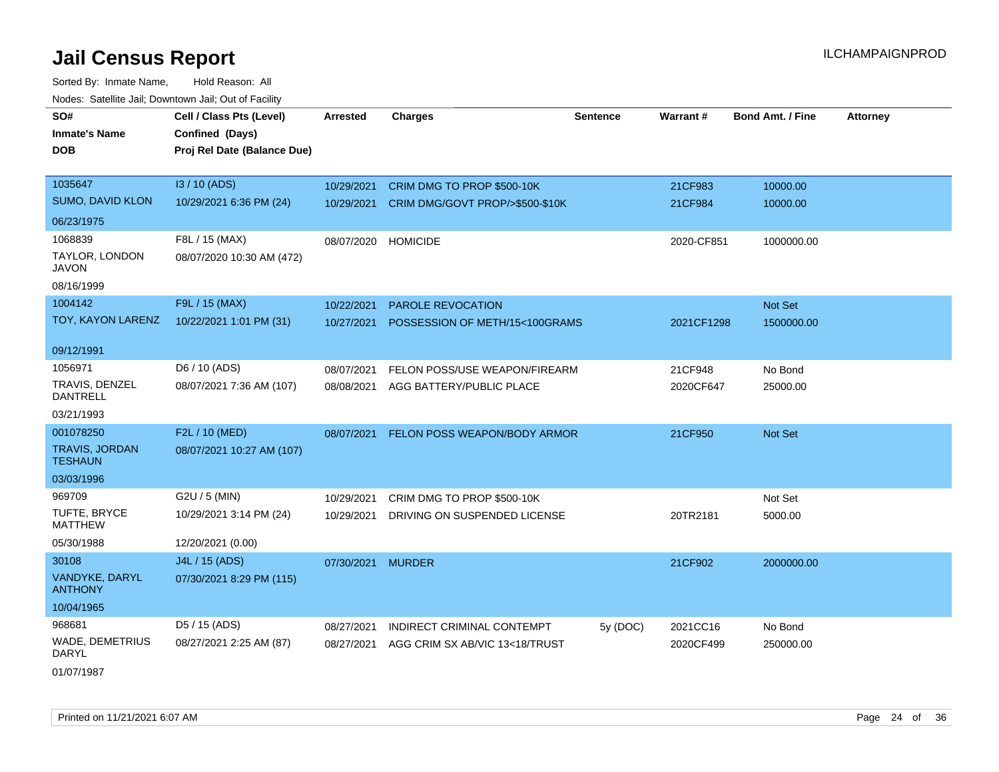Sorted By: Inmate Name, Hold Reason: All Nodes: Satellite Jail; Downtown Jail; Out of Facility

| SO#                                     | Cell / Class Pts (Level)    | <b>Arrested</b> | <b>Charges</b>                      | <b>Sentence</b> | Warrant#   | <b>Bond Amt. / Fine</b> | <b>Attorney</b> |
|-----------------------------------------|-----------------------------|-----------------|-------------------------------------|-----------------|------------|-------------------------|-----------------|
| <b>Inmate's Name</b>                    | Confined (Days)             |                 |                                     |                 |            |                         |                 |
| <b>DOB</b>                              | Proj Rel Date (Balance Due) |                 |                                     |                 |            |                         |                 |
|                                         |                             |                 |                                     |                 |            |                         |                 |
| 1035647                                 | I3 / 10 (ADS)               | 10/29/2021      | CRIM DMG TO PROP \$500-10K          |                 | 21CF983    | 10000.00                |                 |
| SUMO, DAVID KLON                        | 10/29/2021 6:36 PM (24)     | 10/29/2021      | CRIM DMG/GOVT PROP/>\$500-\$10K     |                 | 21CF984    | 10000.00                |                 |
| 06/23/1975                              |                             |                 |                                     |                 |            |                         |                 |
| 1068839                                 | F8L / 15 (MAX)              | 08/07/2020      | <b>HOMICIDE</b>                     |                 | 2020-CF851 | 1000000.00              |                 |
| TAYLOR, LONDON<br><b>JAVON</b>          | 08/07/2020 10:30 AM (472)   |                 |                                     |                 |            |                         |                 |
| 08/16/1999                              |                             |                 |                                     |                 |            |                         |                 |
| 1004142                                 | F9L / 15 (MAX)              | 10/22/2021      | PAROLE REVOCATION                   |                 |            | Not Set                 |                 |
| TOY, KAYON LARENZ                       | 10/22/2021 1:01 PM (31)     | 10/27/2021      | POSSESSION OF METH/15<100GRAMS      |                 | 2021CF1298 | 1500000.00              |                 |
| 09/12/1991                              |                             |                 |                                     |                 |            |                         |                 |
| 1056971                                 | D6 / 10 (ADS)               | 08/07/2021      | FELON POSS/USE WEAPON/FIREARM       |                 | 21CF948    | No Bond                 |                 |
| TRAVIS, DENZEL<br><b>DANTRELL</b>       | 08/07/2021 7:36 AM (107)    | 08/08/2021      | AGG BATTERY/PUBLIC PLACE            |                 | 2020CF647  | 25000.00                |                 |
| 03/21/1993                              |                             |                 |                                     |                 |            |                         |                 |
| 001078250                               | F2L / 10 (MED)              | 08/07/2021      | <b>FELON POSS WEAPON/BODY ARMOR</b> |                 | 21CF950    | Not Set                 |                 |
| <b>TRAVIS, JORDAN</b><br><b>TESHAUN</b> | 08/07/2021 10:27 AM (107)   |                 |                                     |                 |            |                         |                 |
| 03/03/1996                              |                             |                 |                                     |                 |            |                         |                 |
| 969709                                  | G2U / 5 (MIN)               | 10/29/2021      | CRIM DMG TO PROP \$500-10K          |                 |            | Not Set                 |                 |
| TUFTE, BRYCE<br><b>MATTHEW</b>          | 10/29/2021 3:14 PM (24)     | 10/29/2021      | DRIVING ON SUSPENDED LICENSE        |                 | 20TR2181   | 5000.00                 |                 |
| 05/30/1988                              | 12/20/2021 (0.00)           |                 |                                     |                 |            |                         |                 |
| 30108                                   | J4L / 15 (ADS)              | 07/30/2021      | <b>MURDER</b>                       |                 | 21CF902    | 2000000.00              |                 |
| VANDYKE, DARYL<br><b>ANTHONY</b>        | 07/30/2021 8:29 PM (115)    |                 |                                     |                 |            |                         |                 |
| 10/04/1965                              |                             |                 |                                     |                 |            |                         |                 |
| 968681                                  | D5 / 15 (ADS)               | 08/27/2021      | INDIRECT CRIMINAL CONTEMPT          | 5y (DOC)        | 2021CC16   | No Bond                 |                 |
| <b>WADE, DEMETRIUS</b><br>DARYL         | 08/27/2021 2:25 AM (87)     | 08/27/2021      | AGG CRIM SX AB/VIC 13<18/TRUST      |                 | 2020CF499  | 250000.00               |                 |
|                                         |                             |                 |                                     |                 |            |                         |                 |

01/07/1987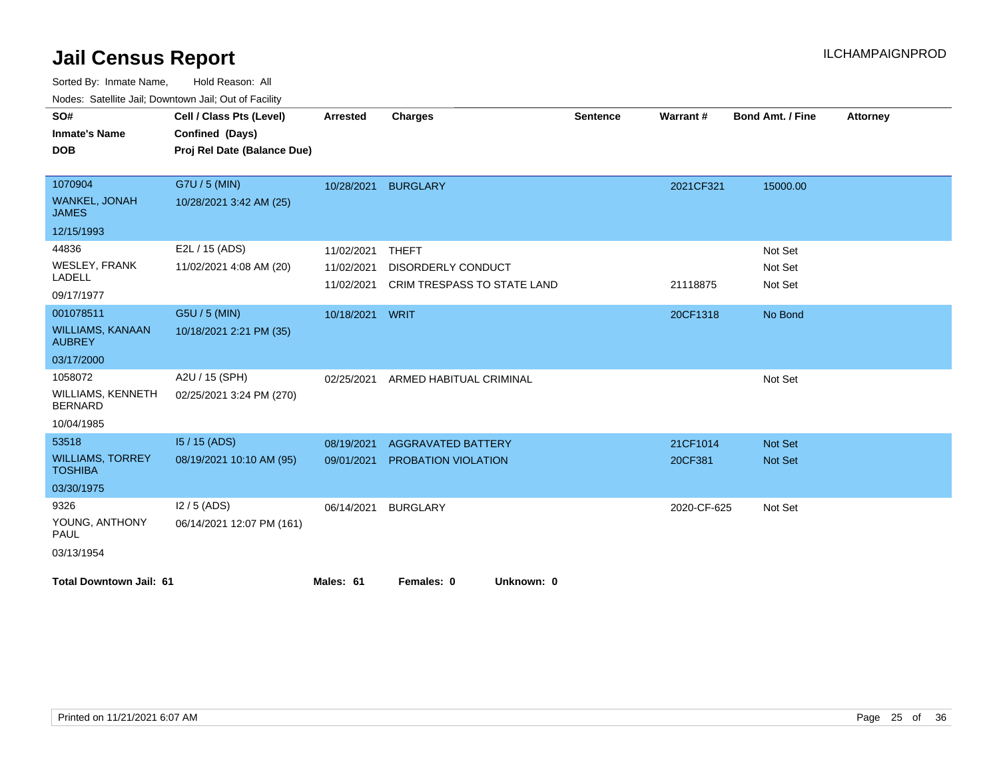| rougs. Galchild Jan, Downlown Jan, Out of Facility |                             |                 |                             |                 |             |                         |                 |
|----------------------------------------------------|-----------------------------|-----------------|-----------------------------|-----------------|-------------|-------------------------|-----------------|
| SO#                                                | Cell / Class Pts (Level)    | <b>Arrested</b> | <b>Charges</b>              | <b>Sentence</b> | Warrant#    | <b>Bond Amt. / Fine</b> | <b>Attorney</b> |
| <b>Inmate's Name</b>                               | Confined (Days)             |                 |                             |                 |             |                         |                 |
| <b>DOB</b>                                         | Proj Rel Date (Balance Due) |                 |                             |                 |             |                         |                 |
|                                                    |                             |                 |                             |                 |             |                         |                 |
| 1070904                                            | G7U / 5 (MIN)               | 10/28/2021      | <b>BURGLARY</b>             |                 | 2021CF321   | 15000.00                |                 |
| WANKEL, JONAH<br><b>JAMES</b>                      | 10/28/2021 3:42 AM (25)     |                 |                             |                 |             |                         |                 |
| 12/15/1993                                         |                             |                 |                             |                 |             |                         |                 |
| 44836                                              | E2L / 15 (ADS)              | 11/02/2021      | THEFT                       |                 |             | Not Set                 |                 |
| <b>WESLEY, FRANK</b>                               | 11/02/2021 4:08 AM (20)     | 11/02/2021      | DISORDERLY CONDUCT          |                 |             | Not Set                 |                 |
| <b>LADELL</b>                                      |                             | 11/02/2021      | CRIM TRESPASS TO STATE LAND |                 | 21118875    | Not Set                 |                 |
| 09/17/1977                                         |                             |                 |                             |                 |             |                         |                 |
| 001078511                                          | G5U / 5 (MIN)               | 10/18/2021 WRIT |                             |                 | 20CF1318    | No Bond                 |                 |
| <b>WILLIAMS, KANAAN</b><br><b>AUBREY</b>           | 10/18/2021 2:21 PM (35)     |                 |                             |                 |             |                         |                 |
| 03/17/2000                                         |                             |                 |                             |                 |             |                         |                 |
| 1058072                                            | A2U / 15 (SPH)              | 02/25/2021      | ARMED HABITUAL CRIMINAL     |                 |             | Not Set                 |                 |
| <b>WILLIAMS, KENNETH</b><br><b>BERNARD</b>         | 02/25/2021 3:24 PM (270)    |                 |                             |                 |             |                         |                 |
| 10/04/1985                                         |                             |                 |                             |                 |             |                         |                 |
| 53518                                              | $15/15$ (ADS)               | 08/19/2021      | <b>AGGRAVATED BATTERY</b>   |                 | 21CF1014    | <b>Not Set</b>          |                 |
| <b>WILLIAMS, TORREY</b><br><b>TOSHIBA</b>          | 08/19/2021 10:10 AM (95)    | 09/01/2021      | PROBATION VIOLATION         |                 | 20CF381     | Not Set                 |                 |
| 03/30/1975                                         |                             |                 |                             |                 |             |                         |                 |
| 9326                                               | $12/5$ (ADS)                | 06/14/2021      | <b>BURGLARY</b>             |                 | 2020-CF-625 | Not Set                 |                 |
| YOUNG, ANTHONY<br>PAUL                             | 06/14/2021 12:07 PM (161)   |                 |                             |                 |             |                         |                 |
| 03/13/1954                                         |                             |                 |                             |                 |             |                         |                 |
| <b>Total Downtown Jail: 61</b>                     |                             | Males: 61       | Females: 0<br>Unknown: 0    |                 |             |                         |                 |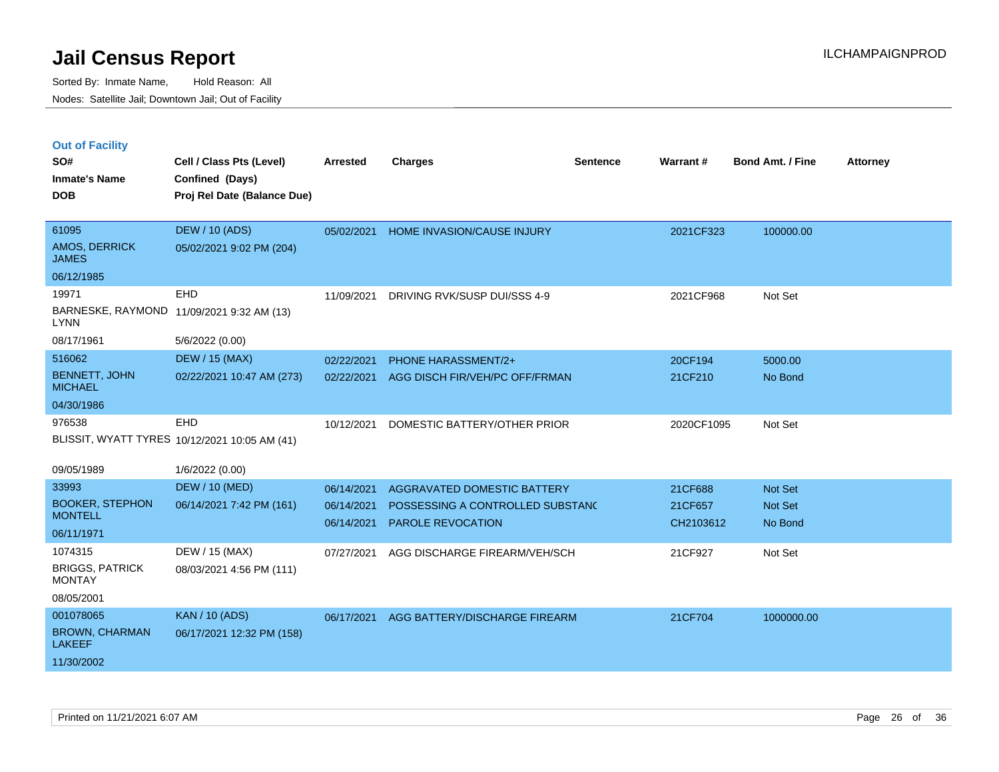|  | <b>Out of Facility</b> |  |
|--|------------------------|--|

| SO#<br><b>Inmate's Name</b><br><b>DOB</b>                         | Cell / Class Pts (Level)<br>Confined (Days)<br>Proj Rel Date (Balance Due) | <b>Arrested</b>                        | <b>Charges</b>                                                                                     | <b>Sentence</b> | Warrant#                        | <b>Bond Amt. / Fine</b>                     | <b>Attorney</b> |
|-------------------------------------------------------------------|----------------------------------------------------------------------------|----------------------------------------|----------------------------------------------------------------------------------------------------|-----------------|---------------------------------|---------------------------------------------|-----------------|
| 61095<br>AMOS, DERRICK<br><b>JAMES</b>                            | <b>DEW / 10 (ADS)</b><br>05/02/2021 9:02 PM (204)                          | 05/02/2021                             | HOME INVASION/CAUSE INJURY                                                                         |                 | 2021CF323                       | 100000.00                                   |                 |
| 06/12/1985<br>19971<br><b>LYNN</b>                                | <b>EHD</b><br>BARNESKE, RAYMOND 11/09/2021 9:32 AM (13)                    | 11/09/2021                             | DRIVING RVK/SUSP DUI/SSS 4-9                                                                       |                 | 2021CF968                       | Not Set                                     |                 |
| 08/17/1961                                                        | 5/6/2022 (0.00)                                                            |                                        |                                                                                                    |                 |                                 |                                             |                 |
| 516062<br><b>BENNETT, JOHN</b><br><b>MICHAEL</b>                  | <b>DEW / 15 (MAX)</b><br>02/22/2021 10:47 AM (273)                         | 02/22/2021<br>02/22/2021               | <b>PHONE HARASSMENT/2+</b><br>AGG DISCH FIR/VEH/PC OFF/FRMAN                                       |                 | 20CF194<br>21CF210              | 5000.00<br>No Bond                          |                 |
| 04/30/1986                                                        |                                                                            |                                        |                                                                                                    |                 |                                 |                                             |                 |
| 976538                                                            | EHD<br>BLISSIT, WYATT TYRES 10/12/2021 10:05 AM (41)                       | 10/12/2021                             | DOMESTIC BATTERY/OTHER PRIOR                                                                       |                 | 2020CF1095                      | Not Set                                     |                 |
| 09/05/1989                                                        | 1/6/2022 (0.00)                                                            |                                        |                                                                                                    |                 |                                 |                                             |                 |
| 33993<br><b>BOOKER, STEPHON</b><br><b>MONTELL</b><br>06/11/1971   | <b>DEW / 10 (MED)</b><br>06/14/2021 7:42 PM (161)                          | 06/14/2021<br>06/14/2021<br>06/14/2021 | <b>AGGRAVATED DOMESTIC BATTERY</b><br>POSSESSING A CONTROLLED SUBSTANC<br><b>PAROLE REVOCATION</b> |                 | 21CF688<br>21CF657<br>CH2103612 | <b>Not Set</b><br><b>Not Set</b><br>No Bond |                 |
| 1074315<br><b>BRIGGS, PATRICK</b><br><b>MONTAY</b><br>08/05/2001  | DEW / 15 (MAX)<br>08/03/2021 4:56 PM (111)                                 | 07/27/2021                             | AGG DISCHARGE FIREARM/VEH/SCH                                                                      |                 | 21CF927                         | Not Set                                     |                 |
| 001078065<br><b>BROWN, CHARMAN</b><br><b>LAKEEF</b><br>11/30/2002 | <b>KAN / 10 (ADS)</b><br>06/17/2021 12:32 PM (158)                         | 06/17/2021                             | AGG BATTERY/DISCHARGE FIREARM                                                                      |                 | 21CF704                         | 1000000.00                                  |                 |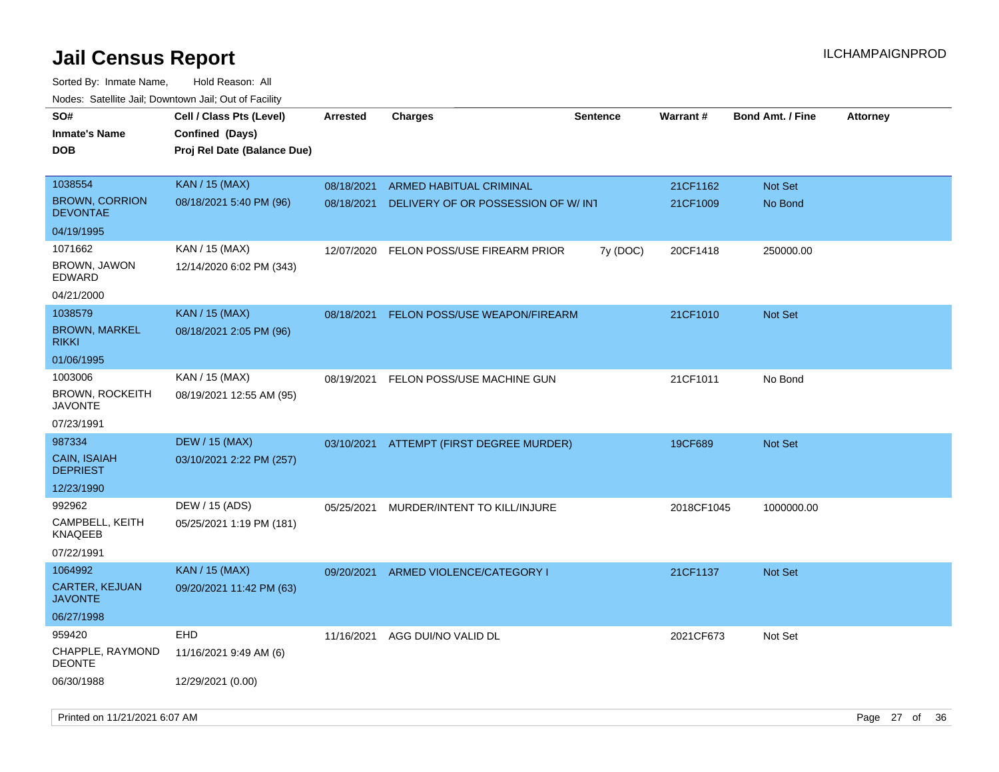| roaco. Oatomto dan, Downtown dan, Oat or Fability |                                             |                 |                                     |                 |            |                         |                 |
|---------------------------------------------------|---------------------------------------------|-----------------|-------------------------------------|-----------------|------------|-------------------------|-----------------|
| SO#<br><b>Inmate's Name</b>                       | Cell / Class Pts (Level)<br>Confined (Days) | <b>Arrested</b> | <b>Charges</b>                      | <b>Sentence</b> | Warrant#   | <b>Bond Amt. / Fine</b> | <b>Attorney</b> |
| DOB                                               | Proj Rel Date (Balance Due)                 |                 |                                     |                 |            |                         |                 |
|                                                   |                                             |                 |                                     |                 |            |                         |                 |
| 1038554                                           | KAN / 15 (MAX)                              | 08/18/2021      | ARMED HABITUAL CRIMINAL             |                 | 21CF1162   | Not Set                 |                 |
| <b>BROWN, CORRION</b><br>DEVONTAE                 | 08/18/2021 5:40 PM (96)                     | 08/18/2021      | DELIVERY OF OR POSSESSION OF W/ INT |                 | 21CF1009   | No Bond                 |                 |
| 04/19/1995                                        |                                             |                 |                                     |                 |            |                         |                 |
| 1071662                                           | KAN / 15 (MAX)                              | 12/07/2020      | FELON POSS/USE FIREARM PRIOR        | 7y (DOC)        | 20CF1418   | 250000.00               |                 |
| BROWN, JAWON<br>EDWARD                            | 12/14/2020 6:02 PM (343)                    |                 |                                     |                 |            |                         |                 |
| 04/21/2000                                        |                                             |                 |                                     |                 |            |                         |                 |
| 1038579                                           | <b>KAN / 15 (MAX)</b>                       | 08/18/2021      | FELON POSS/USE WEAPON/FIREARM       |                 | 21CF1010   | <b>Not Set</b>          |                 |
| <b>BROWN, MARKEL</b><br><b>RIKKI</b>              | 08/18/2021 2:05 PM (96)                     |                 |                                     |                 |            |                         |                 |
| 01/06/1995                                        |                                             |                 |                                     |                 |            |                         |                 |
| 1003006                                           | KAN / 15 (MAX)                              | 08/19/2021      | FELON POSS/USE MACHINE GUN          |                 | 21CF1011   | No Bond                 |                 |
| <b>BROWN, ROCKEITH</b><br><b>JAVONTE</b>          | 08/19/2021 12:55 AM (95)                    |                 |                                     |                 |            |                         |                 |
| 07/23/1991                                        |                                             |                 |                                     |                 |            |                         |                 |
| 987334                                            | <b>DEW / 15 (MAX)</b>                       | 03/10/2021      | ATTEMPT (FIRST DEGREE MURDER)       |                 | 19CF689    | Not Set                 |                 |
| <b>CAIN, ISAIAH</b><br><b>DEPRIEST</b>            | 03/10/2021 2:22 PM (257)                    |                 |                                     |                 |            |                         |                 |
| 12/23/1990                                        |                                             |                 |                                     |                 |            |                         |                 |
| 992962                                            | DEW / 15 (ADS)                              | 05/25/2021      | MURDER/INTENT TO KILL/INJURE        |                 | 2018CF1045 | 1000000.00              |                 |
| CAMPBELL, KEITH<br><b>KNAQEEB</b>                 | 05/25/2021 1:19 PM (181)                    |                 |                                     |                 |            |                         |                 |
| 07/22/1991                                        |                                             |                 |                                     |                 |            |                         |                 |
| 1064992                                           | <b>KAN / 15 (MAX)</b>                       | 09/20/2021      | ARMED VIOLENCE/CATEGORY I           |                 | 21CF1137   | Not Set                 |                 |
| <b>CARTER, KEJUAN</b><br><b>JAVONTE</b>           | 09/20/2021 11:42 PM (63)                    |                 |                                     |                 |            |                         |                 |
| 06/27/1998                                        |                                             |                 |                                     |                 |            |                         |                 |
| 959420                                            | EHD                                         | 11/16/2021      | AGG DUI/NO VALID DL                 |                 | 2021CF673  | Not Set                 |                 |
| CHAPPLE, RAYMOND<br><b>DEONTE</b>                 | 11/16/2021 9:49 AM (6)                      |                 |                                     |                 |            |                         |                 |
| 06/30/1988                                        | 12/29/2021 (0.00)                           |                 |                                     |                 |            |                         |                 |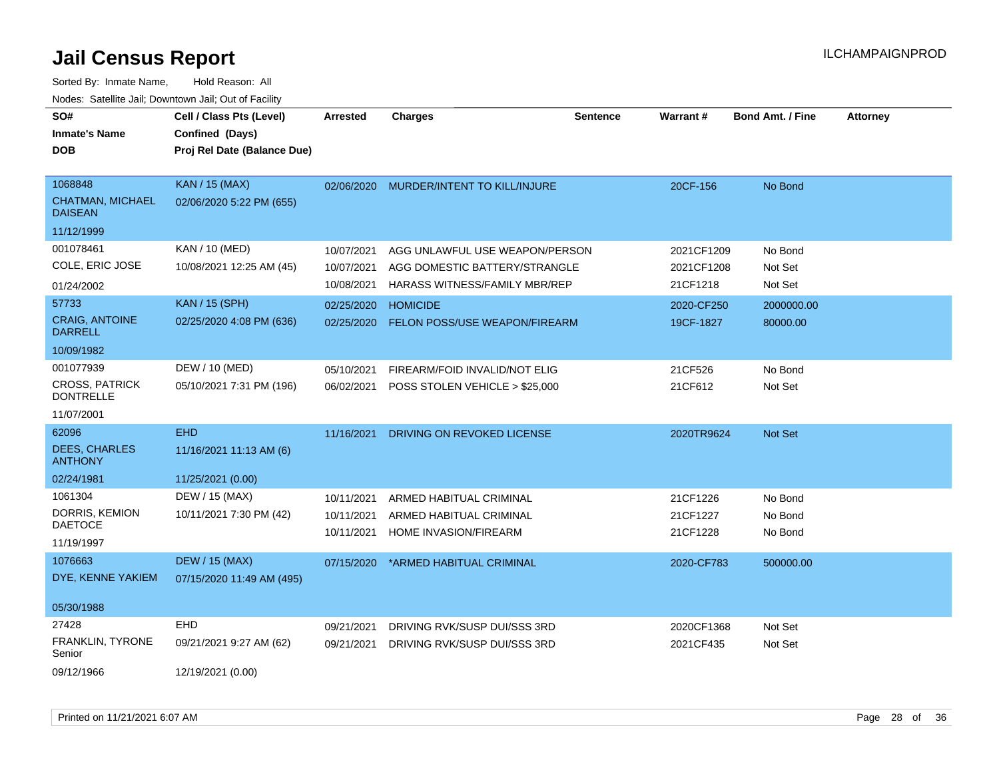| SO#<br><b>Inmate's Name</b><br><b>DOB</b> | Cell / Class Pts (Level)<br>Confined (Days)<br>Proj Rel Date (Balance Due) | <b>Arrested</b> | <b>Charges</b>                            | <b>Sentence</b> | Warrant#   | <b>Bond Amt. / Fine</b> | <b>Attorney</b> |
|-------------------------------------------|----------------------------------------------------------------------------|-----------------|-------------------------------------------|-----------------|------------|-------------------------|-----------------|
|                                           |                                                                            |                 |                                           |                 |            |                         |                 |
| 1068848                                   | <b>KAN / 15 (MAX)</b>                                                      | 02/06/2020      | MURDER/INTENT TO KILL/INJURE              |                 | 20CF-156   | No Bond                 |                 |
| <b>CHATMAN, MICHAEL</b><br><b>DAISEAN</b> | 02/06/2020 5:22 PM (655)                                                   |                 |                                           |                 |            |                         |                 |
| 11/12/1999                                |                                                                            |                 |                                           |                 |            |                         |                 |
| 001078461                                 | KAN / 10 (MED)                                                             | 10/07/2021      | AGG UNLAWFUL USE WEAPON/PERSON            |                 | 2021CF1209 | No Bond                 |                 |
| COLE, ERIC JOSE                           | 10/08/2021 12:25 AM (45)                                                   | 10/07/2021      | AGG DOMESTIC BATTERY/STRANGLE             |                 | 2021CF1208 | Not Set                 |                 |
| 01/24/2002                                |                                                                            | 10/08/2021      | HARASS WITNESS/FAMILY MBR/REP             |                 | 21CF1218   | Not Set                 |                 |
| 57733                                     | <b>KAN / 15 (SPH)</b>                                                      | 02/25/2020      | <b>HOMICIDE</b>                           |                 | 2020-CF250 | 2000000.00              |                 |
| <b>CRAIG, ANTOINE</b><br><b>DARRELL</b>   | 02/25/2020 4:08 PM (636)                                                   | 02/25/2020      | FELON POSS/USE WEAPON/FIREARM             |                 | 19CF-1827  | 80000.00                |                 |
| 10/09/1982                                |                                                                            |                 |                                           |                 |            |                         |                 |
| 001077939                                 | DEW / 10 (MED)                                                             | 05/10/2021      | FIREARM/FOID INVALID/NOT ELIG             |                 | 21CF526    | No Bond                 |                 |
| <b>CROSS, PATRICK</b><br><b>DONTRELLE</b> | 05/10/2021 7:31 PM (196)                                                   |                 | 06/02/2021 POSS STOLEN VEHICLE > \$25,000 |                 | 21CF612    | Not Set                 |                 |
| 11/07/2001                                |                                                                            |                 |                                           |                 |            |                         |                 |
| 62096                                     | <b>EHD</b>                                                                 | 11/16/2021      | DRIVING ON REVOKED LICENSE                |                 | 2020TR9624 | Not Set                 |                 |
| <b>DEES, CHARLES</b><br><b>ANTHONY</b>    | 11/16/2021 11:13 AM (6)                                                    |                 |                                           |                 |            |                         |                 |
| 02/24/1981                                | 11/25/2021 (0.00)                                                          |                 |                                           |                 |            |                         |                 |
| 1061304                                   | DEW / 15 (MAX)                                                             | 10/11/2021      | ARMED HABITUAL CRIMINAL                   |                 | 21CF1226   | No Bond                 |                 |
| DORRIS, KEMION                            | 10/11/2021 7:30 PM (42)                                                    | 10/11/2021      | ARMED HABITUAL CRIMINAL                   |                 | 21CF1227   | No Bond                 |                 |
| <b>DAETOCE</b>                            |                                                                            | 10/11/2021      | HOME INVASION/FIREARM                     |                 | 21CF1228   | No Bond                 |                 |
| 11/19/1997                                |                                                                            |                 |                                           |                 |            |                         |                 |
| 1076663                                   | <b>DEW / 15 (MAX)</b>                                                      | 07/15/2020      | *ARMED HABITUAL CRIMINAL                  |                 | 2020-CF783 | 500000.00               |                 |
| DYE, KENNE YAKIEM                         | 07/15/2020 11:49 AM (495)                                                  |                 |                                           |                 |            |                         |                 |
| 05/30/1988                                |                                                                            |                 |                                           |                 |            |                         |                 |
| 27428                                     | <b>EHD</b>                                                                 | 09/21/2021      | DRIVING RVK/SUSP DUI/SSS 3RD              |                 | 2020CF1368 | Not Set                 |                 |
| <b>FRANKLIN, TYRONE</b><br>Senior         | 09/21/2021 9:27 AM (62)                                                    | 09/21/2021      | DRIVING RVK/SUSP DUI/SSS 3RD              |                 | 2021CF435  | Not Set                 |                 |
| 09/12/1966                                | 12/19/2021 (0.00)                                                          |                 |                                           |                 |            |                         |                 |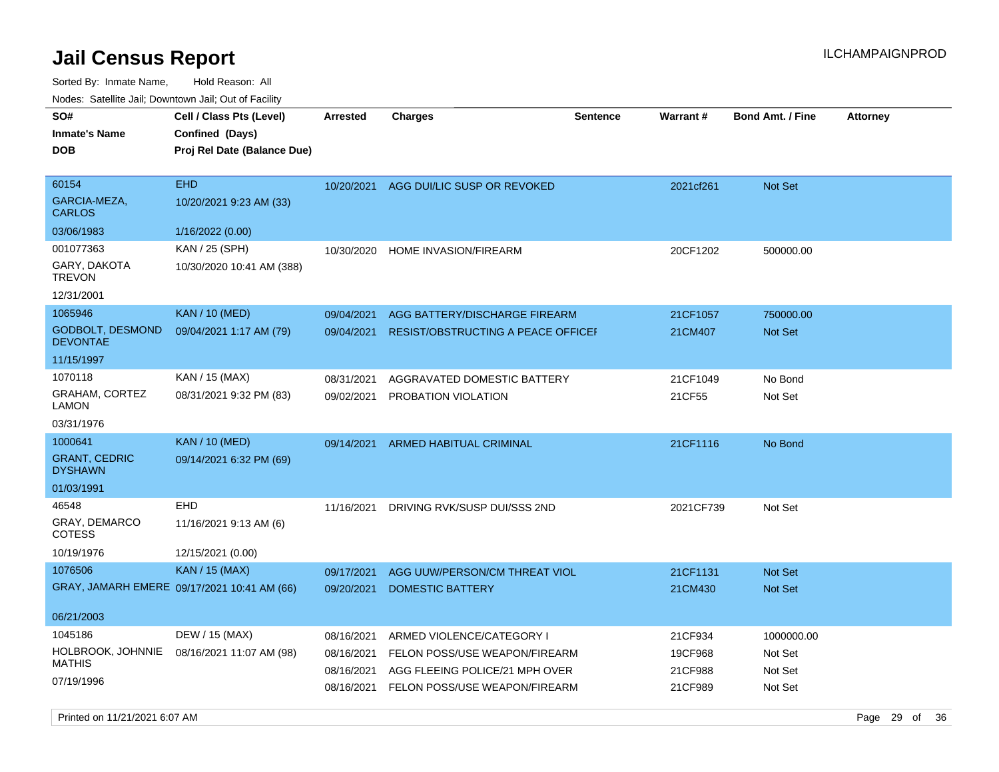Sorted By: Inmate Name, Hold Reason: All Nodes: Satellite Jail; Downtown Jail; Out of Facility

| SO#<br><b>Inmate's Name</b><br><b>DOB</b>  | Cell / Class Pts (Level)<br>Confined (Days)<br>Proj Rel Date (Balance Due) | <b>Arrested</b> | <b>Charges</b>                         | <b>Sentence</b> | Warrant # | <b>Bond Amt. / Fine</b> | <b>Attorney</b> |
|--------------------------------------------|----------------------------------------------------------------------------|-----------------|----------------------------------------|-----------------|-----------|-------------------------|-----------------|
| 60154<br>GARCIA-MEZA,<br><b>CARLOS</b>     | <b>EHD</b><br>10/20/2021 9:23 AM (33)                                      |                 | 10/20/2021 AGG DUI/LIC SUSP OR REVOKED |                 | 2021cf261 | Not Set                 |                 |
| 03/06/1983                                 | 1/16/2022 (0.00)                                                           |                 |                                        |                 |           |                         |                 |
| 001077363<br>GARY, DAKOTA<br><b>TREVON</b> | KAN / 25 (SPH)<br>10/30/2020 10:41 AM (388)                                | 10/30/2020      | HOME INVASION/FIREARM                  |                 | 20CF1202  | 500000.00               |                 |
| 12/31/2001                                 |                                                                            |                 |                                        |                 |           |                         |                 |
| 1065946                                    | <b>KAN / 10 (MED)</b>                                                      | 09/04/2021      | AGG BATTERY/DISCHARGE FIREARM          |                 | 21CF1057  | 750000.00               |                 |
| <b>GODBOLT, DESMOND</b><br><b>DEVONTAE</b> | 09/04/2021 1:17 AM (79)                                                    | 09/04/2021      | RESIST/OBSTRUCTING A PEACE OFFICEF     |                 | 21CM407   | Not Set                 |                 |
| 11/15/1997                                 |                                                                            |                 |                                        |                 |           |                         |                 |
| 1070118                                    | KAN / 15 (MAX)                                                             | 08/31/2021      | AGGRAVATED DOMESTIC BATTERY            |                 | 21CF1049  | No Bond                 |                 |
| GRAHAM, CORTEZ<br><b>LAMON</b>             | 08/31/2021 9:32 PM (83)                                                    | 09/02/2021      | PROBATION VIOLATION                    |                 | 21CF55    | Not Set                 |                 |
| 03/31/1976                                 |                                                                            |                 |                                        |                 |           |                         |                 |
| 1000641                                    | <b>KAN / 10 (MED)</b>                                                      | 09/14/2021      | ARMED HABITUAL CRIMINAL                |                 | 21CF1116  | No Bond                 |                 |
| <b>GRANT, CEDRIC</b><br><b>DYSHAWN</b>     | 09/14/2021 6:32 PM (69)                                                    |                 |                                        |                 |           |                         |                 |
| 01/03/1991                                 |                                                                            |                 |                                        |                 |           |                         |                 |
| 46548                                      | <b>EHD</b>                                                                 | 11/16/2021      | DRIVING RVK/SUSP DUI/SSS 2ND           |                 | 2021CF739 | Not Set                 |                 |
| GRAY, DEMARCO<br><b>COTESS</b>             | 11/16/2021 9:13 AM (6)                                                     |                 |                                        |                 |           |                         |                 |
| 10/19/1976                                 | 12/15/2021 (0.00)                                                          |                 |                                        |                 |           |                         |                 |
| 1076506                                    | <b>KAN / 15 (MAX)</b>                                                      | 09/17/2021      | AGG UUW/PERSON/CM THREAT VIOL          |                 | 21CF1131  | <b>Not Set</b>          |                 |
|                                            | GRAY, JAMARH EMERE 09/17/2021 10:41 AM (66)                                | 09/20/2021      | <b>DOMESTIC BATTERY</b>                |                 | 21CM430   | <b>Not Set</b>          |                 |
| 06/21/2003                                 |                                                                            |                 |                                        |                 |           |                         |                 |
| 1045186                                    | DEW / 15 (MAX)                                                             | 08/16/2021      | ARMED VIOLENCE/CATEGORY I              |                 | 21CF934   | 1000000.00              |                 |
| HOLBROOK, JOHNNIE                          | 08/16/2021 11:07 AM (98)                                                   | 08/16/2021      | FELON POSS/USE WEAPON/FIREARM          |                 | 19CF968   | Not Set                 |                 |
| <b>MATHIS</b>                              |                                                                            | 08/16/2021      | AGG FLEEING POLICE/21 MPH OVER         |                 | 21CF988   | Not Set                 |                 |
| 07/19/1996                                 |                                                                            | 08/16/2021      | FELON POSS/USE WEAPON/FIREARM          |                 | 21CF989   | Not Set                 |                 |

Printed on 11/21/2021 6:07 AM Page 29 of 36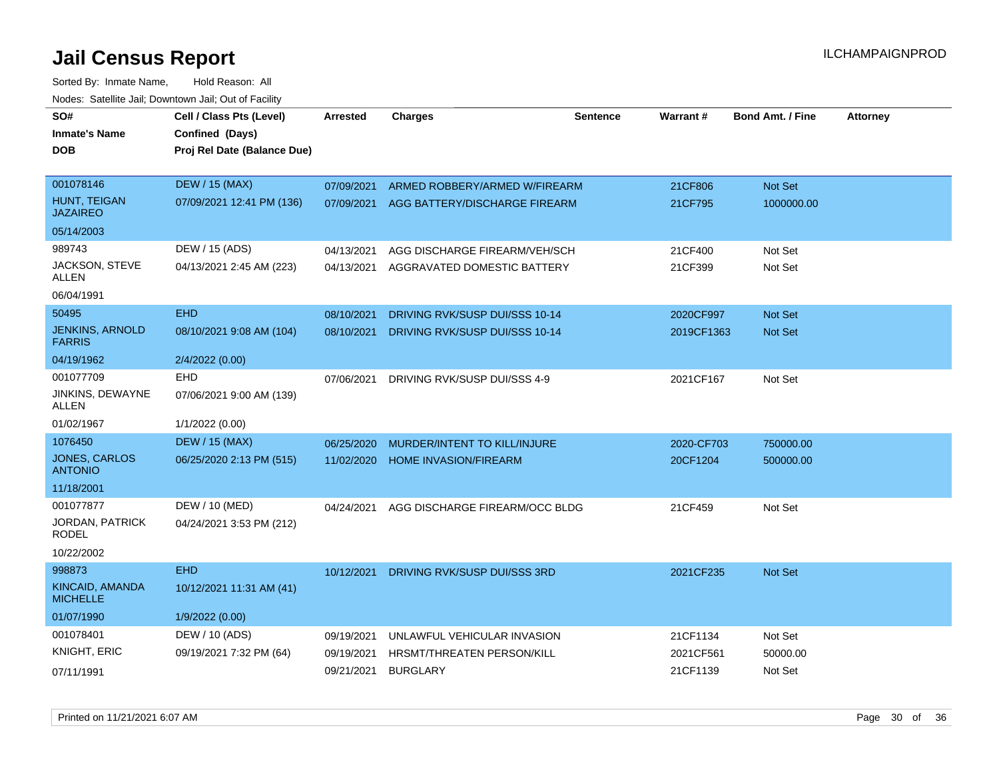| SO#<br><b>Inmate's Name</b>             | Cell / Class Pts (Level)<br>Confined (Days) | <b>Arrested</b> | <b>Charges</b>                    | <b>Sentence</b> | Warrant#   | <b>Bond Amt. / Fine</b> | <b>Attorney</b> |
|-----------------------------------------|---------------------------------------------|-----------------|-----------------------------------|-----------------|------------|-------------------------|-----------------|
| <b>DOB</b>                              | Proj Rel Date (Balance Due)                 |                 |                                   |                 |            |                         |                 |
|                                         |                                             |                 |                                   |                 |            |                         |                 |
| 001078146                               | <b>DEW / 15 (MAX)</b>                       | 07/09/2021      | ARMED ROBBERY/ARMED W/FIREARM     |                 | 21CF806    | Not Set                 |                 |
| HUNT, TEIGAN<br><b>JAZAIREO</b>         | 07/09/2021 12:41 PM (136)                   | 07/09/2021      | AGG BATTERY/DISCHARGE FIREARM     |                 | 21CF795    | 1000000.00              |                 |
| 05/14/2003                              |                                             |                 |                                   |                 |            |                         |                 |
| 989743                                  | DEW / 15 (ADS)                              | 04/13/2021      | AGG DISCHARGE FIREARM/VEH/SCH     |                 | 21CF400    | Not Set                 |                 |
| JACKSON, STEVE<br>ALLEN                 | 04/13/2021 2:45 AM (223)                    | 04/13/2021      | AGGRAVATED DOMESTIC BATTERY       |                 | 21CF399    | Not Set                 |                 |
| 06/04/1991                              |                                             |                 |                                   |                 |            |                         |                 |
| 50495                                   | <b>EHD</b>                                  | 08/10/2021      | DRIVING RVK/SUSP DUI/SSS 10-14    |                 | 2020CF997  | Not Set                 |                 |
| <b>JENKINS, ARNOLD</b><br><b>FARRIS</b> | 08/10/2021 9:08 AM (104)                    | 08/10/2021      | DRIVING RVK/SUSP DUI/SSS 10-14    |                 | 2019CF1363 | <b>Not Set</b>          |                 |
| 04/19/1962                              | 2/4/2022 (0.00)                             |                 |                                   |                 |            |                         |                 |
| 001077709                               | <b>EHD</b>                                  | 07/06/2021      | DRIVING RVK/SUSP DUI/SSS 4-9      |                 | 2021CF167  | Not Set                 |                 |
| JINKINS, DEWAYNE<br><b>ALLEN</b>        | 07/06/2021 9:00 AM (139)                    |                 |                                   |                 |            |                         |                 |
| 01/02/1967                              | 1/1/2022 (0.00)                             |                 |                                   |                 |            |                         |                 |
| 1076450                                 | <b>DEW / 15 (MAX)</b>                       | 06/25/2020      | MURDER/INTENT TO KILL/INJURE      |                 | 2020-CF703 | 750000.00               |                 |
| <b>JONES, CARLOS</b><br><b>ANTONIO</b>  | 06/25/2020 2:13 PM (515)                    | 11/02/2020      | <b>HOME INVASION/FIREARM</b>      |                 | 20CF1204   | 500000.00               |                 |
| 11/18/2001                              |                                             |                 |                                   |                 |            |                         |                 |
| 001077877                               | DEW / 10 (MED)                              | 04/24/2021      | AGG DISCHARGE FIREARM/OCC BLDG    |                 | 21CF459    | Not Set                 |                 |
| <b>JORDAN, PATRICK</b><br>RODEL         | 04/24/2021 3:53 PM (212)                    |                 |                                   |                 |            |                         |                 |
| 10/22/2002                              |                                             |                 |                                   |                 |            |                         |                 |
| 998873                                  | <b>EHD</b>                                  | 10/12/2021      | DRIVING RVK/SUSP DUI/SSS 3RD      |                 | 2021CF235  | <b>Not Set</b>          |                 |
| KINCAID, AMANDA<br><b>MICHELLE</b>      | 10/12/2021 11:31 AM (41)                    |                 |                                   |                 |            |                         |                 |
| 01/07/1990                              | 1/9/2022 (0.00)                             |                 |                                   |                 |            |                         |                 |
| 001078401                               | DEW / 10 (ADS)                              | 09/19/2021      | UNLAWFUL VEHICULAR INVASION       |                 | 21CF1134   | Not Set                 |                 |
| <b>KNIGHT, ERIC</b>                     | 09/19/2021 7:32 PM (64)                     | 09/19/2021      | <b>HRSMT/THREATEN PERSON/KILL</b> |                 | 2021CF561  | 50000.00                |                 |
| 07/11/1991                              |                                             | 09/21/2021      | <b>BURGLARY</b>                   |                 | 21CF1139   | Not Set                 |                 |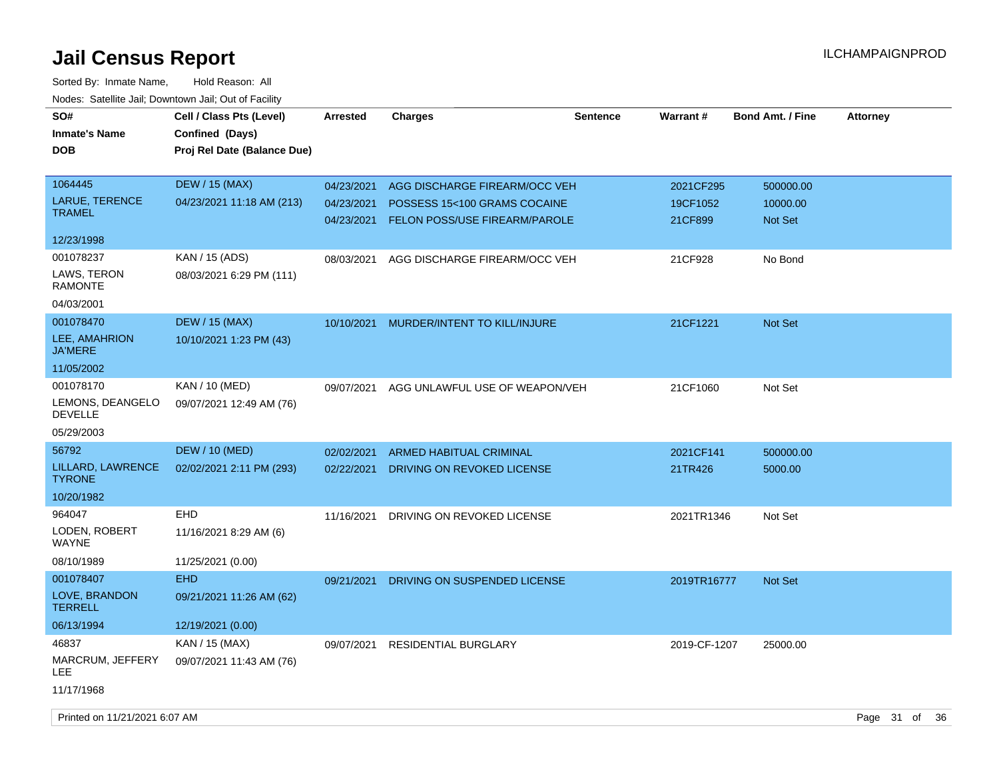| SO#<br><b>Inmate's Name</b><br><b>DOB</b>                 | Cell / Class Pts (Level)<br>Confined (Days)<br>Proj Rel Date (Balance Due) | <b>Arrested</b>                        | Charges                                                                                        | <b>Sentence</b> | Warrant#                         | <b>Bond Amt. / Fine</b>          | <b>Attorney</b> |
|-----------------------------------------------------------|----------------------------------------------------------------------------|----------------------------------------|------------------------------------------------------------------------------------------------|-----------------|----------------------------------|----------------------------------|-----------------|
| 1064445<br>LARUE, TERENCE<br><b>TRAMEL</b>                | <b>DEW / 15 (MAX)</b><br>04/23/2021 11:18 AM (213)                         | 04/23/2021<br>04/23/2021<br>04/23/2021 | AGG DISCHARGE FIREARM/OCC VEH<br>POSSESS 15<100 GRAMS COCAINE<br>FELON POSS/USE FIREARM/PAROLE |                 | 2021CF295<br>19CF1052<br>21CF899 | 500000.00<br>10000.00<br>Not Set |                 |
| 12/23/1998                                                |                                                                            |                                        |                                                                                                |                 |                                  |                                  |                 |
| 001078237<br>LAWS, TERON<br><b>RAMONTE</b><br>04/03/2001  | KAN / 15 (ADS)<br>08/03/2021 6:29 PM (111)                                 | 08/03/2021                             | AGG DISCHARGE FIREARM/OCC VEH                                                                  |                 | 21CF928                          | No Bond                          |                 |
| 001078470<br>LEE, AMAHRION<br><b>JA'MERE</b>              | <b>DEW / 15 (MAX)</b><br>10/10/2021 1:23 PM (43)                           | 10/10/2021                             | MURDER/INTENT TO KILL/INJURE                                                                   |                 | 21CF1221                         | Not Set                          |                 |
| 11/05/2002                                                |                                                                            |                                        |                                                                                                |                 |                                  |                                  |                 |
| 001078170<br>LEMONS, DEANGELO<br><b>DEVELLE</b>           | KAN / 10 (MED)<br>09/07/2021 12:49 AM (76)                                 | 09/07/2021                             | AGG UNLAWFUL USE OF WEAPON/VEH                                                                 |                 | 21CF1060                         | Not Set                          |                 |
| 05/29/2003                                                |                                                                            |                                        |                                                                                                |                 |                                  |                                  |                 |
| 56792<br>LILLARD, LAWRENCE<br><b>TYRONE</b><br>10/20/1982 | <b>DEW / 10 (MED)</b><br>02/02/2021 2:11 PM (293)                          | 02/02/2021<br>02/22/2021               | <b>ARMED HABITUAL CRIMINAL</b><br>DRIVING ON REVOKED LICENSE                                   |                 | 2021CF141<br>21TR426             | 500000.00<br>5000.00             |                 |
| 964047<br>LODEN, ROBERT<br>WAYNE<br>08/10/1989            | <b>EHD</b><br>11/16/2021 8:29 AM (6)<br>11/25/2021 (0.00)                  | 11/16/2021                             | DRIVING ON REVOKED LICENSE                                                                     |                 | 2021TR1346                       | Not Set                          |                 |
| 001078407                                                 | <b>EHD</b>                                                                 | 09/21/2021                             | DRIVING ON SUSPENDED LICENSE                                                                   |                 | 2019TR16777                      | Not Set                          |                 |
| LOVE, BRANDON<br><b>TERRELL</b>                           | 09/21/2021 11:26 AM (62)                                                   |                                        |                                                                                                |                 |                                  |                                  |                 |
| 06/13/1994                                                | 12/19/2021 (0.00)                                                          |                                        |                                                                                                |                 |                                  |                                  |                 |
| 46837<br>MARCRUM, JEFFERY<br>LEE<br>11/17/1968            | KAN / 15 (MAX)<br>09/07/2021 11:43 AM (76)                                 | 09/07/2021                             | <b>RESIDENTIAL BURGLARY</b>                                                                    |                 | 2019-CF-1207                     | 25000.00                         |                 |
|                                                           |                                                                            |                                        |                                                                                                |                 |                                  |                                  |                 |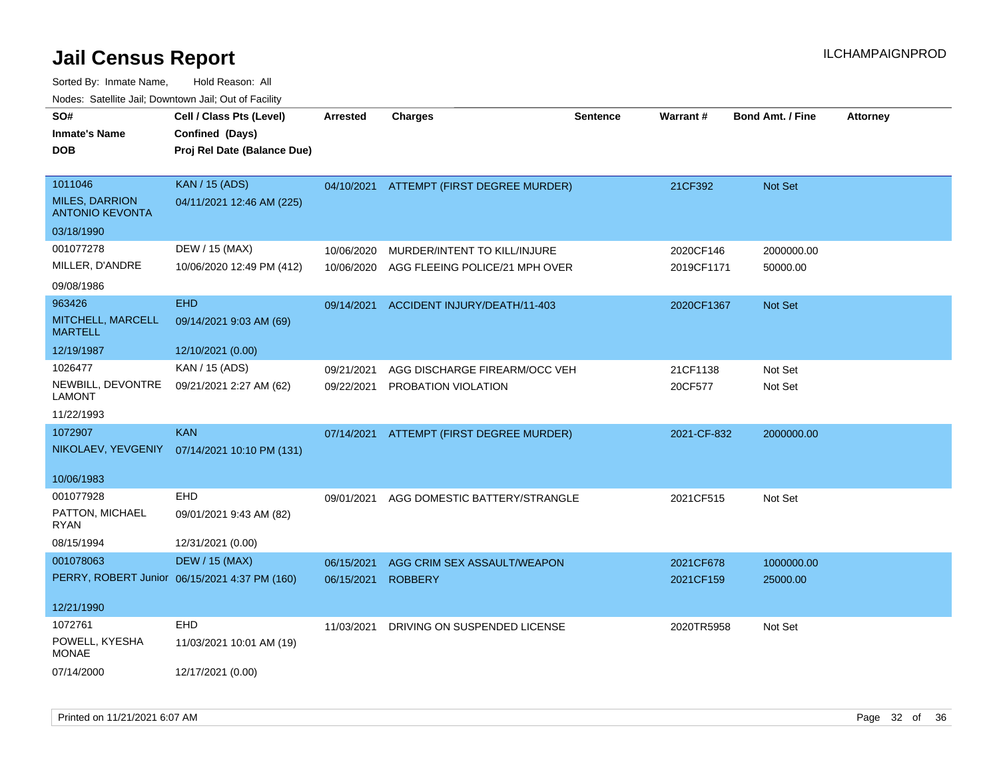| SO#<br><b>Inmate's Name</b><br><b>DOB</b>                  | Cell / Class Pts (Level)<br>Confined (Days)<br>Proj Rel Date (Balance Due) | <b>Arrested</b> | <b>Charges</b>                 | <b>Sentence</b> | Warrant#    | <b>Bond Amt. / Fine</b> | <b>Attorney</b> |
|------------------------------------------------------------|----------------------------------------------------------------------------|-----------------|--------------------------------|-----------------|-------------|-------------------------|-----------------|
| 1011046<br><b>MILES, DARRION</b><br><b>ANTONIO KEVONTA</b> | <b>KAN / 15 (ADS)</b><br>04/11/2021 12:46 AM (225)                         | 04/10/2021      | ATTEMPT (FIRST DEGREE MURDER)  |                 | 21CF392     | Not Set                 |                 |
| 03/18/1990                                                 |                                                                            |                 |                                |                 |             |                         |                 |
| 001077278                                                  | DEW / 15 (MAX)                                                             | 10/06/2020      | MURDER/INTENT TO KILL/INJURE   |                 | 2020CF146   | 2000000.00              |                 |
| MILLER, D'ANDRE                                            | 10/06/2020 12:49 PM (412)                                                  | 10/06/2020      | AGG FLEEING POLICE/21 MPH OVER |                 | 2019CF1171  | 50000.00                |                 |
| 09/08/1986                                                 |                                                                            |                 |                                |                 |             |                         |                 |
| 963426                                                     | <b>EHD</b>                                                                 | 09/14/2021      | ACCIDENT INJURY/DEATH/11-403   |                 | 2020CF1367  | Not Set                 |                 |
| MITCHELL, MARCELL<br><b>MARTELL</b>                        | 09/14/2021 9:03 AM (69)                                                    |                 |                                |                 |             |                         |                 |
| 12/19/1987                                                 | 12/10/2021 (0.00)                                                          |                 |                                |                 |             |                         |                 |
| 1026477                                                    | KAN / 15 (ADS)                                                             | 09/21/2021      | AGG DISCHARGE FIREARM/OCC VEH  |                 | 21CF1138    | Not Set                 |                 |
| NEWBILL, DEVONTRE<br><b>LAMONT</b>                         | 09/21/2021 2:27 AM (62)                                                    | 09/22/2021      | PROBATION VIOLATION            |                 | 20CF577     | Not Set                 |                 |
| 11/22/1993                                                 |                                                                            |                 |                                |                 |             |                         |                 |
| 1072907                                                    | <b>KAN</b>                                                                 | 07/14/2021      | ATTEMPT (FIRST DEGREE MURDER)  |                 | 2021-CF-832 | 2000000.00              |                 |
| NIKOLAEV, YEVGENIY                                         | 07/14/2021 10:10 PM (131)                                                  |                 |                                |                 |             |                         |                 |
| 10/06/1983                                                 |                                                                            |                 |                                |                 |             |                         |                 |
| 001077928                                                  | EHD                                                                        | 09/01/2021      | AGG DOMESTIC BATTERY/STRANGLE  |                 | 2021CF515   | Not Set                 |                 |
| PATTON, MICHAEL<br>RYAN                                    | 09/01/2021 9:43 AM (82)                                                    |                 |                                |                 |             |                         |                 |
| 08/15/1994                                                 | 12/31/2021 (0.00)                                                          |                 |                                |                 |             |                         |                 |
| 001078063                                                  | <b>DEW / 15 (MAX)</b>                                                      | 06/15/2021      | AGG CRIM SEX ASSAULT/WEAPON    |                 | 2021CF678   | 1000000.00              |                 |
|                                                            | PERRY, ROBERT Junior 06/15/2021 4:37 PM (160)                              | 06/15/2021      | <b>ROBBERY</b>                 |                 | 2021CF159   | 25000.00                |                 |
| 12/21/1990                                                 |                                                                            |                 |                                |                 |             |                         |                 |
| 1072761                                                    | EHD                                                                        | 11/03/2021      | DRIVING ON SUSPENDED LICENSE   |                 | 2020TR5958  | Not Set                 |                 |
| POWELL, KYESHA<br><b>MONAE</b>                             | 11/03/2021 10:01 AM (19)                                                   |                 |                                |                 |             |                         |                 |
| 07/14/2000                                                 | 12/17/2021 (0.00)                                                          |                 |                                |                 |             |                         |                 |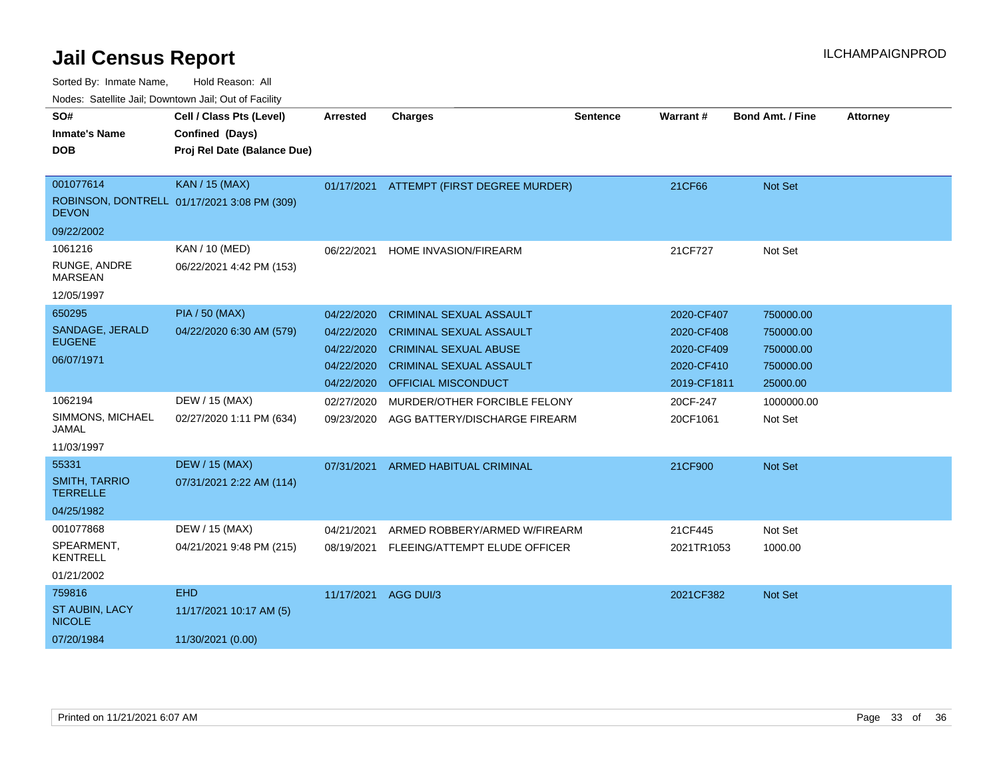| SO#                                     | Cell / Class Pts (Level)                    | <b>Arrested</b> | <b>Charges</b>                           | <b>Sentence</b> | Warrant#    | <b>Bond Amt. / Fine</b> | <b>Attorney</b> |
|-----------------------------------------|---------------------------------------------|-----------------|------------------------------------------|-----------------|-------------|-------------------------|-----------------|
| <b>Inmate's Name</b>                    | Confined (Days)                             |                 |                                          |                 |             |                         |                 |
| <b>DOB</b>                              | Proj Rel Date (Balance Due)                 |                 |                                          |                 |             |                         |                 |
|                                         |                                             |                 |                                          |                 |             |                         |                 |
| 001077614                               | <b>KAN / 15 (MAX)</b>                       |                 | 01/17/2021 ATTEMPT (FIRST DEGREE MURDER) |                 | 21CF66      | <b>Not Set</b>          |                 |
| <b>DEVON</b>                            | ROBINSON, DONTRELL 01/17/2021 3:08 PM (309) |                 |                                          |                 |             |                         |                 |
| 09/22/2002                              |                                             |                 |                                          |                 |             |                         |                 |
| 1061216                                 | KAN / 10 (MED)                              | 06/22/2021      | HOME INVASION/FIREARM                    |                 | 21CF727     | Not Set                 |                 |
| RUNGE, ANDRE<br><b>MARSEAN</b>          | 06/22/2021 4:42 PM (153)                    |                 |                                          |                 |             |                         |                 |
| 12/05/1997                              |                                             |                 |                                          |                 |             |                         |                 |
| 650295                                  | <b>PIA / 50 (MAX)</b>                       | 04/22/2020      | <b>CRIMINAL SEXUAL ASSAULT</b>           |                 | 2020-CF407  | 750000.00               |                 |
| SANDAGE, JERALD                         | 04/22/2020 6:30 AM (579)                    | 04/22/2020      | <b>CRIMINAL SEXUAL ASSAULT</b>           |                 | 2020-CF408  | 750000.00               |                 |
| <b>EUGENE</b>                           |                                             | 04/22/2020      | <b>CRIMINAL SEXUAL ABUSE</b>             |                 | 2020-CF409  | 750000.00               |                 |
| 06/07/1971                              |                                             | 04/22/2020      | <b>CRIMINAL SEXUAL ASSAULT</b>           |                 | 2020-CF410  | 750000.00               |                 |
|                                         |                                             | 04/22/2020      | <b>OFFICIAL MISCONDUCT</b>               |                 | 2019-CF1811 | 25000.00                |                 |
| 1062194                                 | DEW / 15 (MAX)                              | 02/27/2020      | MURDER/OTHER FORCIBLE FELONY             |                 | 20CF-247    | 1000000.00              |                 |
| SIMMONS, MICHAEL<br>JAMAL               | 02/27/2020 1:11 PM (634)                    | 09/23/2020      | AGG BATTERY/DISCHARGE FIREARM            |                 | 20CF1061    | Not Set                 |                 |
| 11/03/1997                              |                                             |                 |                                          |                 |             |                         |                 |
| 55331                                   | <b>DEW / 15 (MAX)</b>                       | 07/31/2021      | <b>ARMED HABITUAL CRIMINAL</b>           |                 | 21CF900     | <b>Not Set</b>          |                 |
| <b>SMITH, TARRIO</b><br><b>TERRELLE</b> | 07/31/2021 2:22 AM (114)                    |                 |                                          |                 |             |                         |                 |
| 04/25/1982                              |                                             |                 |                                          |                 |             |                         |                 |
| 001077868                               | DEW / 15 (MAX)                              | 04/21/2021      | ARMED ROBBERY/ARMED W/FIREARM            |                 | 21CF445     | Not Set                 |                 |
| SPEARMENT,<br><b>KENTRELL</b>           | 04/21/2021 9:48 PM (215)                    | 08/19/2021      | FLEEING/ATTEMPT ELUDE OFFICER            |                 | 2021TR1053  | 1000.00                 |                 |
| 01/21/2002                              |                                             |                 |                                          |                 |             |                         |                 |
| 759816                                  | <b>EHD</b>                                  | 11/17/2021      | AGG DUI/3                                |                 | 2021CF382   | <b>Not Set</b>          |                 |
| <b>ST AUBIN, LACY</b><br><b>NICOLE</b>  | 11/17/2021 10:17 AM (5)                     |                 |                                          |                 |             |                         |                 |
| 07/20/1984                              | 11/30/2021 (0.00)                           |                 |                                          |                 |             |                         |                 |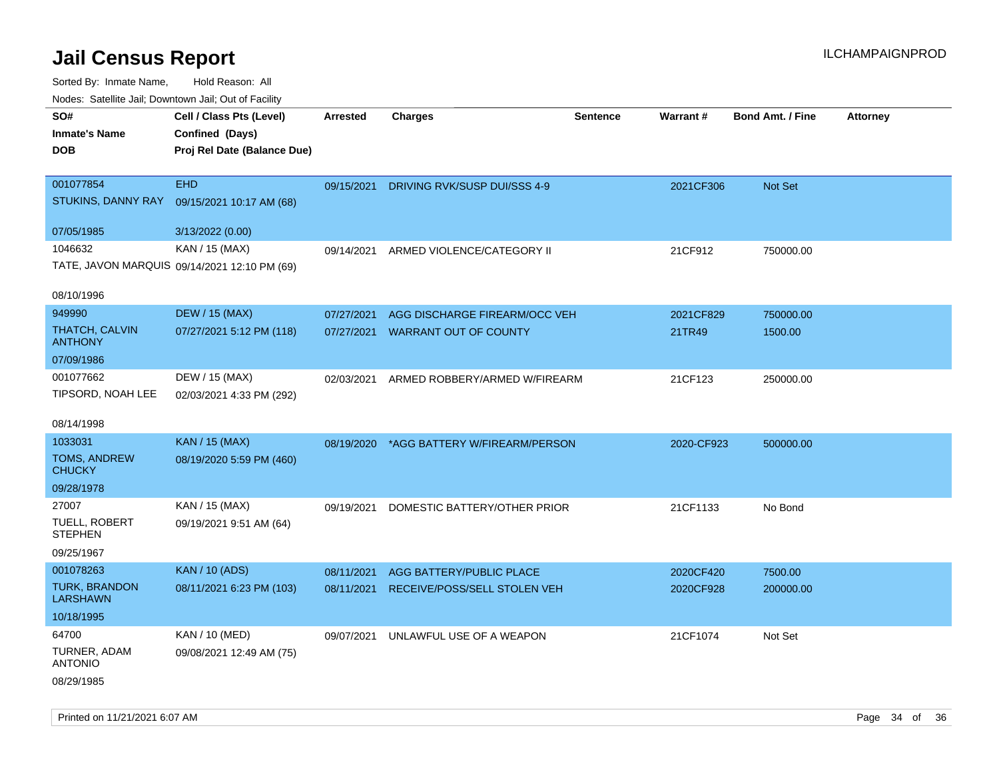| inodes: Satellite Jali, Downtown Jali, Out of Facility |                                              |                 |                               |                 |            |                         |                 |
|--------------------------------------------------------|----------------------------------------------|-----------------|-------------------------------|-----------------|------------|-------------------------|-----------------|
| SO#                                                    | Cell / Class Pts (Level)                     | <b>Arrested</b> | <b>Charges</b>                | <b>Sentence</b> | Warrant#   | <b>Bond Amt. / Fine</b> | <b>Attorney</b> |
| <b>Inmate's Name</b>                                   | Confined (Days)                              |                 |                               |                 |            |                         |                 |
| <b>DOB</b>                                             | Proj Rel Date (Balance Due)                  |                 |                               |                 |            |                         |                 |
|                                                        |                                              |                 |                               |                 |            |                         |                 |
| 001077854                                              | <b>EHD</b>                                   | 09/15/2021      | DRIVING RVK/SUSP DUI/SSS 4-9  |                 | 2021CF306  | <b>Not Set</b>          |                 |
| STUKINS, DANNY RAY                                     | 09/15/2021 10:17 AM (68)                     |                 |                               |                 |            |                         |                 |
| 07/05/1985                                             | 3/13/2022 (0.00)                             |                 |                               |                 |            |                         |                 |
| 1046632                                                | KAN / 15 (MAX)                               | 09/14/2021      | ARMED VIOLENCE/CATEGORY II    |                 | 21CF912    | 750000.00               |                 |
|                                                        | TATE, JAVON MARQUIS 09/14/2021 12:10 PM (69) |                 |                               |                 |            |                         |                 |
| 08/10/1996                                             |                                              |                 |                               |                 |            |                         |                 |
| 949990                                                 | <b>DEW / 15 (MAX)</b>                        | 07/27/2021      | AGG DISCHARGE FIREARM/OCC VEH |                 | 2021CF829  | 750000.00               |                 |
| <b>THATCH, CALVIN</b><br><b>ANTHONY</b>                | 07/27/2021 5:12 PM (118)                     | 07/27/2021      | <b>WARRANT OUT OF COUNTY</b>  |                 | 21TR49     | 1500.00                 |                 |
| 07/09/1986                                             |                                              |                 |                               |                 |            |                         |                 |
| 001077662                                              | DEW / 15 (MAX)                               | 02/03/2021      | ARMED ROBBERY/ARMED W/FIREARM |                 | 21CF123    | 250000.00               |                 |
| TIPSORD, NOAH LEE                                      | 02/03/2021 4:33 PM (292)                     |                 |                               |                 |            |                         |                 |
|                                                        |                                              |                 |                               |                 |            |                         |                 |
| 08/14/1998                                             |                                              |                 |                               |                 |            |                         |                 |
| 1033031                                                | <b>KAN / 15 (MAX)</b>                        | 08/19/2020      | *AGG BATTERY W/FIREARM/PERSON |                 | 2020-CF923 | 500000.00               |                 |
| <b>TOMS, ANDREW</b><br><b>CHUCKY</b>                   | 08/19/2020 5:59 PM (460)                     |                 |                               |                 |            |                         |                 |
| 09/28/1978                                             |                                              |                 |                               |                 |            |                         |                 |
| 27007                                                  | KAN / 15 (MAX)                               | 09/19/2021      | DOMESTIC BATTERY/OTHER PRIOR  |                 | 21CF1133   | No Bond                 |                 |
| <b>TUELL, ROBERT</b><br><b>STEPHEN</b>                 | 09/19/2021 9:51 AM (64)                      |                 |                               |                 |            |                         |                 |
| 09/25/1967                                             |                                              |                 |                               |                 |            |                         |                 |
| 001078263                                              | <b>KAN / 10 (ADS)</b>                        | 08/11/2021      | AGG BATTERY/PUBLIC PLACE      |                 | 2020CF420  | 7500.00                 |                 |
| <b>TURK, BRANDON</b><br><b>LARSHAWN</b>                | 08/11/2021 6:23 PM (103)                     | 08/11/2021      | RECEIVE/POSS/SELL STOLEN VEH  |                 | 2020CF928  | 200000.00               |                 |
| 10/18/1995                                             |                                              |                 |                               |                 |            |                         |                 |
| 64700                                                  | KAN / 10 (MED)                               | 09/07/2021      | UNLAWFUL USE OF A WEAPON      |                 | 21CF1074   | Not Set                 |                 |
| TURNER, ADAM<br><b>ANTONIO</b>                         | 09/08/2021 12:49 AM (75)                     |                 |                               |                 |            |                         |                 |
| 08/29/1985                                             |                                              |                 |                               |                 |            |                         |                 |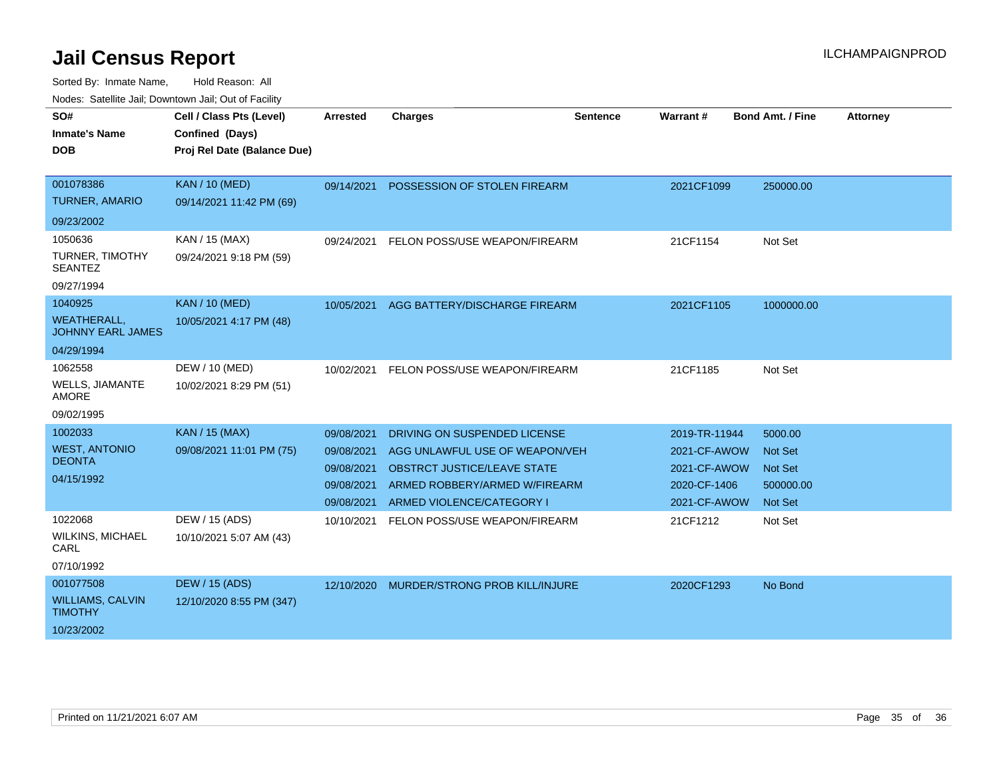| SO#<br><b>Inmate's Name</b><br><b>DOB</b>      | Cell / Class Pts (Level)<br>Confined (Days)<br>Proj Rel Date (Balance Due) | <b>Arrested</b> | <b>Charges</b>                        | <b>Sentence</b> | <b>Warrant#</b> | <b>Bond Amt. / Fine</b> | <b>Attorney</b> |
|------------------------------------------------|----------------------------------------------------------------------------|-----------------|---------------------------------------|-----------------|-----------------|-------------------------|-----------------|
| 001078386                                      | <b>KAN / 10 (MED)</b>                                                      | 09/14/2021      | POSSESSION OF STOLEN FIREARM          |                 | 2021CF1099      | 250000.00               |                 |
| <b>TURNER, AMARIO</b>                          | 09/14/2021 11:42 PM (69)                                                   |                 |                                       |                 |                 |                         |                 |
| 09/23/2002                                     |                                                                            |                 |                                       |                 |                 |                         |                 |
| 1050636                                        | KAN / 15 (MAX)                                                             | 09/24/2021      | FELON POSS/USE WEAPON/FIREARM         |                 | 21CF1154        | Not Set                 |                 |
| <b>TURNER, TIMOTHY</b><br><b>SEANTEZ</b>       | 09/24/2021 9:18 PM (59)                                                    |                 |                                       |                 |                 |                         |                 |
| 09/27/1994                                     |                                                                            |                 |                                       |                 |                 |                         |                 |
| 1040925                                        | <b>KAN / 10 (MED)</b>                                                      | 10/05/2021      | AGG BATTERY/DISCHARGE FIREARM         |                 | 2021CF1105      | 1000000.00              |                 |
| <b>WEATHERALL,</b><br><b>JOHNNY EARL JAMES</b> | 10/05/2021 4:17 PM (48)                                                    |                 |                                       |                 |                 |                         |                 |
| 04/29/1994                                     |                                                                            |                 |                                       |                 |                 |                         |                 |
| 1062558                                        | DEW / 10 (MED)                                                             | 10/02/2021      | FELON POSS/USE WEAPON/FIREARM         |                 | 21CF1185        | Not Set                 |                 |
| WELLS, JIAMANTE<br><b>AMORE</b>                | 10/02/2021 8:29 PM (51)                                                    |                 |                                       |                 |                 |                         |                 |
| 09/02/1995                                     |                                                                            |                 |                                       |                 |                 |                         |                 |
| 1002033                                        | <b>KAN / 15 (MAX)</b>                                                      | 09/08/2021      | DRIVING ON SUSPENDED LICENSE          |                 | 2019-TR-11944   | 5000.00                 |                 |
| <b>WEST, ANTONIO</b>                           | 09/08/2021 11:01 PM (75)                                                   | 09/08/2021      | AGG UNLAWFUL USE OF WEAPON/VEH        |                 | 2021-CF-AWOW    | Not Set                 |                 |
| <b>DEONTA</b>                                  |                                                                            | 09/08/2021      | <b>OBSTRCT JUSTICE/LEAVE STATE</b>    |                 | 2021-CF-AWOW    | <b>Not Set</b>          |                 |
| 04/15/1992                                     |                                                                            | 09/08/2021      | ARMED ROBBERY/ARMED W/FIREARM         |                 | 2020-CF-1406    | 500000.00               |                 |
|                                                |                                                                            | 09/08/2021      | ARMED VIOLENCE/CATEGORY I             |                 | 2021-CF-AWOW    | <b>Not Set</b>          |                 |
| 1022068                                        | DEW / 15 (ADS)                                                             | 10/10/2021      | FELON POSS/USE WEAPON/FIREARM         |                 | 21CF1212        | Not Set                 |                 |
| <b>WILKINS, MICHAEL</b><br>CARL                | 10/10/2021 5:07 AM (43)                                                    |                 |                                       |                 |                 |                         |                 |
| 07/10/1992                                     |                                                                            |                 |                                       |                 |                 |                         |                 |
| 001077508                                      | <b>DEW / 15 (ADS)</b>                                                      | 12/10/2020      | <b>MURDER/STRONG PROB KILL/INJURE</b> |                 | 2020CF1293      | No Bond                 |                 |
| <b>WILLIAMS, CALVIN</b><br><b>TIMOTHY</b>      | 12/10/2020 8:55 PM (347)                                                   |                 |                                       |                 |                 |                         |                 |
| 10/23/2002                                     |                                                                            |                 |                                       |                 |                 |                         |                 |